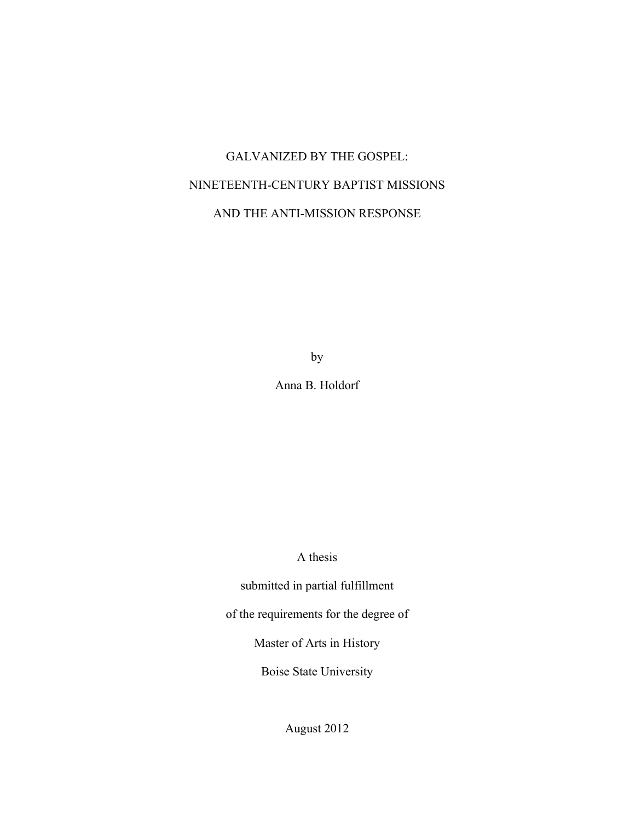# GALVANIZED BY THE GOSPEL: NINETEENTH-CENTURY BAPTIST MISSIONS AND THE ANTI-MISSION RESPONSE

by

Anna B. Holdorf

A thesis

submitted in partial fulfillment

of the requirements for the degree of

Master of Arts in History

Boise State University

August 2012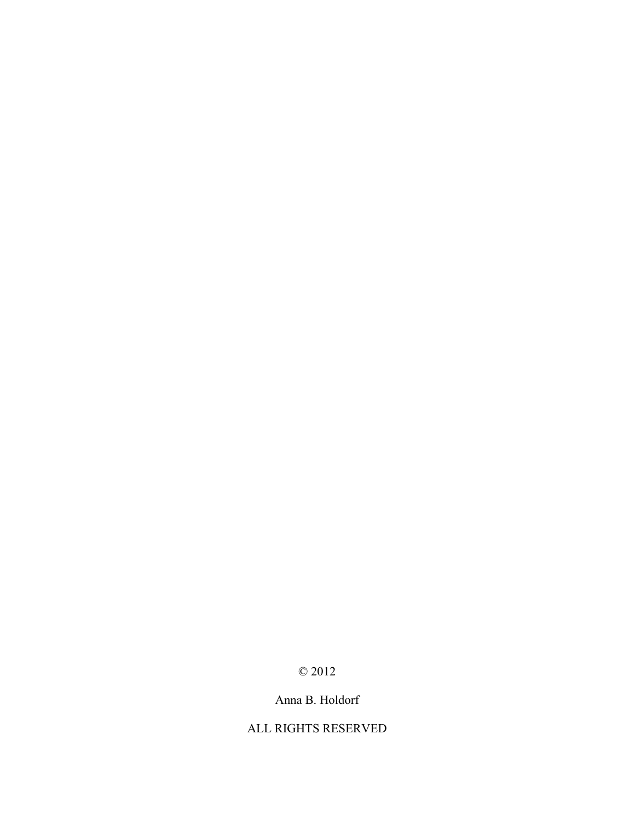# © 2012

# Anna B. Holdorf

## ALL RIGHTS RESERVED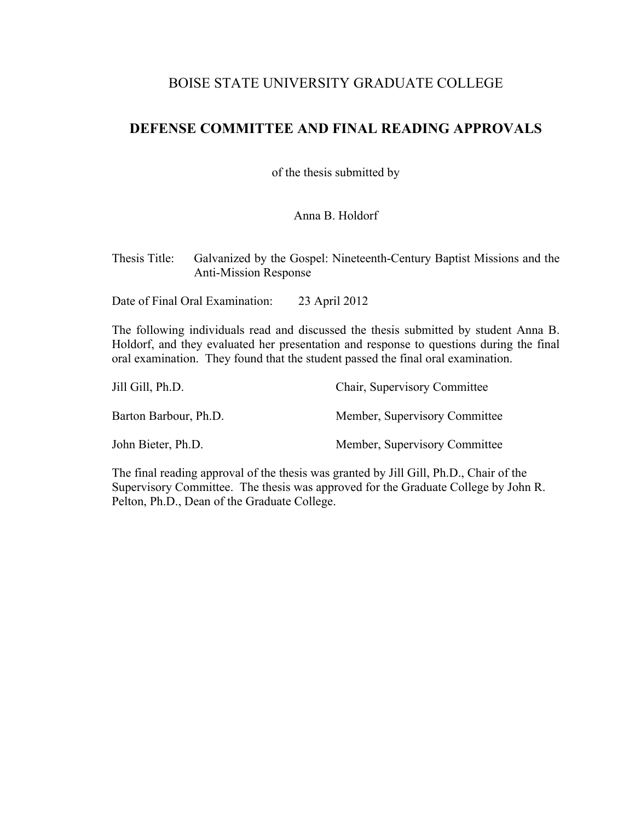# BOISE STATE UNIVERSITY GRADUATE COLLEGE

# **DEFENSE COMMITTEE AND FINAL READING APPROVALS**

of the thesis submitted by

Anna B. Holdorf

Thesis Title: Galvanized by the Gospel: Nineteenth-Century Baptist Missions and the Anti-Mission Response

Date of Final Oral Examination: 23 April 2012

The following individuals read and discussed the thesis submitted by student Anna B. Holdorf, and they evaluated her presentation and response to questions during the final oral examination. They found that the student passed the final oral examination.

| Jill Gill, Ph.D.      | Chair, Supervisory Committee  |
|-----------------------|-------------------------------|
| Barton Barbour, Ph.D. | Member, Supervisory Committee |
| John Bieter, Ph.D.    | Member, Supervisory Committee |

The final reading approval of the thesis was granted by Jill Gill, Ph.D., Chair of the Supervisory Committee. The thesis was approved for the Graduate College by John R. Pelton, Ph.D., Dean of the Graduate College.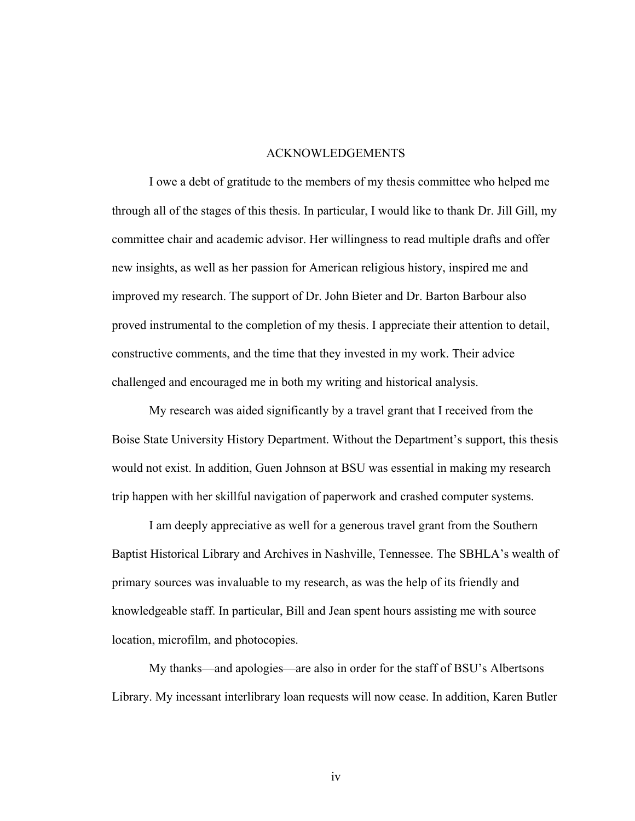#### ACKNOWLEDGEMENTS

I owe a debt of gratitude to the members of my thesis committee who helped me through all of the stages of this thesis. In particular, I would like to thank Dr. Jill Gill, my committee chair and academic advisor. Her willingness to read multiple drafts and offer new insights, as well as her passion for American religious history, inspired me and improved my research. The support of Dr. John Bieter and Dr. Barton Barbour also proved instrumental to the completion of my thesis. I appreciate their attention to detail, constructive comments, and the time that they invested in my work. Their advice challenged and encouraged me in both my writing and historical analysis.

My research was aided significantly by a travel grant that I received from the Boise State University History Department. Without the Department's support, this thesis would not exist. In addition, Guen Johnson at BSU was essential in making my research trip happen with her skillful navigation of paperwork and crashed computer systems.

I am deeply appreciative as well for a generous travel grant from the Southern Baptist Historical Library and Archives in Nashville, Tennessee. The SBHLA's wealth of primary sources was invaluable to my research, as was the help of its friendly and knowledgeable staff. In particular, Bill and Jean spent hours assisting me with source location, microfilm, and photocopies.

My thanks—and apologies—are also in order for the staff of BSU's Albertsons Library. My incessant interlibrary loan requests will now cease. In addition, Karen Butler

iv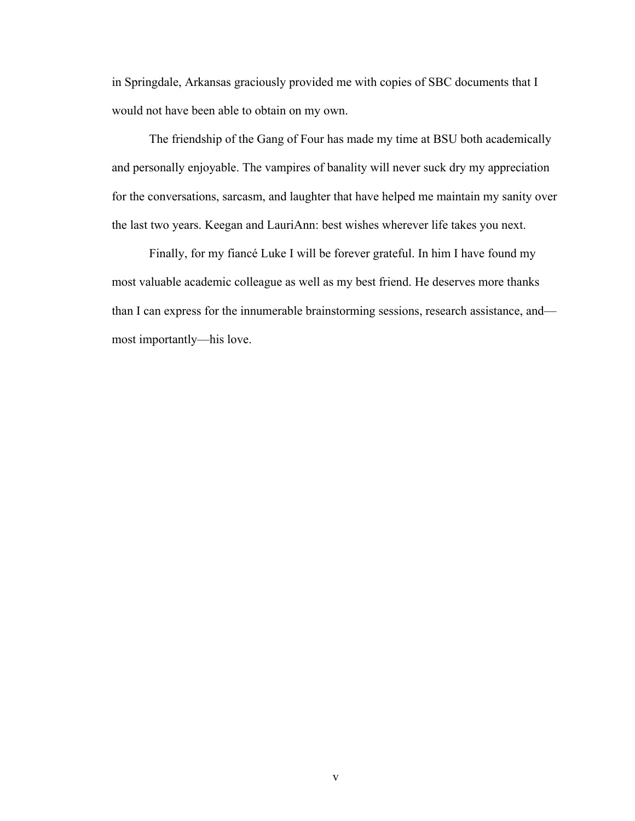in Springdale, Arkansas graciously provided me with copies of SBC documents that I would not have been able to obtain on my own.

The friendship of the Gang of Four has made my time at BSU both academically and personally enjoyable. The vampires of banality will never suck dry my appreciation for the conversations, sarcasm, and laughter that have helped me maintain my sanity over the last two years. Keegan and LauriAnn: best wishes wherever life takes you next.

Finally, for my fiancé Luke I will be forever grateful. In him I have found my most valuable academic colleague as well as my best friend. He deserves more thanks than I can express for the innumerable brainstorming sessions, research assistance, and most importantly—his love.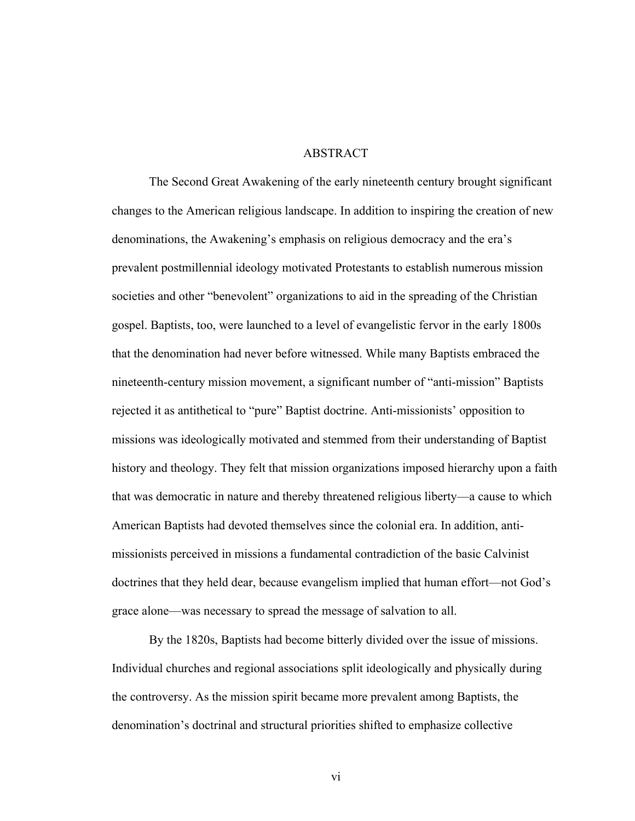#### ABSTRACT

The Second Great Awakening of the early nineteenth century brought significant changes to the American religious landscape. In addition to inspiring the creation of new denominations, the Awakening's emphasis on religious democracy and the era's prevalent postmillennial ideology motivated Protestants to establish numerous mission societies and other "benevolent" organizations to aid in the spreading of the Christian gospel. Baptists, too, were launched to a level of evangelistic fervor in the early 1800s that the denomination had never before witnessed. While many Baptists embraced the nineteenth-century mission movement, a significant number of "anti-mission" Baptists rejected it as antithetical to "pure" Baptist doctrine. Anti-missionists' opposition to missions was ideologically motivated and stemmed from their understanding of Baptist history and theology. They felt that mission organizations imposed hierarchy upon a faith that was democratic in nature and thereby threatened religious liberty—a cause to which American Baptists had devoted themselves since the colonial era. In addition, antimissionists perceived in missions a fundamental contradiction of the basic Calvinist doctrines that they held dear, because evangelism implied that human effort—not God's grace alone—was necessary to spread the message of salvation to all.

By the 1820s, Baptists had become bitterly divided over the issue of missions. Individual churches and regional associations split ideologically and physically during the controversy. As the mission spirit became more prevalent among Baptists, the denomination's doctrinal and structural priorities shifted to emphasize collective

vi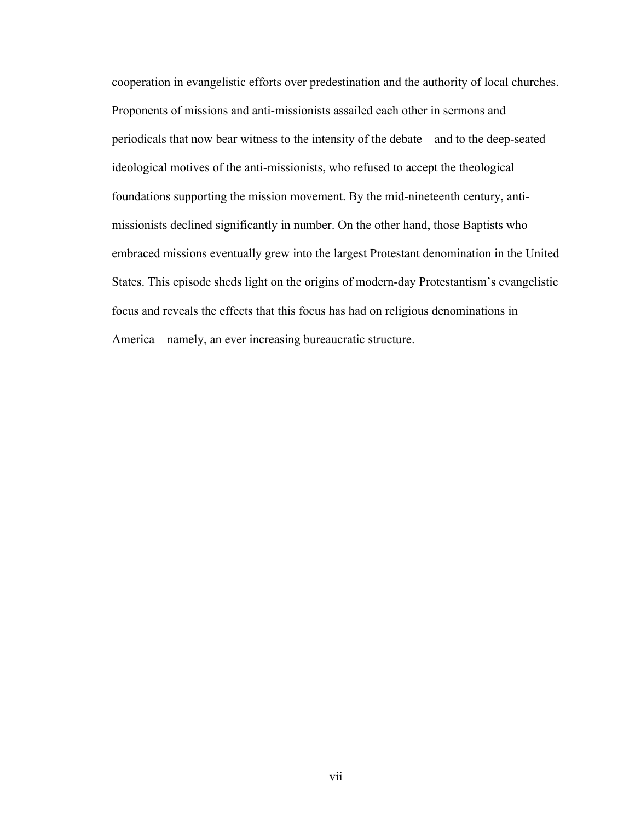cooperation in evangelistic efforts over predestination and the authority of local churches. Proponents of missions and anti-missionists assailed each other in sermons and periodicals that now bear witness to the intensity of the debate—and to the deep-seated ideological motives of the anti-missionists, who refused to accept the theological foundations supporting the mission movement. By the mid-nineteenth century, antimissionists declined significantly in number. On the other hand, those Baptists who embraced missions eventually grew into the largest Protestant denomination in the United States. This episode sheds light on the origins of modern-day Protestantism's evangelistic focus and reveals the effects that this focus has had on religious denominations in America—namely, an ever increasing bureaucratic structure.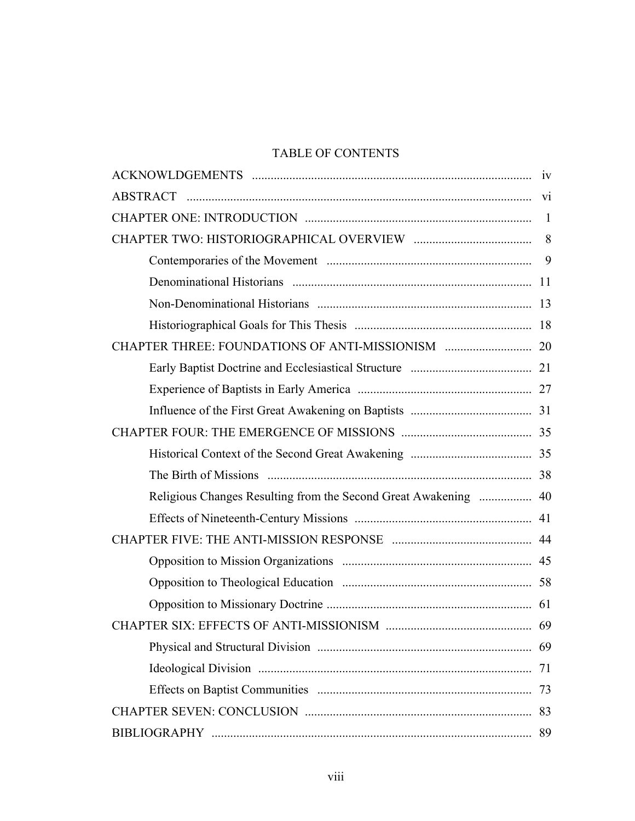# TABLE OF CONTENTS

|                                                                 | 8  |
|-----------------------------------------------------------------|----|
|                                                                 |    |
|                                                                 |    |
|                                                                 |    |
|                                                                 |    |
|                                                                 |    |
|                                                                 |    |
|                                                                 |    |
|                                                                 |    |
|                                                                 |    |
|                                                                 |    |
|                                                                 |    |
| Religious Changes Resulting from the Second Great Awakening  40 |    |
|                                                                 |    |
|                                                                 |    |
|                                                                 |    |
|                                                                 |    |
|                                                                 |    |
|                                                                 |    |
|                                                                 | 69 |
|                                                                 | 71 |
|                                                                 | 73 |
|                                                                 |    |
|                                                                 | 89 |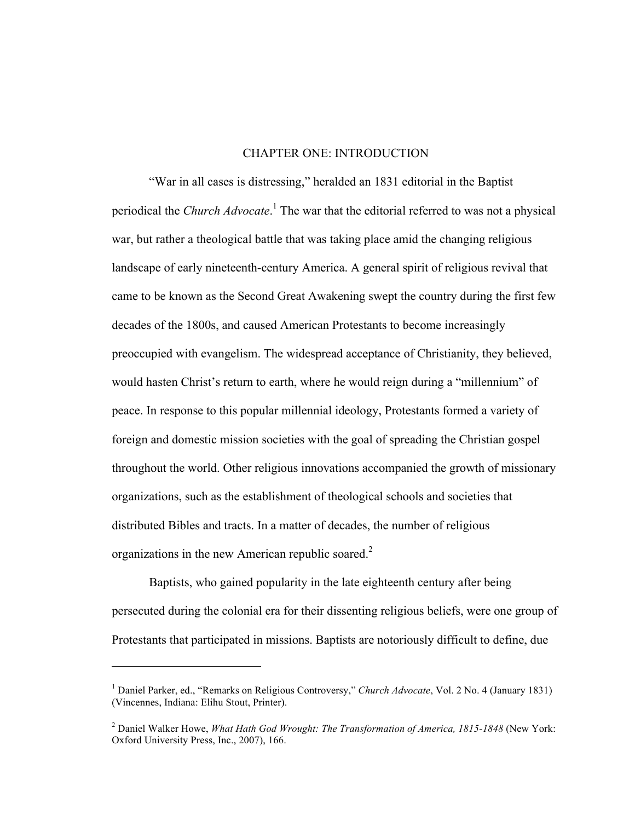#### CHAPTER ONE: INTRODUCTION

"War in all cases is distressing," heralded an 1831 editorial in the Baptist periodical the *Church Advocate*. <sup>1</sup> The war that the editorial referred to was not a physical war, but rather a theological battle that was taking place amid the changing religious landscape of early nineteenth-century America. A general spirit of religious revival that came to be known as the Second Great Awakening swept the country during the first few decades of the 1800s, and caused American Protestants to become increasingly preoccupied with evangelism. The widespread acceptance of Christianity, they believed, would hasten Christ's return to earth, where he would reign during a "millennium" of peace. In response to this popular millennial ideology, Protestants formed a variety of foreign and domestic mission societies with the goal of spreading the Christian gospel throughout the world. Other religious innovations accompanied the growth of missionary organizations, such as the establishment of theological schools and societies that distributed Bibles and tracts. In a matter of decades, the number of religious organizations in the new American republic soared. $2^2$ 

Baptists, who gained popularity in the late eighteenth century after being persecuted during the colonial era for their dissenting religious beliefs, were one group of Protestants that participated in missions. Baptists are notoriously difficult to define, due

<sup>1</sup> Daniel Parker, ed., "Remarks on Religious Controversy," *Church Advocate*, Vol. 2 No. 4 (January 1831) (Vincennes, Indiana: Elihu Stout, Printer).

<sup>2</sup> Daniel Walker Howe, *What Hath God Wrought: The Transformation of America, 1815-1848* (New York: Oxford University Press, Inc., 2007), 166.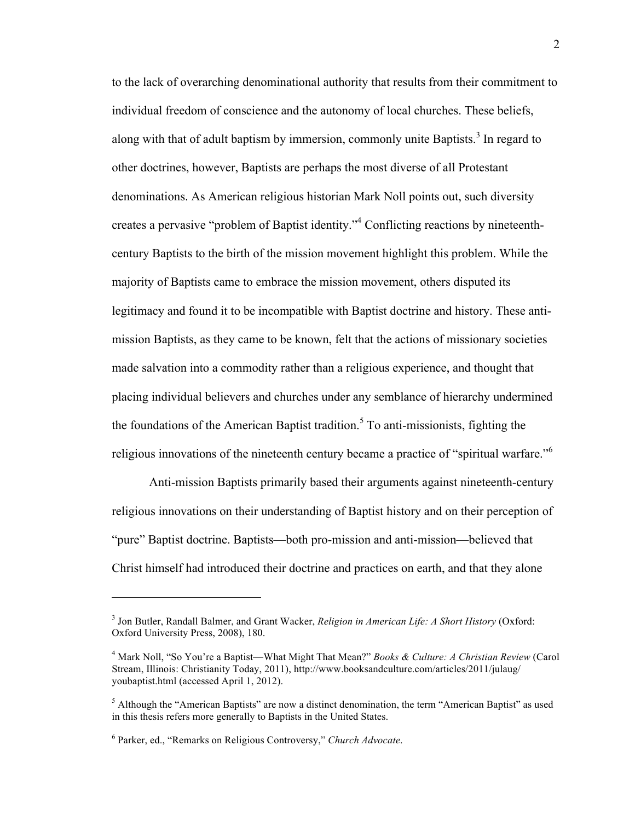to the lack of overarching denominational authority that results from their commitment to individual freedom of conscience and the autonomy of local churches. These beliefs, along with that of adult baptism by immersion, commonly unite Baptists.<sup>3</sup> In regard to other doctrines, however, Baptists are perhaps the most diverse of all Protestant denominations. As American religious historian Mark Noll points out, such diversity creates a pervasive "problem of Baptist identity."4 Conflicting reactions by nineteenthcentury Baptists to the birth of the mission movement highlight this problem. While the majority of Baptists came to embrace the mission movement, others disputed its legitimacy and found it to be incompatible with Baptist doctrine and history. These antimission Baptists, as they came to be known, felt that the actions of missionary societies made salvation into a commodity rather than a religious experience, and thought that placing individual believers and churches under any semblance of hierarchy undermined the foundations of the American Baptist tradition.<sup>5</sup> To anti-missionists, fighting the religious innovations of the nineteenth century became a practice of "spiritual warfare."<sup>6</sup>

Anti-mission Baptists primarily based their arguments against nineteenth-century religious innovations on their understanding of Baptist history and on their perception of "pure" Baptist doctrine. Baptists—both pro-mission and anti-mission—believed that Christ himself had introduced their doctrine and practices on earth, and that they alone

<sup>3</sup> Jon Butler, Randall Balmer, and Grant Wacker, *Religion in American Life: A Short History* (Oxford: Oxford University Press, 2008), 180.

<sup>4</sup> Mark Noll, "So You're a Baptist—What Might That Mean?" *Books & Culture: A Christian Review* (Carol Stream, Illinois: Christianity Today, 2011), http://www.booksandculture.com/articles/2011/julaug/ youbaptist.html (accessed April 1, 2012).

<sup>&</sup>lt;sup>5</sup> Although the "American Baptists" are now a distinct denomination, the term "American Baptist" as used in this thesis refers more generally to Baptists in the United States.

<sup>6</sup> Parker, ed., "Remarks on Religious Controversy," *Church Advocate*.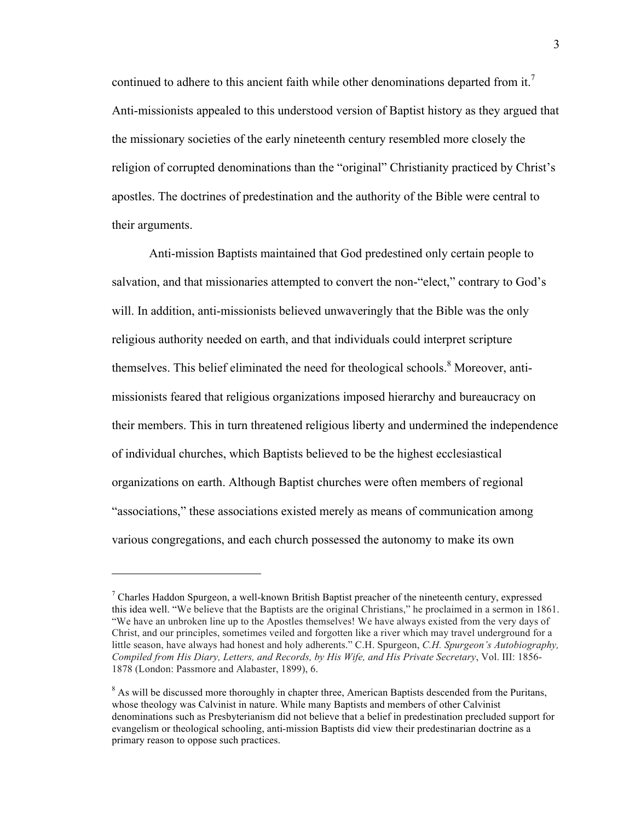continued to adhere to this ancient faith while other denominations departed from it.<sup>7</sup> Anti-missionists appealed to this understood version of Baptist history as they argued that the missionary societies of the early nineteenth century resembled more closely the religion of corrupted denominations than the "original" Christianity practiced by Christ's apostles. The doctrines of predestination and the authority of the Bible were central to their arguments.

Anti-mission Baptists maintained that God predestined only certain people to salvation, and that missionaries attempted to convert the non-"elect," contrary to God's will. In addition, anti-missionists believed unwaveringly that the Bible was the only religious authority needed on earth, and that individuals could interpret scripture themselves. This belief eliminated the need for theological schools.<sup>8</sup> Moreover, antimissionists feared that religious organizations imposed hierarchy and bureaucracy on their members. This in turn threatened religious liberty and undermined the independence of individual churches, which Baptists believed to be the highest ecclesiastical organizations on earth. Although Baptist churches were often members of regional "associations," these associations existed merely as means of communication among various congregations, and each church possessed the autonomy to make its own

 $7$  Charles Haddon Spurgeon, a well-known British Baptist preacher of the nineteenth century, expressed this idea well. "We believe that the Baptists are the original Christians," he proclaimed in a sermon in 1861. "We have an unbroken line up to the Apostles themselves! We have always existed from the very days of Christ, and our principles, sometimes veiled and forgotten like a river which may travel underground for a little season, have always had honest and holy adherents." C.H. Spurgeon, *C.H. Spurgeon's Autobiography, Compiled from His Diary, Letters, and Records, by His Wife, and His Private Secretary*, Vol. III: 1856- 1878 (London: Passmore and Alabaster, 1899), 6.

<sup>&</sup>lt;sup>8</sup> As will be discussed more thoroughly in chapter three, American Baptists descended from the Puritans, whose theology was Calvinist in nature. While many Baptists and members of other Calvinist denominations such as Presbyterianism did not believe that a belief in predestination precluded support for evangelism or theological schooling, anti-mission Baptists did view their predestinarian doctrine as a primary reason to oppose such practices.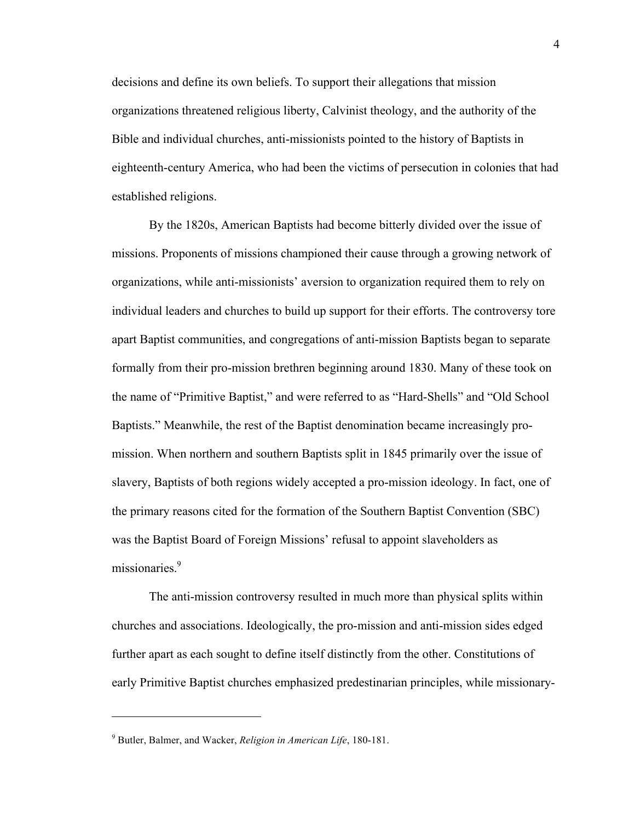decisions and define its own beliefs. To support their allegations that mission organizations threatened religious liberty, Calvinist theology, and the authority of the Bible and individual churches, anti-missionists pointed to the history of Baptists in eighteenth-century America, who had been the victims of persecution in colonies that had established religions.

By the 1820s, American Baptists had become bitterly divided over the issue of missions. Proponents of missions championed their cause through a growing network of organizations, while anti-missionists' aversion to organization required them to rely on individual leaders and churches to build up support for their efforts. The controversy tore apart Baptist communities, and congregations of anti-mission Baptists began to separate formally from their pro-mission brethren beginning around 1830. Many of these took on the name of "Primitive Baptist," and were referred to as "Hard-Shells" and "Old School Baptists." Meanwhile, the rest of the Baptist denomination became increasingly promission. When northern and southern Baptists split in 1845 primarily over the issue of slavery, Baptists of both regions widely accepted a pro-mission ideology. In fact, one of the primary reasons cited for the formation of the Southern Baptist Convention (SBC) was the Baptist Board of Foreign Missions' refusal to appoint slaveholders as missionaries<sup>9</sup>

The anti-mission controversy resulted in much more than physical splits within churches and associations. Ideologically, the pro-mission and anti-mission sides edged further apart as each sought to define itself distinctly from the other. Constitutions of early Primitive Baptist churches emphasized predestinarian principles, while missionary-

<sup>9</sup> Butler, Balmer, and Wacker, *Religion in American Life*, 180-181.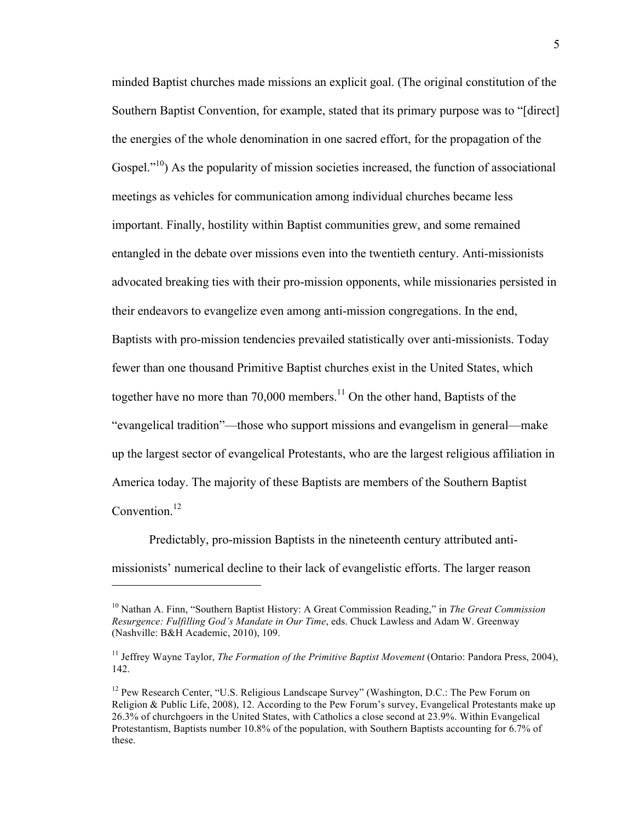minded Baptist churches made missions an explicit goal. (The original constitution of the Southern Baptist Convention, for example, stated that its primary purpose was to "[direct] the energies of the whole denomination in one sacred effort, for the propagation of the Gospel. $1^{10}$ ) As the popularity of mission societies increased, the function of associational meetings as vehicles for communication among individual churches became less important. Finally, hostility within Baptist communities grew, and some remained entangled in the debate over missions even into the twentieth century. Anti-missionists advocated breaking ties with their pro-mission opponents, while missionaries persisted in their endeavors to evangelize even among anti-mission congregations. In the end, Baptists with pro-mission tendencies prevailed statistically over anti-missionists. Today fewer than one thousand Primitive Baptist churches exist in the United States, which together have no more than 70,000 members.<sup>11</sup> On the other hand, Baptists of the "evangelical tradition"—those who support missions and evangelism in general—make up the largest sector of evangelical Protestants, who are the largest religious affiliation in America today. The majority of these Baptists are members of the Southern Baptist Convention.<sup>12</sup>

Predictably, pro-mission Baptists in the nineteenth century attributed antimissionists' numerical decline to their lack of evangelistic efforts. The larger reason

<sup>10</sup> Nathan A. Finn, "Southern Baptist History: A Great Commission Reading," in *The Great Commission Resurgence: Fulfilling God's Mandate in Our Time*, eds. Chuck Lawless and Adam W. Greenway (Nashville: B&H Academic, 2010), 109.

<sup>11</sup> Jeffrey Wayne Taylor, *The Formation of the Primitive Baptist Movement* (Ontario: Pandora Press, 2004), 142.

<sup>&</sup>lt;sup>12</sup> Pew Research Center, "U.S. Religious Landscape Survey" (Washington, D.C.: The Pew Forum on Religion & Public Life, 2008), 12. According to the Pew Forum's survey, Evangelical Protestants make up 26.3% of churchgoers in the United States, with Catholics a close second at 23.9%. Within Evangelical Protestantism, Baptists number 10.8% of the population, with Southern Baptists accounting for 6.7% of these.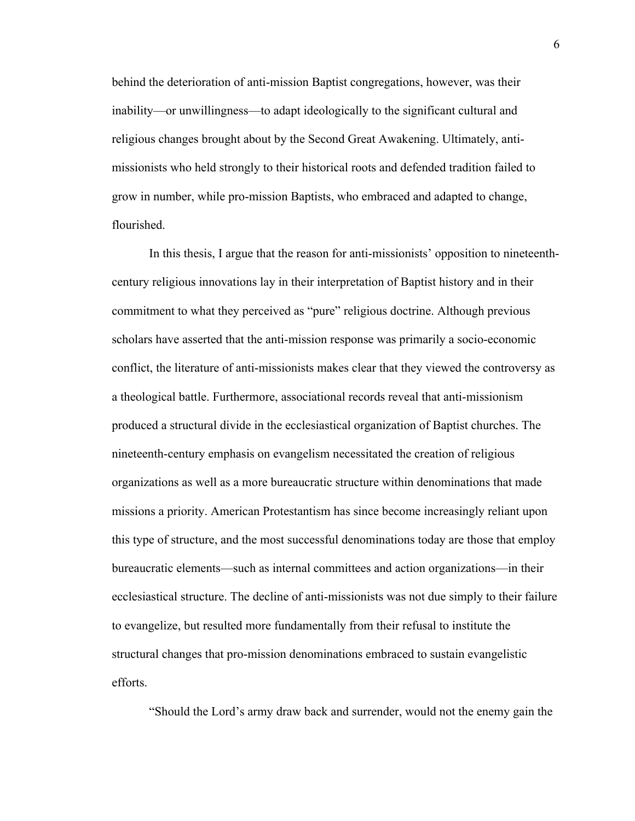behind the deterioration of anti-mission Baptist congregations, however, was their inability—or unwillingness—to adapt ideologically to the significant cultural and religious changes brought about by the Second Great Awakening. Ultimately, antimissionists who held strongly to their historical roots and defended tradition failed to grow in number, while pro-mission Baptists, who embraced and adapted to change, flourished.

In this thesis, I argue that the reason for anti-missionists' opposition to nineteenthcentury religious innovations lay in their interpretation of Baptist history and in their commitment to what they perceived as "pure" religious doctrine. Although previous scholars have asserted that the anti-mission response was primarily a socio-economic conflict, the literature of anti-missionists makes clear that they viewed the controversy as a theological battle. Furthermore, associational records reveal that anti-missionism produced a structural divide in the ecclesiastical organization of Baptist churches. The nineteenth-century emphasis on evangelism necessitated the creation of religious organizations as well as a more bureaucratic structure within denominations that made missions a priority. American Protestantism has since become increasingly reliant upon this type of structure, and the most successful denominations today are those that employ bureaucratic elements—such as internal committees and action organizations—in their ecclesiastical structure. The decline of anti-missionists was not due simply to their failure to evangelize, but resulted more fundamentally from their refusal to institute the structural changes that pro-mission denominations embraced to sustain evangelistic efforts.

"Should the Lord's army draw back and surrender, would not the enemy gain the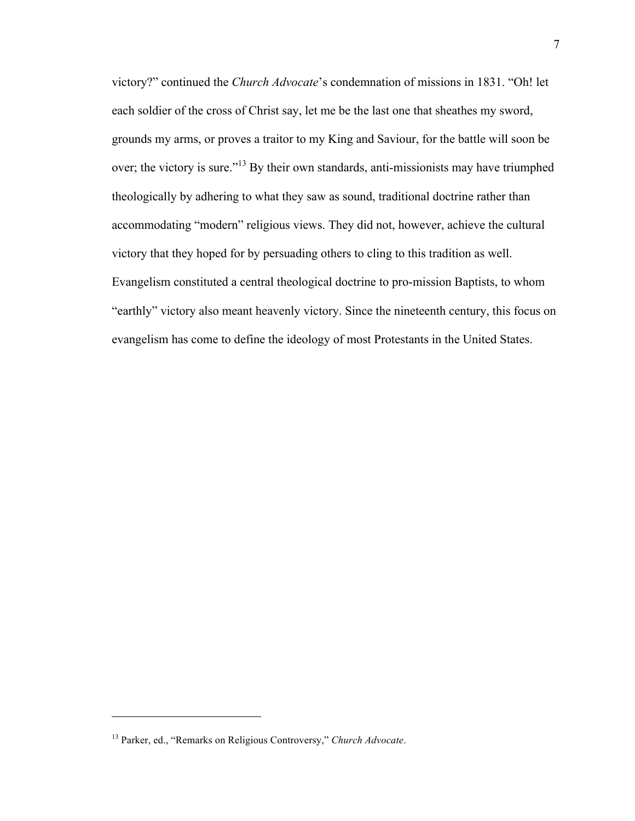victory?" continued the *Church Advocate*'s condemnation of missions in 1831. "Oh! let each soldier of the cross of Christ say, let me be the last one that sheathes my sword, grounds my arms, or proves a traitor to my King and Saviour, for the battle will soon be over; the victory is sure."<sup>13</sup> By their own standards, anti-missionists may have triumphed theologically by adhering to what they saw as sound, traditional doctrine rather than accommodating "modern" religious views. They did not, however, achieve the cultural victory that they hoped for by persuading others to cling to this tradition as well. Evangelism constituted a central theological doctrine to pro-mission Baptists, to whom "earthly" victory also meant heavenly victory. Since the nineteenth century, this focus on evangelism has come to define the ideology of most Protestants in the United States.

<sup>13</sup> Parker, ed., "Remarks on Religious Controversy," *Church Advocate*.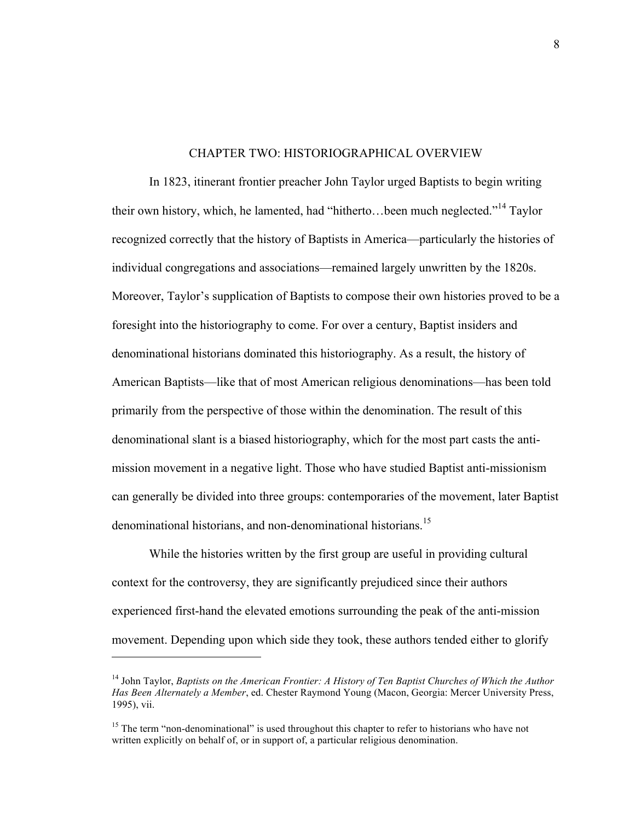#### CHAPTER TWO: HISTORIOGRAPHICAL OVERVIEW

In 1823, itinerant frontier preacher John Taylor urged Baptists to begin writing their own history, which, he lamented, had "hitherto... been much neglected."<sup>14</sup> Taylor recognized correctly that the history of Baptists in America—particularly the histories of individual congregations and associations—remained largely unwritten by the 1820s. Moreover, Taylor's supplication of Baptists to compose their own histories proved to be a foresight into the historiography to come. For over a century, Baptist insiders and denominational historians dominated this historiography. As a result, the history of American Baptists—like that of most American religious denominations—has been told primarily from the perspective of those within the denomination. The result of this denominational slant is a biased historiography, which for the most part casts the antimission movement in a negative light. Those who have studied Baptist anti-missionism can generally be divided into three groups: contemporaries of the movement, later Baptist denominational historians, and non-denominational historians.<sup>15</sup>

While the histories written by the first group are useful in providing cultural context for the controversy, they are significantly prejudiced since their authors experienced first-hand the elevated emotions surrounding the peak of the anti-mission movement. Depending upon which side they took, these authors tended either to glorify

<sup>14</sup> John Taylor, *Baptists on the American Frontier: A History of Ten Baptist Churches of Which the Author Has Been Alternately a Member*, ed. Chester Raymond Young (Macon, Georgia: Mercer University Press, 1995), vii.

<sup>&</sup>lt;sup>15</sup> The term "non-denominational" is used throughout this chapter to refer to historians who have not written explicitly on behalf of, or in support of, a particular religious denomination.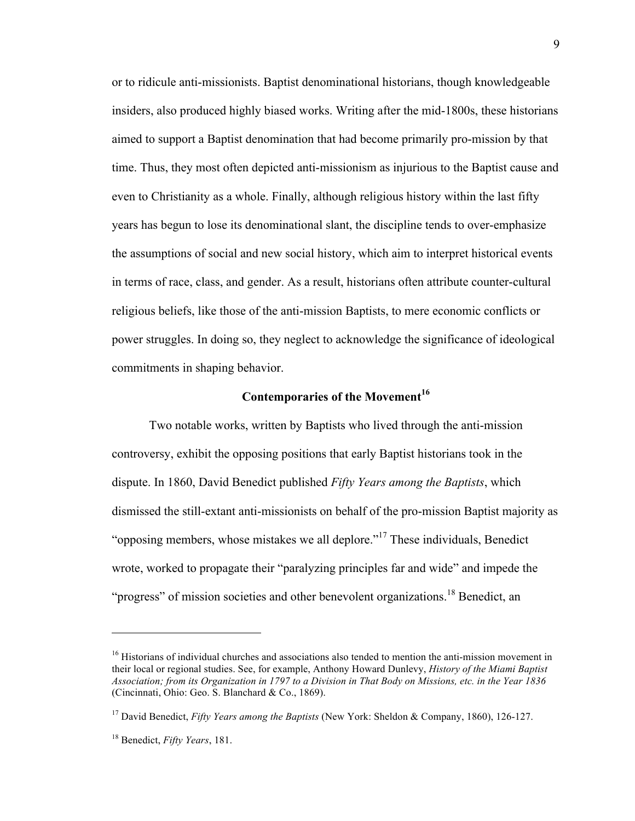or to ridicule anti-missionists. Baptist denominational historians, though knowledgeable insiders, also produced highly biased works. Writing after the mid-1800s, these historians aimed to support a Baptist denomination that had become primarily pro-mission by that time. Thus, they most often depicted anti-missionism as injurious to the Baptist cause and even to Christianity as a whole. Finally, although religious history within the last fifty years has begun to lose its denominational slant, the discipline tends to over-emphasize the assumptions of social and new social history, which aim to interpret historical events in terms of race, class, and gender. As a result, historians often attribute counter-cultural religious beliefs, like those of the anti-mission Baptists, to mere economic conflicts or power struggles. In doing so, they neglect to acknowledge the significance of ideological commitments in shaping behavior.

## **Contemporaries of the Movement<sup>16</sup>**

Two notable works, written by Baptists who lived through the anti-mission controversy, exhibit the opposing positions that early Baptist historians took in the dispute. In 1860, David Benedict published *Fifty Years among the Baptists*, which dismissed the still-extant anti-missionists on behalf of the pro-mission Baptist majority as "opposing members, whose mistakes we all deplore."<sup>17</sup> These individuals, Benedict wrote, worked to propagate their "paralyzing principles far and wide" and impede the "progress" of mission societies and other benevolent organizations.<sup>18</sup> Benedict, an

<sup>&</sup>lt;sup>16</sup> Historians of individual churches and associations also tended to mention the anti-mission movement in their local or regional studies. See, for example, Anthony Howard Dunlevy, *History of the Miami Baptist Association; from its Organization in 1797 to a Division in That Body on Missions, etc. in the Year 1836* (Cincinnati, Ohio: Geo. S. Blanchard & Co., 1869).

<sup>17</sup> David Benedict, *Fifty Years among the Baptists* (New York: Sheldon & Company, 1860), 126-127.

<sup>18</sup> Benedict, *Fifty Years*, 181.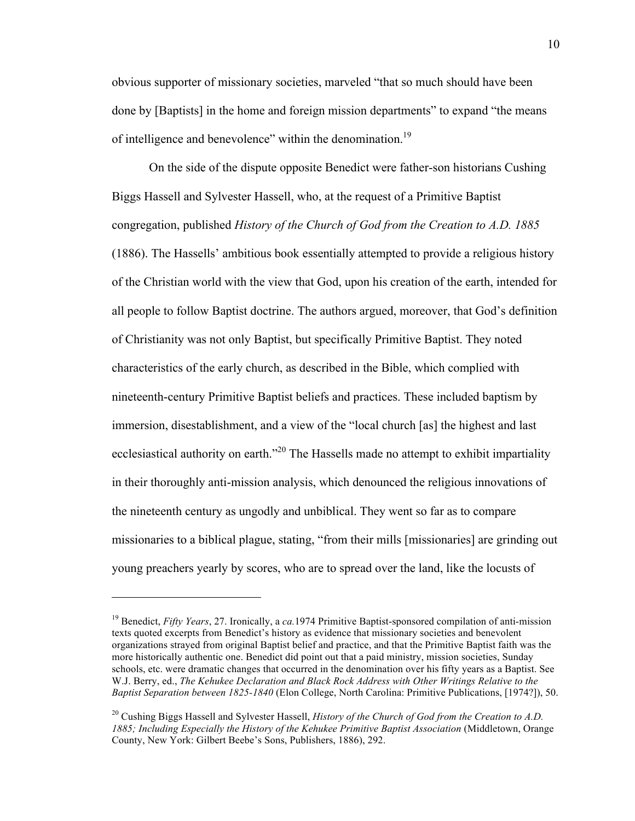obvious supporter of missionary societies, marveled "that so much should have been done by [Baptists] in the home and foreign mission departments" to expand "the means of intelligence and benevolence" within the denomination.<sup>19</sup>

On the side of the dispute opposite Benedict were father-son historians Cushing Biggs Hassell and Sylvester Hassell, who, at the request of a Primitive Baptist congregation, published *History of the Church of God from the Creation to A.D. 1885* (1886). The Hassells' ambitious book essentially attempted to provide a religious history of the Christian world with the view that God, upon his creation of the earth, intended for all people to follow Baptist doctrine. The authors argued, moreover, that God's definition of Christianity was not only Baptist, but specifically Primitive Baptist. They noted characteristics of the early church, as described in the Bible, which complied with nineteenth-century Primitive Baptist beliefs and practices. These included baptism by immersion, disestablishment, and a view of the "local church [as] the highest and last ecclesiastical authority on earth."<sup>20</sup> The Hassells made no attempt to exhibit impartiality in their thoroughly anti-mission analysis, which denounced the religious innovations of the nineteenth century as ungodly and unbiblical. They went so far as to compare missionaries to a biblical plague, stating, "from their mills [missionaries] are grinding out young preachers yearly by scores, who are to spread over the land, like the locusts of

<sup>19</sup> Benedict, *Fifty Years*, 27. Ironically, a *ca.*1974 Primitive Baptist-sponsored compilation of anti-mission texts quoted excerpts from Benedict's history as evidence that missionary societies and benevolent organizations strayed from original Baptist belief and practice, and that the Primitive Baptist faith was the more historically authentic one. Benedict did point out that a paid ministry, mission societies, Sunday schools, etc. were dramatic changes that occurred in the denomination over his fifty years as a Baptist. See W.J. Berry, ed., *The Kehukee Declaration and Black Rock Address with Other Writings Relative to the Baptist Separation between 1825-1840* (Elon College, North Carolina: Primitive Publications, [1974?]), 50.

<sup>&</sup>lt;sup>20</sup> Cushing Biggs Hassell and Sylvester Hassell, *History of the Church of God from the Creation to A.D. 1885; Including Especially the History of the Kehukee Primitive Baptist Association* (Middletown, Orange County, New York: Gilbert Beebe's Sons, Publishers, 1886), 292.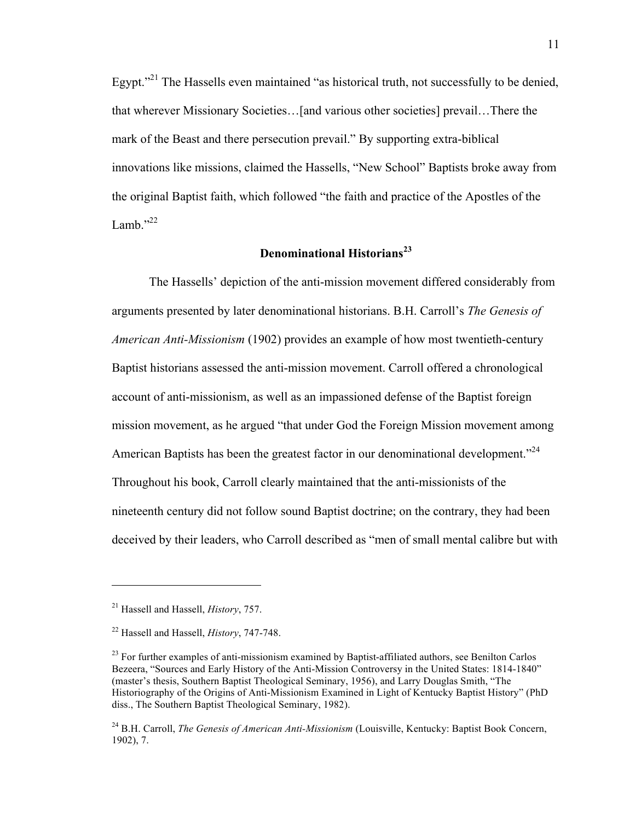Egypt."<sup>21</sup> The Hassells even maintained "as historical truth, not successfully to be denied, that wherever Missionary Societies…[and various other societies] prevail…There the mark of the Beast and there persecution prevail." By supporting extra-biblical innovations like missions, claimed the Hassells, "New School" Baptists broke away from the original Baptist faith, which followed "the faith and practice of the Apostles of the Lamb." $^{22}$ 

## **Denominational Historians<sup>23</sup>**

The Hassells' depiction of the anti-mission movement differed considerably from arguments presented by later denominational historians. B.H. Carroll's *The Genesis of American Anti-Missionism* (1902) provides an example of how most twentieth-century Baptist historians assessed the anti-mission movement. Carroll offered a chronological account of anti-missionism, as well as an impassioned defense of the Baptist foreign mission movement, as he argued "that under God the Foreign Mission movement among American Baptists has been the greatest factor in our denominational development.<sup>224</sup> Throughout his book, Carroll clearly maintained that the anti-missionists of the nineteenth century did not follow sound Baptist doctrine; on the contrary, they had been deceived by their leaders, who Carroll described as "men of small mental calibre but with

<sup>21</sup> Hassell and Hassell, *History*, 757.

<sup>22</sup> Hassell and Hassell, *History*, 747-748.

 $23$  For further examples of anti-missionism examined by Baptist-affiliated authors, see Benilton Carlos Bezeera, "Sources and Early History of the Anti-Mission Controversy in the United States: 1814-1840" (master's thesis, Southern Baptist Theological Seminary, 1956), and Larry Douglas Smith, "The Historiography of the Origins of Anti-Missionism Examined in Light of Kentucky Baptist History" (PhD diss., The Southern Baptist Theological Seminary, 1982).

<sup>24</sup> B.H. Carroll, *The Genesis of American Anti-Missionism* (Louisville, Kentucky: Baptist Book Concern, 1902), 7.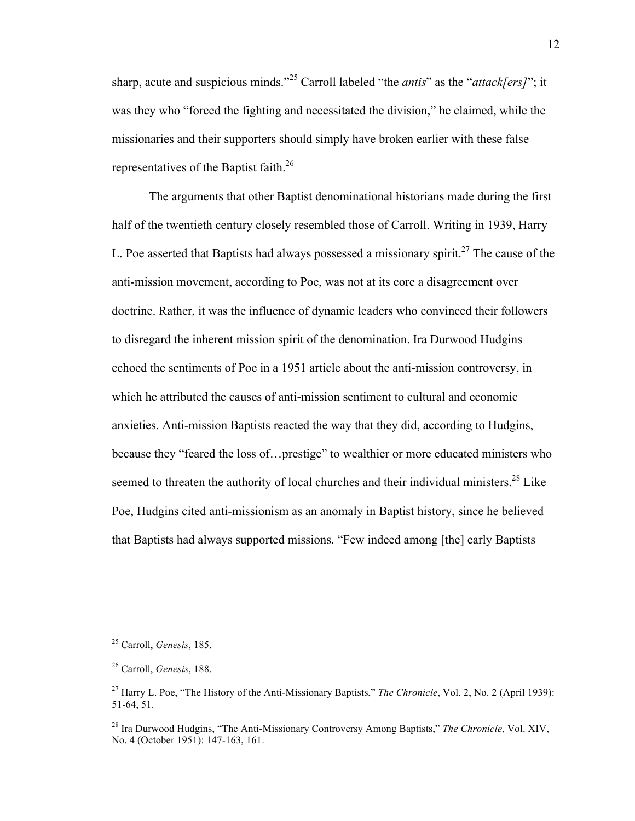sharp, acute and suspicious minds."<sup>25</sup> Carroll labeled "the *antis*" as the "*attack[ers]*"; it was they who "forced the fighting and necessitated the division," he claimed, while the missionaries and their supporters should simply have broken earlier with these false representatives of the Baptist faith.<sup>26</sup>

The arguments that other Baptist denominational historians made during the first half of the twentieth century closely resembled those of Carroll. Writing in 1939, Harry L. Poe asserted that Baptists had always possessed a missionary spirit.<sup>27</sup> The cause of the anti-mission movement, according to Poe, was not at its core a disagreement over doctrine. Rather, it was the influence of dynamic leaders who convinced their followers to disregard the inherent mission spirit of the denomination. Ira Durwood Hudgins echoed the sentiments of Poe in a 1951 article about the anti-mission controversy, in which he attributed the causes of anti-mission sentiment to cultural and economic anxieties. Anti-mission Baptists reacted the way that they did, according to Hudgins, because they "feared the loss of…prestige" to wealthier or more educated ministers who seemed to threaten the authority of local churches and their individual ministers.<sup>28</sup> Like Poe, Hudgins cited anti-missionism as an anomaly in Baptist history, since he believed that Baptists had always supported missions. "Few indeed among [the] early Baptists

<sup>25</sup> Carroll, *Genesis*, 185.

<sup>26</sup> Carroll, *Genesis*, 188.

<sup>27</sup> Harry L. Poe, "The History of the Anti-Missionary Baptists," *The Chronicle*, Vol. 2, No. 2 (April 1939): 51-64, 51.

<sup>28</sup> Ira Durwood Hudgins, "The Anti-Missionary Controversy Among Baptists," *The Chronicle*, Vol. XIV, No. 4 (October 1951): 147-163, 161.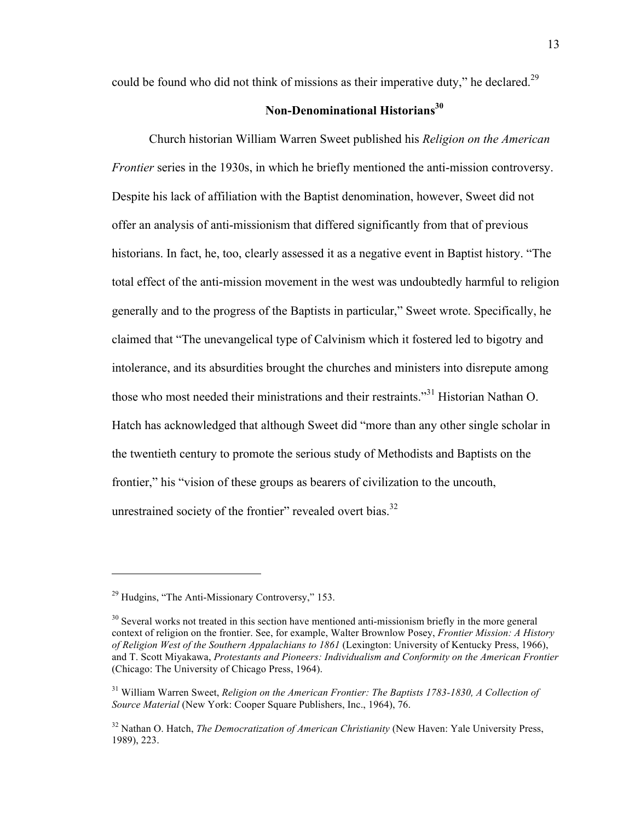could be found who did not think of missions as their imperative duty," he declared.<sup>29</sup>

## **Non-Denominational Historians30**

Church historian William Warren Sweet published his *Religion on the American Frontier* series in the 1930s, in which he briefly mentioned the anti-mission controversy. Despite his lack of affiliation with the Baptist denomination, however, Sweet did not offer an analysis of anti-missionism that differed significantly from that of previous historians. In fact, he, too, clearly assessed it as a negative event in Baptist history. "The total effect of the anti-mission movement in the west was undoubtedly harmful to religion generally and to the progress of the Baptists in particular," Sweet wrote. Specifically, he claimed that "The unevangelical type of Calvinism which it fostered led to bigotry and intolerance, and its absurdities brought the churches and ministers into disrepute among those who most needed their ministrations and their restraints."<sup>31</sup> Historian Nathan O. Hatch has acknowledged that although Sweet did "more than any other single scholar in the twentieth century to promote the serious study of Methodists and Baptists on the frontier," his "vision of these groups as bearers of civilization to the uncouth, unrestrained society of the frontier" revealed overt bias.<sup>32</sup>

<sup>&</sup>lt;sup>29</sup> Hudgins, "The Anti-Missionary Controversy," 153.

<sup>&</sup>lt;sup>30</sup> Several works not treated in this section have mentioned anti-missionism briefly in the more general context of religion on the frontier. See, for example, Walter Brownlow Posey, *Frontier Mission: A History of Religion West of the Southern Appalachians to 1861* (Lexington: University of Kentucky Press, 1966), and T. Scott Miyakawa, *Protestants and Pioneers: Individualism and Conformity on the American Frontier* (Chicago: The University of Chicago Press, 1964).

<sup>31</sup> William Warren Sweet, *Religion on the American Frontier: The Baptists 1783-1830, A Collection of Source Material* (New York: Cooper Square Publishers, Inc., 1964), 76.

<sup>&</sup>lt;sup>32</sup> Nathan O. Hatch, *The Democratization of American Christianity* (New Haven: Yale University Press, 1989), 223.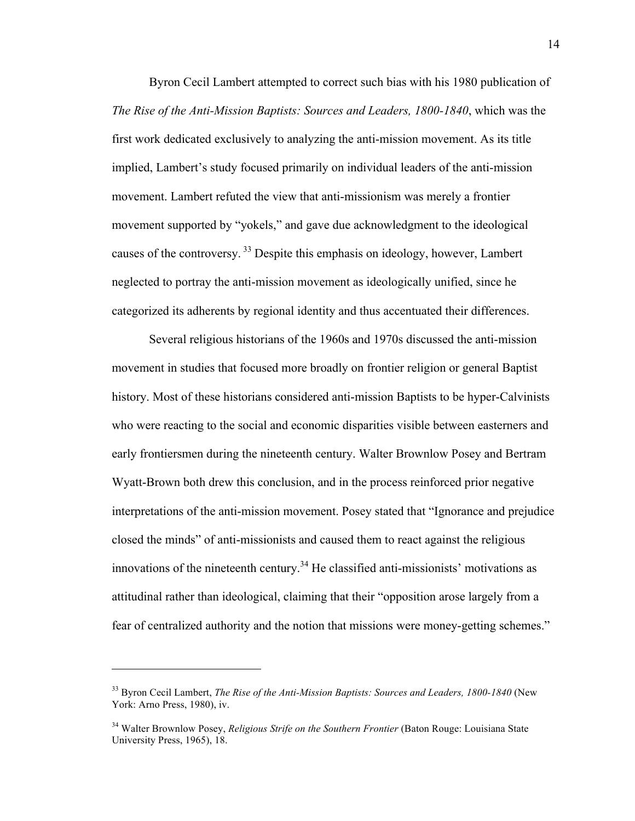Byron Cecil Lambert attempted to correct such bias with his 1980 publication of *The Rise of the Anti-Mission Baptists: Sources and Leaders, 1800-1840*, which was the first work dedicated exclusively to analyzing the anti-mission movement. As its title implied, Lambert's study focused primarily on individual leaders of the anti-mission movement. Lambert refuted the view that anti-missionism was merely a frontier movement supported by "yokels," and gave due acknowledgment to the ideological causes of the controversy. <sup>33</sup> Despite this emphasis on ideology, however, Lambert neglected to portray the anti-mission movement as ideologically unified, since he categorized its adherents by regional identity and thus accentuated their differences.

Several religious historians of the 1960s and 1970s discussed the anti-mission movement in studies that focused more broadly on frontier religion or general Baptist history. Most of these historians considered anti-mission Baptists to be hyper-Calvinists who were reacting to the social and economic disparities visible between easterners and early frontiersmen during the nineteenth century. Walter Brownlow Posey and Bertram Wyatt-Brown both drew this conclusion, and in the process reinforced prior negative interpretations of the anti-mission movement. Posey stated that "Ignorance and prejudice closed the minds" of anti-missionists and caused them to react against the religious innovations of the nineteenth century.<sup>34</sup> He classified anti-missionists' motivations as attitudinal rather than ideological, claiming that their "opposition arose largely from a fear of centralized authority and the notion that missions were money-getting schemes."

<sup>33</sup> Byron Cecil Lambert, *The Rise of the Anti-Mission Baptists: Sources and Leaders, 1800-1840* (New York: Arno Press, 1980), iv.

<sup>34</sup> Walter Brownlow Posey, *Religious Strife on the Southern Frontier* (Baton Rouge: Louisiana State University Press, 1965), 18.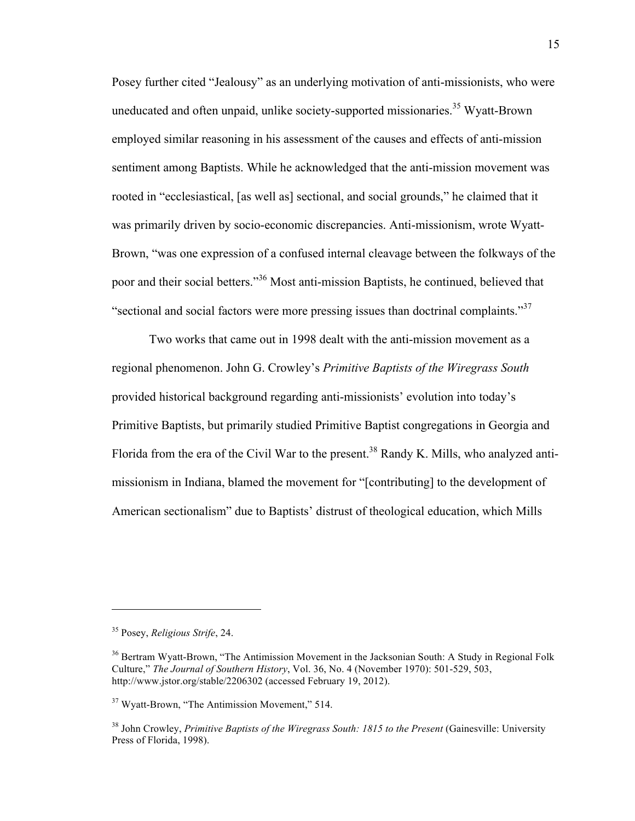Posey further cited "Jealousy" as an underlying motivation of anti-missionists, who were uneducated and often unpaid, unlike society-supported missionaries.<sup>35</sup> Wyatt-Brown employed similar reasoning in his assessment of the causes and effects of anti-mission sentiment among Baptists. While he acknowledged that the anti-mission movement was rooted in "ecclesiastical, [as well as] sectional, and social grounds," he claimed that it was primarily driven by socio-economic discrepancies. Anti-missionism, wrote Wyatt-Brown, "was one expression of a confused internal cleavage between the folkways of the poor and their social betters."36 Most anti-mission Baptists, he continued, believed that "sectional and social factors were more pressing issues than doctrinal complaints."<sup>37</sup>

Two works that came out in 1998 dealt with the anti-mission movement as a regional phenomenon. John G. Crowley's *Primitive Baptists of the Wiregrass South* provided historical background regarding anti-missionists' evolution into today's Primitive Baptists, but primarily studied Primitive Baptist congregations in Georgia and Florida from the era of the Civil War to the present.<sup>38</sup> Randy K. Mills, who analyzed antimissionism in Indiana, blamed the movement for "[contributing] to the development of American sectionalism" due to Baptists' distrust of theological education, which Mills

<sup>35</sup> Posey, *Religious Strife*, 24.

<sup>&</sup>lt;sup>36</sup> Bertram Wyatt-Brown, "The Antimission Movement in the Jacksonian South: A Study in Regional Folk Culture," *The Journal of Southern History*, Vol. 36, No. 4 (November 1970): 501-529, 503, http://www.jstor.org/stable/2206302 (accessed February 19, 2012).

<sup>&</sup>lt;sup>37</sup> Wyatt-Brown, "The Antimission Movement," 514.

<sup>38</sup> John Crowley, *Primitive Baptists of the Wiregrass South: 1815 to the Present* (Gainesville: University Press of Florida, 1998).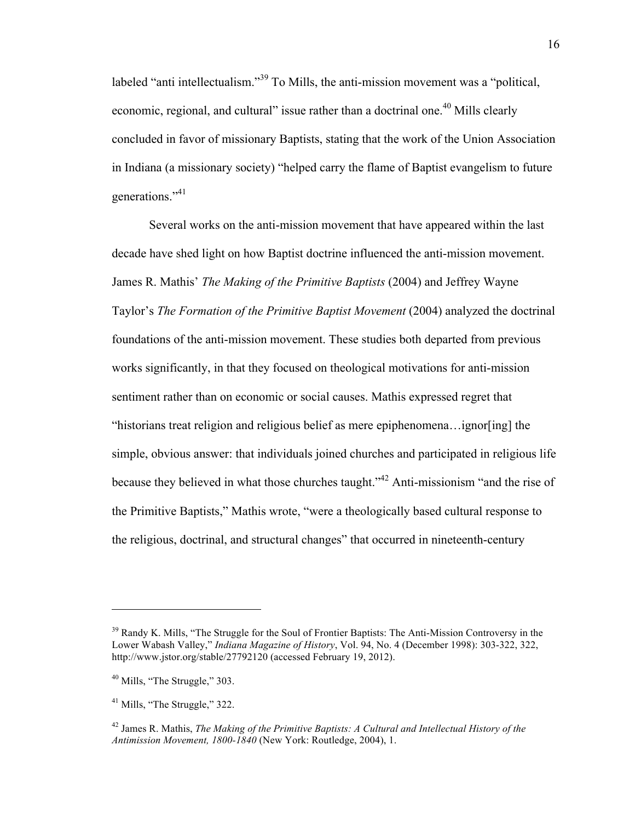labeled "anti intellectualism."<sup>39</sup> To Mills, the anti-mission movement was a "political, economic, regional, and cultural" issue rather than a doctrinal one.<sup>40</sup> Mills clearly concluded in favor of missionary Baptists, stating that the work of the Union Association in Indiana (a missionary society) "helped carry the flame of Baptist evangelism to future generations."41

Several works on the anti-mission movement that have appeared within the last decade have shed light on how Baptist doctrine influenced the anti-mission movement. James R. Mathis' *The Making of the Primitive Baptists* (2004) and Jeffrey Wayne Taylor's *The Formation of the Primitive Baptist Movement* (2004) analyzed the doctrinal foundations of the anti-mission movement. These studies both departed from previous works significantly, in that they focused on theological motivations for anti-mission sentiment rather than on economic or social causes. Mathis expressed regret that "historians treat religion and religious belief as mere epiphenomena…ignor[ing] the simple, obvious answer: that individuals joined churches and participated in religious life because they believed in what those churches taught."42 Anti-missionism "and the rise of the Primitive Baptists," Mathis wrote, "were a theologically based cultural response to the religious, doctrinal, and structural changes" that occurred in nineteenth-century

<sup>&</sup>lt;sup>39</sup> Randy K. Mills, "The Struggle for the Soul of Frontier Baptists: The Anti-Mission Controversy in the Lower Wabash Valley," *Indiana Magazine of History*, Vol. 94, No. 4 (December 1998): 303-322, 322, http://www.jstor.org/stable/27792120 (accessed February 19, 2012).

 $40$  Mills, "The Struggle," 303.

<sup>&</sup>lt;sup>41</sup> Mills, "The Struggle," 322.

<sup>42</sup> James R. Mathis, *The Making of the Primitive Baptists: A Cultural and Intellectual History of the Antimission Movement, 1800-1840* (New York: Routledge, 2004), 1.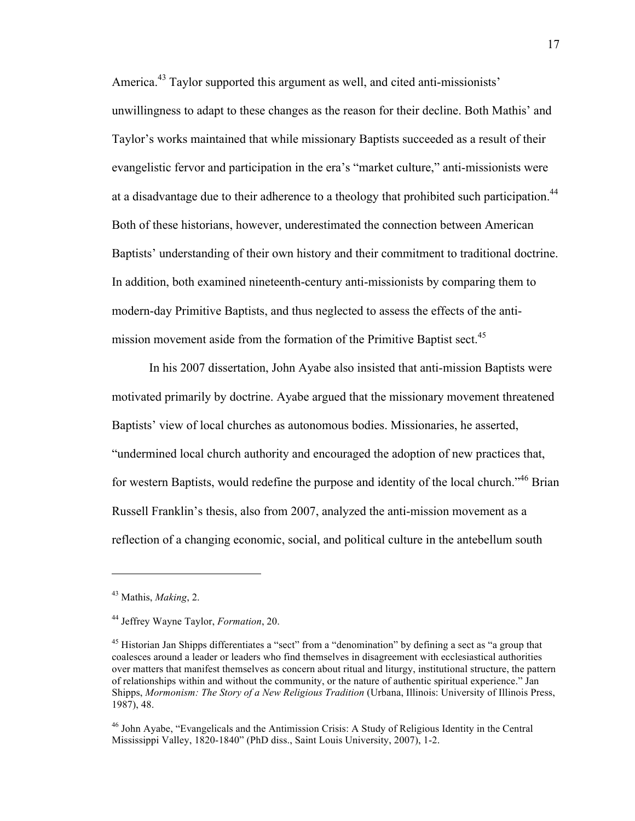America.<sup>43</sup> Taylor supported this argument as well, and cited anti-missionists' unwillingness to adapt to these changes as the reason for their decline. Both Mathis' and Taylor's works maintained that while missionary Baptists succeeded as a result of their evangelistic fervor and participation in the era's "market culture," anti-missionists were at a disadvantage due to their adherence to a theology that prohibited such participation.<sup>44</sup> Both of these historians, however, underestimated the connection between American Baptists' understanding of their own history and their commitment to traditional doctrine. In addition, both examined nineteenth-century anti-missionists by comparing them to modern-day Primitive Baptists, and thus neglected to assess the effects of the antimission movement aside from the formation of the Primitive Baptist sect.<sup>45</sup>

In his 2007 dissertation, John Ayabe also insisted that anti-mission Baptists were motivated primarily by doctrine. Ayabe argued that the missionary movement threatened Baptists' view of local churches as autonomous bodies. Missionaries, he asserted, "undermined local church authority and encouraged the adoption of new practices that, for western Baptists, would redefine the purpose and identity of the local church.<sup>46</sup> Brian Russell Franklin's thesis, also from 2007, analyzed the anti-mission movement as a reflection of a changing economic, social, and political culture in the antebellum south

<sup>43</sup> Mathis, *Making*, 2.

<sup>44</sup> Jeffrey Wayne Taylor, *Formation*, 20.

<sup>&</sup>lt;sup>45</sup> Historian Jan Shipps differentiates a "sect" from a "denomination" by defining a sect as "a group that coalesces around a leader or leaders who find themselves in disagreement with ecclesiastical authorities over matters that manifest themselves as concern about ritual and liturgy, institutional structure, the pattern of relationships within and without the community, or the nature of authentic spiritual experience." Jan Shipps, *Mormonism: The Story of a New Religious Tradition* (Urbana, Illinois: University of Illinois Press, 1987), 48.

<sup>46</sup> John Ayabe, "Evangelicals and the Antimission Crisis: A Study of Religious Identity in the Central Mississippi Valley, 1820-1840" (PhD diss., Saint Louis University, 2007), 1-2.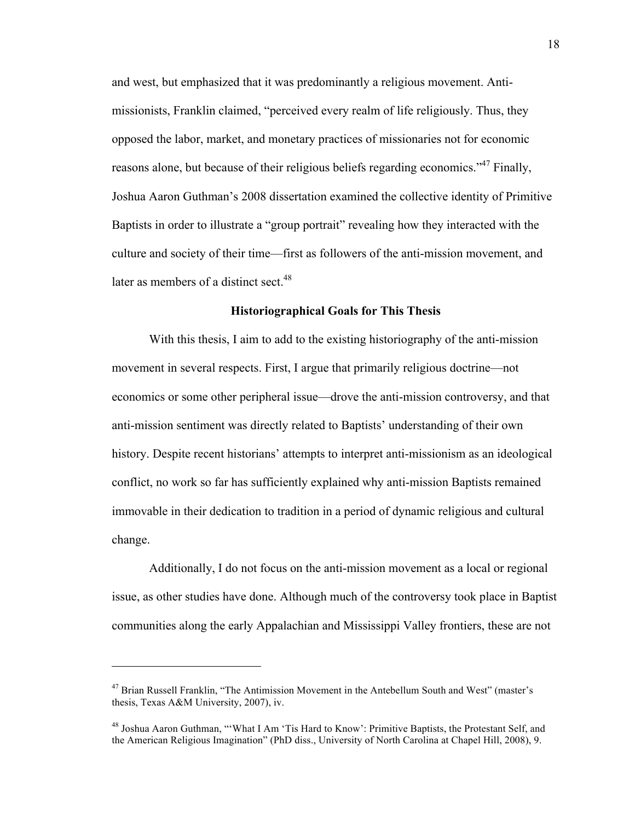and west, but emphasized that it was predominantly a religious movement. Antimissionists, Franklin claimed, "perceived every realm of life religiously. Thus, they opposed the labor, market, and monetary practices of missionaries not for economic reasons alone, but because of their religious beliefs regarding economics."<sup>47</sup> Finally, Joshua Aaron Guthman's 2008 dissertation examined the collective identity of Primitive Baptists in order to illustrate a "group portrait" revealing how they interacted with the culture and society of their time—first as followers of the anti-mission movement, and later as members of a distinct sect.<sup>48</sup>

#### **Historiographical Goals for This Thesis**

With this thesis, I aim to add to the existing historiography of the anti-mission movement in several respects. First, I argue that primarily religious doctrine—not economics or some other peripheral issue—drove the anti-mission controversy, and that anti-mission sentiment was directly related to Baptists' understanding of their own history. Despite recent historians' attempts to interpret anti-missionism as an ideological conflict, no work so far has sufficiently explained why anti-mission Baptists remained immovable in their dedication to tradition in a period of dynamic religious and cultural change.

Additionally, I do not focus on the anti-mission movement as a local or regional issue, as other studies have done. Although much of the controversy took place in Baptist communities along the early Appalachian and Mississippi Valley frontiers, these are not

<sup>&</sup>lt;sup>47</sup> Brian Russell Franklin, "The Antimission Movement in the Antebellum South and West" (master's thesis, Texas A&M University, 2007), iv.

<sup>&</sup>lt;sup>48</sup> Joshua Aaron Guthman, "'What I Am 'Tis Hard to Know': Primitive Baptists, the Protestant Self, and the American Religious Imagination" (PhD diss., University of North Carolina at Chapel Hill, 2008), 9.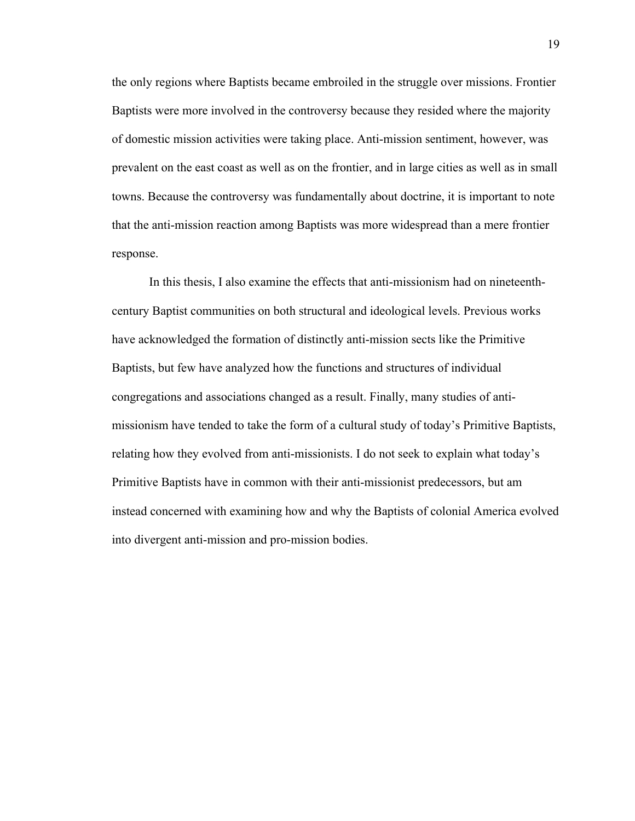the only regions where Baptists became embroiled in the struggle over missions. Frontier Baptists were more involved in the controversy because they resided where the majority of domestic mission activities were taking place. Anti-mission sentiment, however, was prevalent on the east coast as well as on the frontier, and in large cities as well as in small towns. Because the controversy was fundamentally about doctrine, it is important to note that the anti-mission reaction among Baptists was more widespread than a mere frontier response.

In this thesis, I also examine the effects that anti-missionism had on nineteenthcentury Baptist communities on both structural and ideological levels. Previous works have acknowledged the formation of distinctly anti-mission sects like the Primitive Baptists, but few have analyzed how the functions and structures of individual congregations and associations changed as a result. Finally, many studies of antimissionism have tended to take the form of a cultural study of today's Primitive Baptists, relating how they evolved from anti-missionists. I do not seek to explain what today's Primitive Baptists have in common with their anti-missionist predecessors, but am instead concerned with examining how and why the Baptists of colonial America evolved into divergent anti-mission and pro-mission bodies.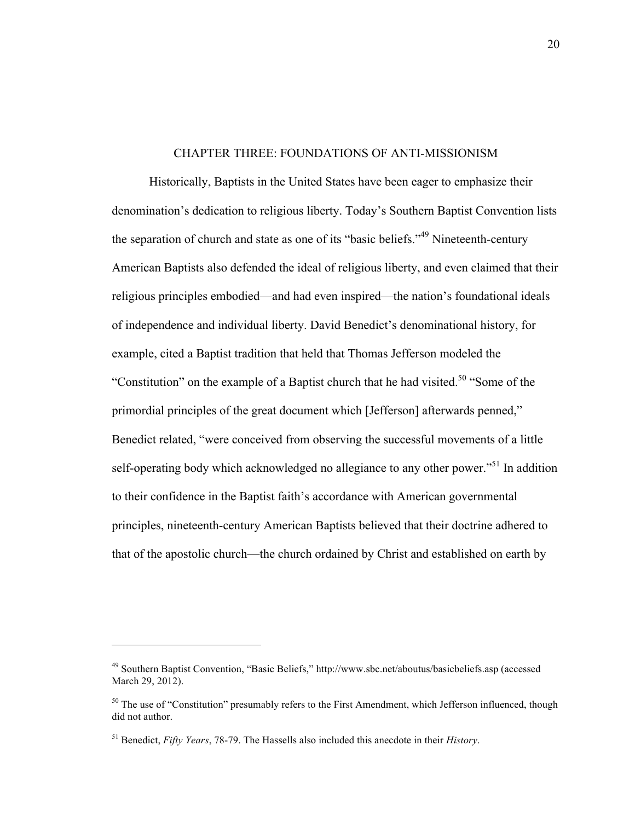#### CHAPTER THREE: FOUNDATIONS OF ANTI-MISSIONISM

Historically, Baptists in the United States have been eager to emphasize their denomination's dedication to religious liberty. Today's Southern Baptist Convention lists the separation of church and state as one of its "basic beliefs."<sup>49</sup> Nineteenth-century American Baptists also defended the ideal of religious liberty, and even claimed that their religious principles embodied—and had even inspired—the nation's foundational ideals of independence and individual liberty. David Benedict's denominational history, for example, cited a Baptist tradition that held that Thomas Jefferson modeled the "Constitution" on the example of a Baptist church that he had visited.<sup>50</sup> "Some of the primordial principles of the great document which [Jefferson] afterwards penned," Benedict related, "were conceived from observing the successful movements of a little self-operating body which acknowledged no allegiance to any other power.<sup>551</sup> In addition to their confidence in the Baptist faith's accordance with American governmental principles, nineteenth-century American Baptists believed that their doctrine adhered to that of the apostolic church—the church ordained by Christ and established on earth by

<sup>49</sup> Southern Baptist Convention, "Basic Beliefs," http://www.sbc.net/aboutus/basicbeliefs.asp (accessed March 29, 2012).

<sup>&</sup>lt;sup>50</sup> The use of "Constitution" presumably refers to the First Amendment, which Jefferson influenced, though did not author.

<sup>51</sup> Benedict, *Fifty Years*, 78-79. The Hassells also included this anecdote in their *History*.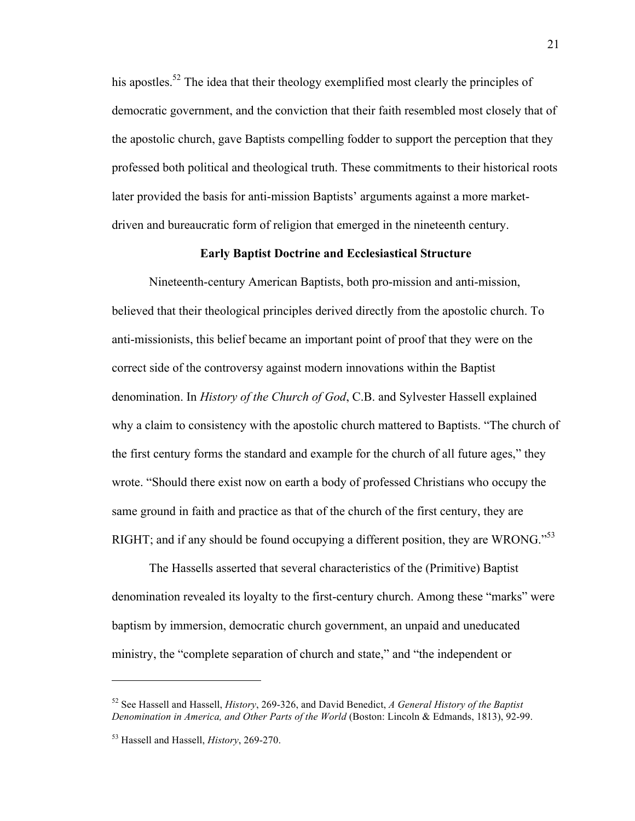his apostles.<sup>52</sup> The idea that their theology exemplified most clearly the principles of democratic government, and the conviction that their faith resembled most closely that of the apostolic church, gave Baptists compelling fodder to support the perception that they professed both political and theological truth. These commitments to their historical roots later provided the basis for anti-mission Baptists' arguments against a more marketdriven and bureaucratic form of religion that emerged in the nineteenth century.

#### **Early Baptist Doctrine and Ecclesiastical Structure**

Nineteenth-century American Baptists, both pro-mission and anti-mission, believed that their theological principles derived directly from the apostolic church. To anti-missionists, this belief became an important point of proof that they were on the correct side of the controversy against modern innovations within the Baptist denomination. In *History of the Church of God*, C.B. and Sylvester Hassell explained why a claim to consistency with the apostolic church mattered to Baptists. "The church of the first century forms the standard and example for the church of all future ages," they wrote. "Should there exist now on earth a body of professed Christians who occupy the same ground in faith and practice as that of the church of the first century, they are RIGHT; and if any should be found occupying a different position, they are WRONG.<sup>553</sup>

The Hassells asserted that several characteristics of the (Primitive) Baptist denomination revealed its loyalty to the first-century church. Among these "marks" were baptism by immersion, democratic church government, an unpaid and uneducated ministry, the "complete separation of church and state," and "the independent or

<sup>52</sup> See Hassell and Hassell, *History*, 269-326, and David Benedict, *A General History of the Baptist Denomination in America, and Other Parts of the World* (Boston: Lincoln & Edmands, 1813), 92-99.

<sup>53</sup> Hassell and Hassell, *History*, 269-270.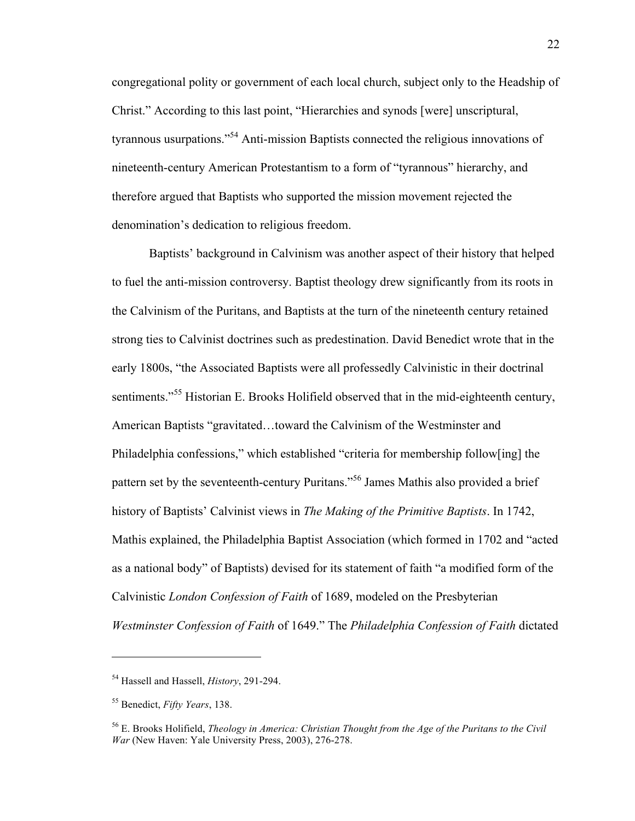congregational polity or government of each local church, subject only to the Headship of Christ." According to this last point, "Hierarchies and synods [were] unscriptural, tyrannous usurpations."<sup>54</sup> Anti-mission Baptists connected the religious innovations of nineteenth-century American Protestantism to a form of "tyrannous" hierarchy, and therefore argued that Baptists who supported the mission movement rejected the denomination's dedication to religious freedom.

Baptists' background in Calvinism was another aspect of their history that helped to fuel the anti-mission controversy. Baptist theology drew significantly from its roots in the Calvinism of the Puritans, and Baptists at the turn of the nineteenth century retained strong ties to Calvinist doctrines such as predestination. David Benedict wrote that in the early 1800s, "the Associated Baptists were all professedly Calvinistic in their doctrinal sentiments."<sup>55</sup> Historian E. Brooks Holifield observed that in the mid-eighteenth century, American Baptists "gravitated…toward the Calvinism of the Westminster and Philadelphia confessions," which established "criteria for membership follow[ing] the pattern set by the seventeenth-century Puritans."56 James Mathis also provided a brief history of Baptists' Calvinist views in *The Making of the Primitive Baptists*. In 1742, Mathis explained, the Philadelphia Baptist Association (which formed in 1702 and "acted as a national body" of Baptists) devised for its statement of faith "a modified form of the Calvinistic *London Confession of Faith* of 1689, modeled on the Presbyterian *Westminster Confession of Faith* of 1649." The *Philadelphia Confession of Faith* dictated

<sup>54</sup> Hassell and Hassell, *History*, 291-294.

<sup>55</sup> Benedict, *Fifty Years*, 138.

<sup>56</sup> E. Brooks Holifield, *Theology in America: Christian Thought from the Age of the Puritans to the Civil War* (New Haven: Yale University Press, 2003), 276-278.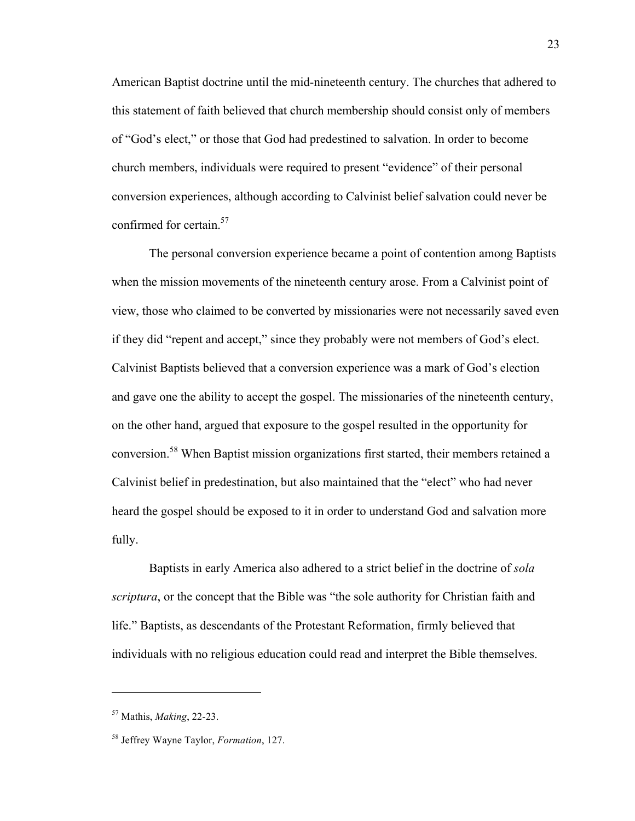American Baptist doctrine until the mid-nineteenth century. The churches that adhered to this statement of faith believed that church membership should consist only of members of "God's elect," or those that God had predestined to salvation. In order to become church members, individuals were required to present "evidence" of their personal conversion experiences, although according to Calvinist belief salvation could never be confirmed for certain.<sup>57</sup>

The personal conversion experience became a point of contention among Baptists when the mission movements of the nineteenth century arose. From a Calvinist point of view, those who claimed to be converted by missionaries were not necessarily saved even if they did "repent and accept," since they probably were not members of God's elect. Calvinist Baptists believed that a conversion experience was a mark of God's election and gave one the ability to accept the gospel. The missionaries of the nineteenth century, on the other hand, argued that exposure to the gospel resulted in the opportunity for conversion.<sup>58</sup> When Baptist mission organizations first started, their members retained a Calvinist belief in predestination, but also maintained that the "elect" who had never heard the gospel should be exposed to it in order to understand God and salvation more fully.

Baptists in early America also adhered to a strict belief in the doctrine of *sola scriptura*, or the concept that the Bible was "the sole authority for Christian faith and life." Baptists, as descendants of the Protestant Reformation, firmly believed that individuals with no religious education could read and interpret the Bible themselves.

<sup>57</sup> Mathis, *Making*, 22-23.

<sup>58</sup> Jeffrey Wayne Taylor, *Formation*, 127.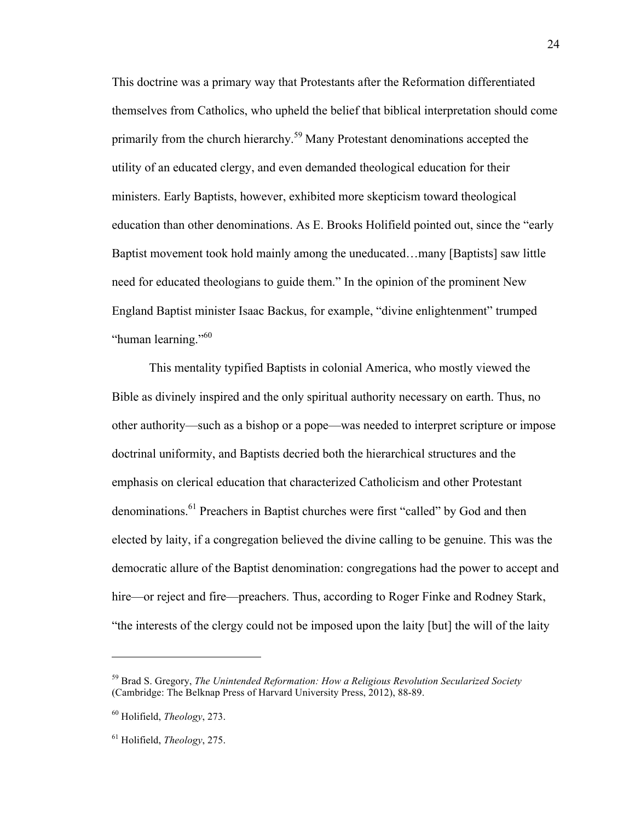This doctrine was a primary way that Protestants after the Reformation differentiated themselves from Catholics, who upheld the belief that biblical interpretation should come primarily from the church hierarchy.<sup>59</sup> Many Protestant denominations accepted the utility of an educated clergy, and even demanded theological education for their ministers. Early Baptists, however, exhibited more skepticism toward theological education than other denominations. As E. Brooks Holifield pointed out, since the "early Baptist movement took hold mainly among the uneducated…many [Baptists] saw little need for educated theologians to guide them." In the opinion of the prominent New England Baptist minister Isaac Backus, for example, "divine enlightenment" trumped "human learning."<sup>60</sup>

This mentality typified Baptists in colonial America, who mostly viewed the Bible as divinely inspired and the only spiritual authority necessary on earth. Thus, no other authority—such as a bishop or a pope—was needed to interpret scripture or impose doctrinal uniformity, and Baptists decried both the hierarchical structures and the emphasis on clerical education that characterized Catholicism and other Protestant denominations.<sup>61</sup> Preachers in Baptist churches were first "called" by God and then elected by laity, if a congregation believed the divine calling to be genuine. This was the democratic allure of the Baptist denomination: congregations had the power to accept and hire—or reject and fire—preachers. Thus, according to Roger Finke and Rodney Stark, "the interests of the clergy could not be imposed upon the laity [but] the will of the laity

<sup>59</sup> Brad S. Gregory, *The Unintended Reformation: How a Religious Revolution Secularized Society* (Cambridge: The Belknap Press of Harvard University Press, 2012), 88-89.

<sup>60</sup> Holifield, *Theology*, 273.

<sup>61</sup> Holifield, *Theology*, 275.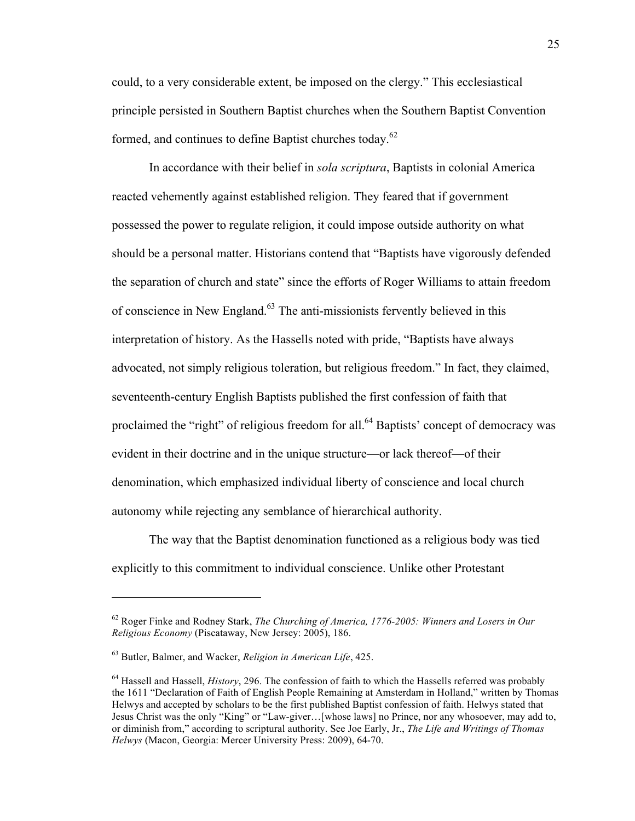could, to a very considerable extent, be imposed on the clergy." This ecclesiastical principle persisted in Southern Baptist churches when the Southern Baptist Convention formed, and continues to define Baptist churches today.<sup>62</sup>

In accordance with their belief in *sola scriptura*, Baptists in colonial America reacted vehemently against established religion. They feared that if government possessed the power to regulate religion, it could impose outside authority on what should be a personal matter. Historians contend that "Baptists have vigorously defended the separation of church and state" since the efforts of Roger Williams to attain freedom of conscience in New England. $63$  The anti-missionists fervently believed in this interpretation of history. As the Hassells noted with pride, "Baptists have always advocated, not simply religious toleration, but religious freedom." In fact, they claimed, seventeenth-century English Baptists published the first confession of faith that proclaimed the "right" of religious freedom for all.<sup>64</sup> Baptists' concept of democracy was evident in their doctrine and in the unique structure—or lack thereof—of their denomination, which emphasized individual liberty of conscience and local church autonomy while rejecting any semblance of hierarchical authority.

The way that the Baptist denomination functioned as a religious body was tied explicitly to this commitment to individual conscience. Unlike other Protestant

<sup>62</sup> Roger Finke and Rodney Stark, *The Churching of America, 1776-2005: Winners and Losers in Our Religious Economy* (Piscataway, New Jersey: 2005), 186.

<sup>63</sup> Butler, Balmer, and Wacker, *Religion in American Life*, 425.

<sup>64</sup> Hassell and Hassell, *History*, 296. The confession of faith to which the Hassells referred was probably the 1611 "Declaration of Faith of English People Remaining at Amsterdam in Holland," written by Thomas Helwys and accepted by scholars to be the first published Baptist confession of faith. Helwys stated that Jesus Christ was the only "King" or "Law-giver…[whose laws] no Prince, nor any whosoever, may add to, or diminish from," according to scriptural authority. See Joe Early, Jr., *The Life and Writings of Thomas Helwys* (Macon, Georgia: Mercer University Press: 2009), 64-70.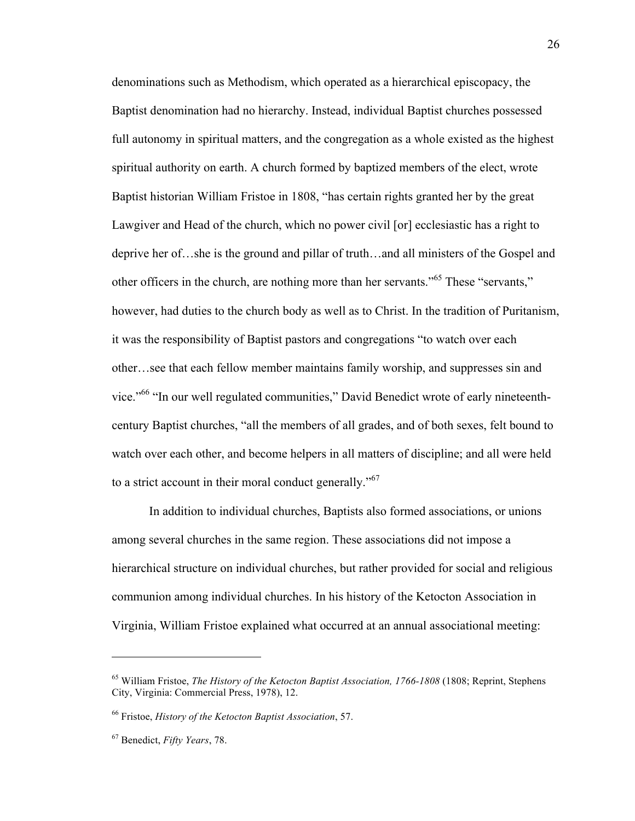denominations such as Methodism, which operated as a hierarchical episcopacy, the Baptist denomination had no hierarchy. Instead, individual Baptist churches possessed full autonomy in spiritual matters, and the congregation as a whole existed as the highest spiritual authority on earth. A church formed by baptized members of the elect, wrote Baptist historian William Fristoe in 1808, "has certain rights granted her by the great Lawgiver and Head of the church, which no power civil [or] ecclesiastic has a right to deprive her of…she is the ground and pillar of truth…and all ministers of the Gospel and other officers in the church, are nothing more than her servants."65 These "servants," however, had duties to the church body as well as to Christ. In the tradition of Puritanism, it was the responsibility of Baptist pastors and congregations "to watch over each other…see that each fellow member maintains family worship, and suppresses sin and vice."<sup>66</sup> "In our well regulated communities," David Benedict wrote of early nineteenthcentury Baptist churches, "all the members of all grades, and of both sexes, felt bound to watch over each other, and become helpers in all matters of discipline; and all were held to a strict account in their moral conduct generally."<sup>67</sup>

In addition to individual churches, Baptists also formed associations, or unions among several churches in the same region. These associations did not impose a hierarchical structure on individual churches, but rather provided for social and religious communion among individual churches. In his history of the Ketocton Association in Virginia, William Fristoe explained what occurred at an annual associational meeting:

<sup>65</sup> William Fristoe, *The History of the Ketocton Baptist Association, 1766-1808* (1808; Reprint, Stephens City, Virginia: Commercial Press, 1978), 12.

<sup>66</sup> Fristoe, *History of the Ketocton Baptist Association*, 57.

<sup>67</sup> Benedict, *Fifty Years*, 78.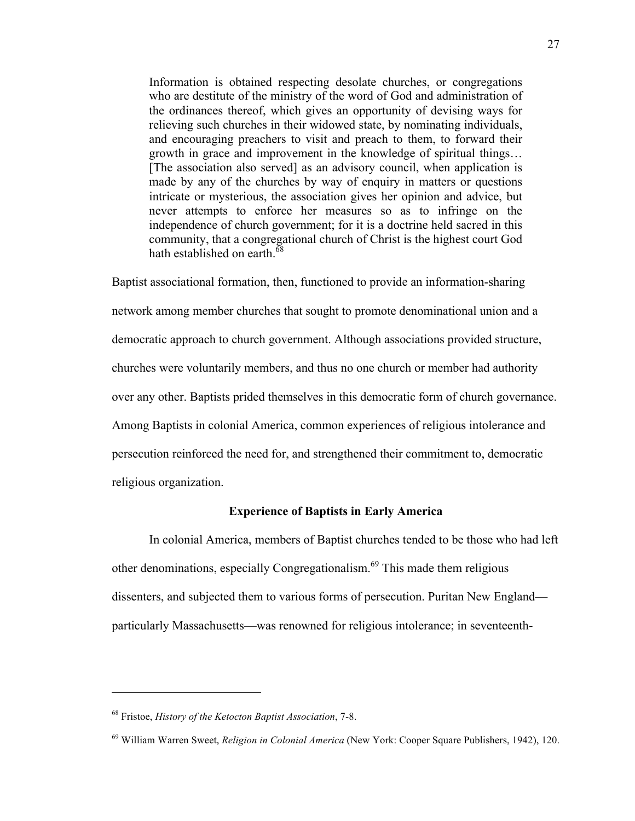Information is obtained respecting desolate churches, or congregations who are destitute of the ministry of the word of God and administration of the ordinances thereof, which gives an opportunity of devising ways for relieving such churches in their widowed state, by nominating individuals, and encouraging preachers to visit and preach to them, to forward their growth in grace and improvement in the knowledge of spiritual things… [The association also served] as an advisory council, when application is made by any of the churches by way of enquiry in matters or questions intricate or mysterious, the association gives her opinion and advice, but never attempts to enforce her measures so as to infringe on the independence of church government; for it is a doctrine held sacred in this community, that a congregational church of Christ is the highest court God hath established on earth.<sup>68</sup>

Baptist associational formation, then, functioned to provide an information-sharing network among member churches that sought to promote denominational union and a democratic approach to church government. Although associations provided structure, churches were voluntarily members, and thus no one church or member had authority over any other. Baptists prided themselves in this democratic form of church governance. Among Baptists in colonial America, common experiences of religious intolerance and persecution reinforced the need for, and strengthened their commitment to, democratic religious organization.

### **Experience of Baptists in Early America**

In colonial America, members of Baptist churches tended to be those who had left other denominations, especially Congregationalism.<sup>69</sup> This made them religious dissenters, and subjected them to various forms of persecution. Puritan New England particularly Massachusetts—was renowned for religious intolerance; in seventeenth-

<sup>68</sup> Fristoe, *History of the Ketocton Baptist Association*, 7-8.

<sup>69</sup> William Warren Sweet, *Religion in Colonial America* (New York: Cooper Square Publishers, 1942), 120.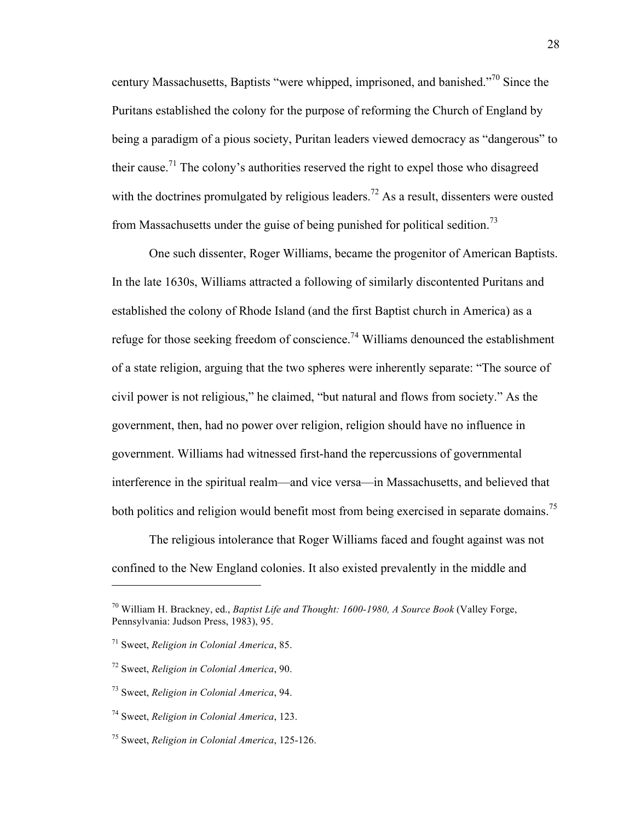century Massachusetts, Baptists "were whipped, imprisoned, and banished."70 Since the Puritans established the colony for the purpose of reforming the Church of England by being a paradigm of a pious society, Puritan leaders viewed democracy as "dangerous" to their cause.<sup>71</sup> The colony's authorities reserved the right to expel those who disagreed with the doctrines promulgated by religious leaders.<sup>72</sup> As a result, dissenters were ousted from Massachusetts under the guise of being punished for political sedition.<sup>73</sup>

One such dissenter, Roger Williams, became the progenitor of American Baptists. In the late 1630s, Williams attracted a following of similarly discontented Puritans and established the colony of Rhode Island (and the first Baptist church in America) as a refuge for those seeking freedom of conscience.<sup>74</sup> Williams denounced the establishment of a state religion, arguing that the two spheres were inherently separate: "The source of civil power is not religious," he claimed, "but natural and flows from society." As the government, then, had no power over religion, religion should have no influence in government. Williams had witnessed first-hand the repercussions of governmental interference in the spiritual realm—and vice versa—in Massachusetts, and believed that both politics and religion would benefit most from being exercised in separate domains.<sup>75</sup>

The religious intolerance that Roger Williams faced and fought against was not confined to the New England colonies. It also existed prevalently in the middle and

<sup>70</sup> William H. Brackney, ed., *Baptist Life and Thought: 1600-1980, A Source Book* (Valley Forge, Pennsylvania: Judson Press, 1983), 95.

<sup>71</sup> Sweet, *Religion in Colonial America*, 85.

<sup>72</sup> Sweet, *Religion in Colonial America*, 90.

<sup>73</sup> Sweet, *Religion in Colonial America*, 94.

<sup>74</sup> Sweet, *Religion in Colonial America*, 123.

<sup>75</sup> Sweet, *Religion in Colonial America*, 125-126.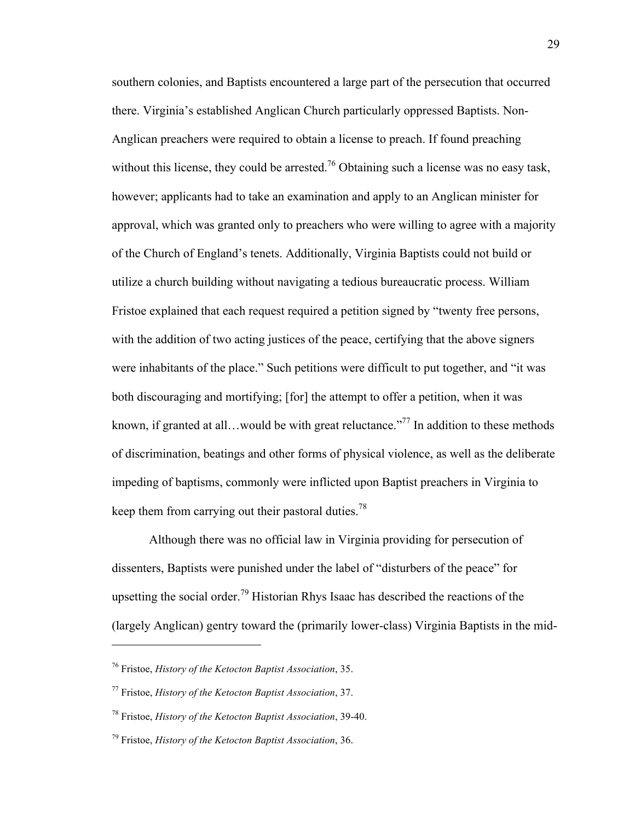southern colonies, and Baptists encountered a large part of the persecution that occurred there. Virginia's established Anglican Church particularly oppressed Baptists. Non-Anglican preachers were required to obtain a license to preach. If found preaching without this license, they could be arrested.<sup>76</sup> Obtaining such a license was no easy task, however; applicants had to take an examination and apply to an Anglican minister for approval, which was granted only to preachers who were willing to agree with a majority of the Church of England's tenets. Additionally, Virginia Baptists could not build or utilize a church building without navigating a tedious bureaucratic process. William Fristoe explained that each request required a petition signed by "twenty free persons, with the addition of two acting justices of the peace, certifying that the above signers were inhabitants of the place." Such petitions were difficult to put together, and "it was both discouraging and mortifying; [for] the attempt to offer a petition, when it was known, if granted at all...would be with great reluctance."<sup>77</sup> In addition to these methods of discrimination, beatings and other forms of physical violence, as well as the deliberate impeding of baptisms, commonly were inflicted upon Baptist preachers in Virginia to keep them from carrying out their pastoral duties.<sup>78</sup>

Although there was no official law in Virginia providing for persecution of dissenters, Baptists were punished under the label of "disturbers of the peace" for upsetting the social order.<sup>79</sup> Historian Rhys Isaac has described the reactions of the (largely Anglican) gentry toward the (primarily lower-class) Virginia Baptists in the mid-

<sup>76</sup> Fristoe, *History of the Ketocton Baptist Association*, 35.

<sup>77</sup> Fristoe, *History of the Ketocton Baptist Association*, 37.

<sup>78</sup> Fristoe, *History of the Ketocton Baptist Association*, 39-40.

<sup>79</sup> Fristoe, *History of the Ketocton Baptist Association*, 36.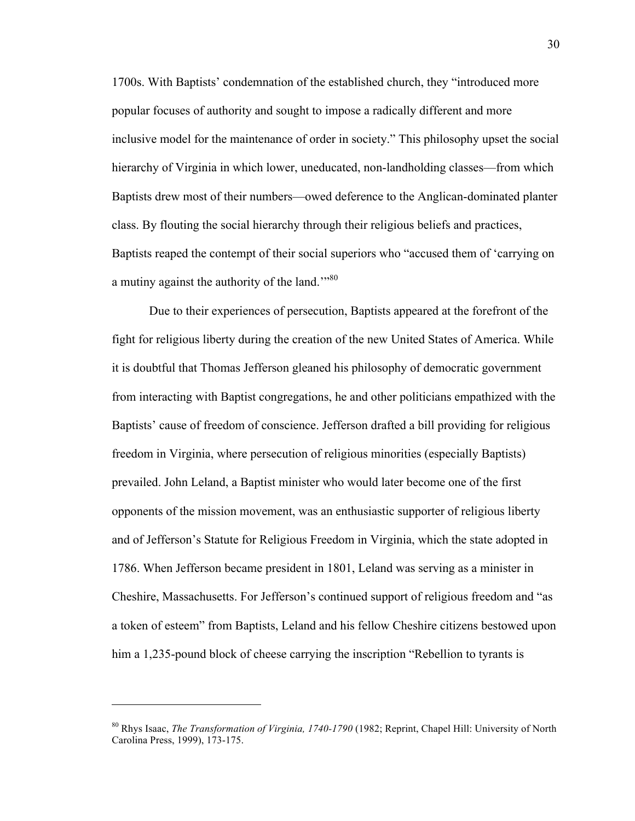1700s. With Baptists' condemnation of the established church, they "introduced more popular focuses of authority and sought to impose a radically different and more inclusive model for the maintenance of order in society." This philosophy upset the social hierarchy of Virginia in which lower, uneducated, non-landholding classes—from which Baptists drew most of their numbers—owed deference to the Anglican-dominated planter class. By flouting the social hierarchy through their religious beliefs and practices, Baptists reaped the contempt of their social superiors who "accused them of 'carrying on a mutiny against the authority of the land."<sup>80</sup>

Due to their experiences of persecution, Baptists appeared at the forefront of the fight for religious liberty during the creation of the new United States of America. While it is doubtful that Thomas Jefferson gleaned his philosophy of democratic government from interacting with Baptist congregations, he and other politicians empathized with the Baptists' cause of freedom of conscience. Jefferson drafted a bill providing for religious freedom in Virginia, where persecution of religious minorities (especially Baptists) prevailed. John Leland, a Baptist minister who would later become one of the first opponents of the mission movement, was an enthusiastic supporter of religious liberty and of Jefferson's Statute for Religious Freedom in Virginia, which the state adopted in 1786. When Jefferson became president in 1801, Leland was serving as a minister in Cheshire, Massachusetts. For Jefferson's continued support of religious freedom and "as a token of esteem" from Baptists, Leland and his fellow Cheshire citizens bestowed upon him a 1,235-pound block of cheese carrying the inscription "Rebellion to tyrants is

<sup>80</sup> Rhys Isaac, *The Transformation of Virginia, 1740-1790* (1982; Reprint, Chapel Hill: University of North Carolina Press, 1999), 173-175.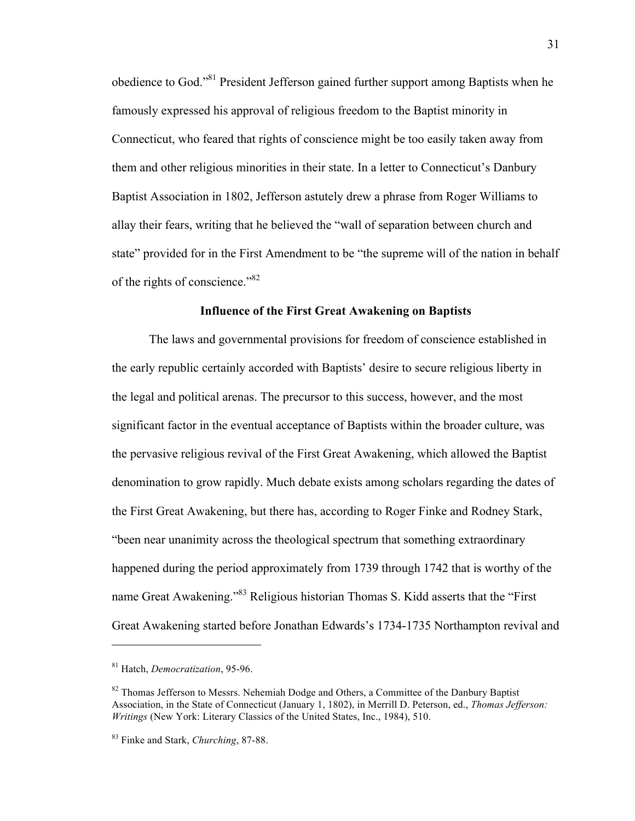obedience to God."81 President Jefferson gained further support among Baptists when he famously expressed his approval of religious freedom to the Baptist minority in Connecticut, who feared that rights of conscience might be too easily taken away from them and other religious minorities in their state. In a letter to Connecticut's Danbury Baptist Association in 1802, Jefferson astutely drew a phrase from Roger Williams to allay their fears, writing that he believed the "wall of separation between church and state" provided for in the First Amendment to be "the supreme will of the nation in behalf of the rights of conscience."82

### **Influence of the First Great Awakening on Baptists**

The laws and governmental provisions for freedom of conscience established in the early republic certainly accorded with Baptists' desire to secure religious liberty in the legal and political arenas. The precursor to this success, however, and the most significant factor in the eventual acceptance of Baptists within the broader culture, was the pervasive religious revival of the First Great Awakening, which allowed the Baptist denomination to grow rapidly. Much debate exists among scholars regarding the dates of the First Great Awakening, but there has, according to Roger Finke and Rodney Stark, "been near unanimity across the theological spectrum that something extraordinary happened during the period approximately from 1739 through 1742 that is worthy of the name Great Awakening."<sup>83</sup> Religious historian Thomas S. Kidd asserts that the "First" Great Awakening started before Jonathan Edwards's 1734-1735 Northampton revival and

<sup>81</sup> Hatch, *Democratization*, 95-96.

 $82$  Thomas Jefferson to Messrs. Nehemiah Dodge and Others, a Committee of the Danbury Baptist Association, in the State of Connecticut (January 1, 1802), in Merrill D. Peterson, ed., *Thomas Jefferson: Writings* (New York: Literary Classics of the United States, Inc., 1984), 510.

<sup>83</sup> Finke and Stark, *Churching*, 87-88.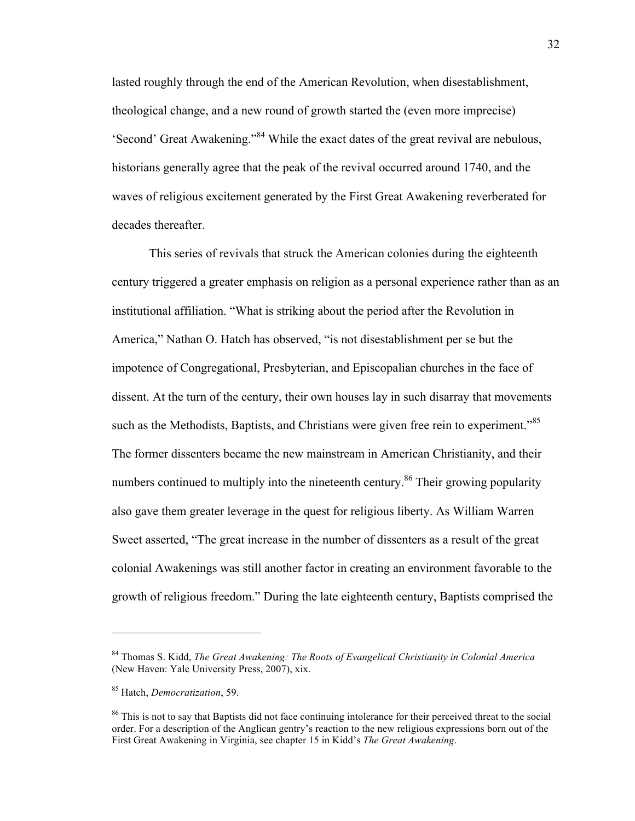lasted roughly through the end of the American Revolution, when disestablishment, theological change, and a new round of growth started the (even more imprecise) 'Second' Great Awakening."<sup>84</sup> While the exact dates of the great revival are nebulous, historians generally agree that the peak of the revival occurred around 1740, and the waves of religious excitement generated by the First Great Awakening reverberated for decades thereafter.

This series of revivals that struck the American colonies during the eighteenth century triggered a greater emphasis on religion as a personal experience rather than as an institutional affiliation. "What is striking about the period after the Revolution in America," Nathan O. Hatch has observed, "is not disestablishment per se but the impotence of Congregational, Presbyterian, and Episcopalian churches in the face of dissent. At the turn of the century, their own houses lay in such disarray that movements such as the Methodists, Baptists, and Christians were given free rein to experiment.<sup>85</sup> The former dissenters became the new mainstream in American Christianity, and their numbers continued to multiply into the nineteenth century.<sup>86</sup> Their growing popularity also gave them greater leverage in the quest for religious liberty. As William Warren Sweet asserted, "The great increase in the number of dissenters as a result of the great colonial Awakenings was still another factor in creating an environment favorable to the growth of religious freedom." During the late eighteenth century, Baptists comprised the

<sup>84</sup> Thomas S. Kidd, *The Great Awakening: The Roots of Evangelical Christianity in Colonial America* (New Haven: Yale University Press, 2007), xix.

<sup>85</sup> Hatch, *Democratization*, 59.

<sup>&</sup>lt;sup>86</sup> This is not to say that Baptists did not face continuing intolerance for their perceived threat to the social order. For a description of the Anglican gentry's reaction to the new religious expressions born out of the First Great Awakening in Virginia, see chapter 15 in Kidd's *The Great Awakening*.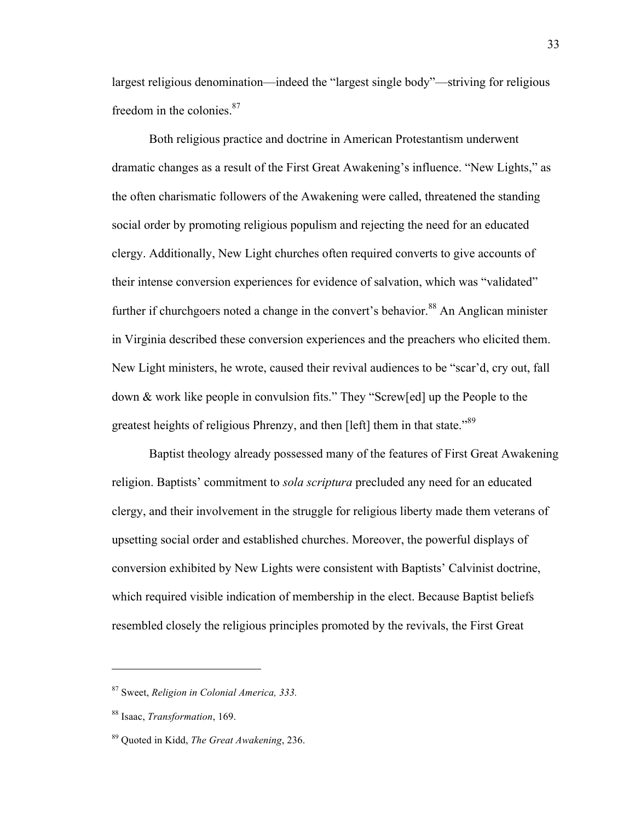largest religious denomination—indeed the "largest single body"—striving for religious freedom in the colonies.<sup>87</sup>

Both religious practice and doctrine in American Protestantism underwent dramatic changes as a result of the First Great Awakening's influence. "New Lights," as the often charismatic followers of the Awakening were called, threatened the standing social order by promoting religious populism and rejecting the need for an educated clergy. Additionally, New Light churches often required converts to give accounts of their intense conversion experiences for evidence of salvation, which was "validated" further if churchgoers noted a change in the convert's behavior.<sup>88</sup> An Anglican minister in Virginia described these conversion experiences and the preachers who elicited them. New Light ministers, he wrote, caused their revival audiences to be "scar'd, cry out, fall down & work like people in convulsion fits." They "Screw[ed] up the People to the greatest heights of religious Phrenzy, and then [left] them in that state."<sup>89</sup>

Baptist theology already possessed many of the features of First Great Awakening religion. Baptists' commitment to *sola scriptura* precluded any need for an educated clergy, and their involvement in the struggle for religious liberty made them veterans of upsetting social order and established churches. Moreover, the powerful displays of conversion exhibited by New Lights were consistent with Baptists' Calvinist doctrine, which required visible indication of membership in the elect. Because Baptist beliefs resembled closely the religious principles promoted by the revivals, the First Great

<sup>87</sup> Sweet, *Religion in Colonial America, 333.*

<sup>88</sup> Isaac, *Transformation*, 169.

<sup>89</sup> Quoted in Kidd, *The Great Awakening*, 236.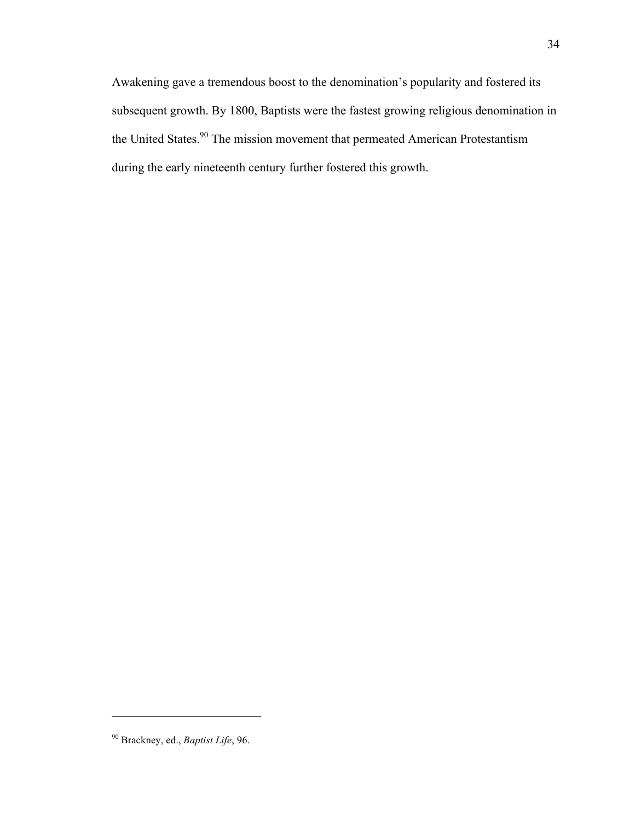Awakening gave a tremendous boost to the denomination's popularity and fostered its subsequent growth. By 1800, Baptists were the fastest growing religious denomination in the United States.<sup>90</sup> The mission movement that permeated American Protestantism during the early nineteenth century further fostered this growth.

<sup>90</sup> Brackney, ed., *Baptist Life*, 96.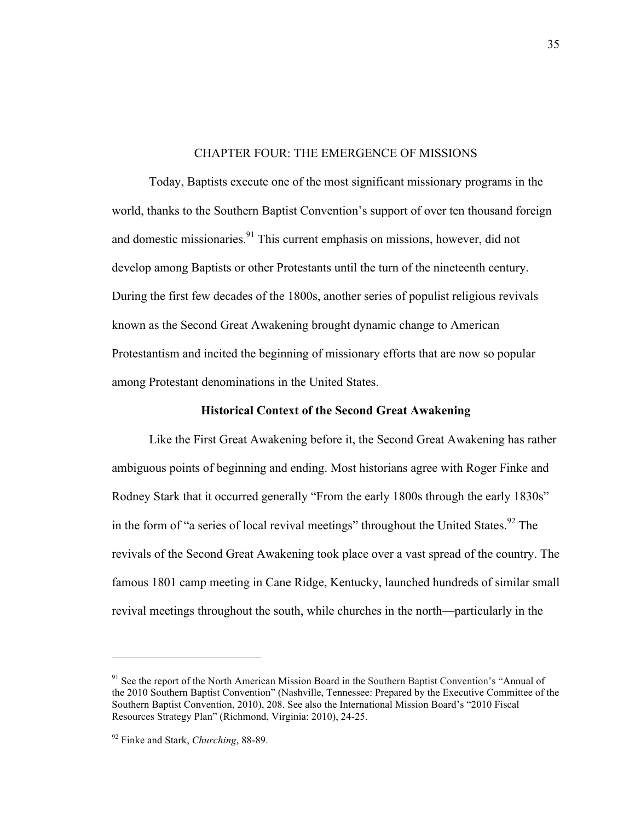# CHAPTER FOUR: THE EMERGENCE OF MISSIONS

Today, Baptists execute one of the most significant missionary programs in the world, thanks to the Southern Baptist Convention's support of over ten thousand foreign and domestic missionaries. $91$  This current emphasis on missions, however, did not develop among Baptists or other Protestants until the turn of the nineteenth century. During the first few decades of the 1800s, another series of populist religious revivals known as the Second Great Awakening brought dynamic change to American Protestantism and incited the beginning of missionary efforts that are now so popular among Protestant denominations in the United States.

# **Historical Context of the Second Great Awakening**

Like the First Great Awakening before it, the Second Great Awakening has rather ambiguous points of beginning and ending. Most historians agree with Roger Finke and Rodney Stark that it occurred generally "From the early 1800s through the early 1830s" in the form of "a series of local revival meetings" throughout the United States.  $92$  The revivals of the Second Great Awakening took place over a vast spread of the country. The famous 1801 camp meeting in Cane Ridge, Kentucky, launched hundreds of similar small revival meetings throughout the south, while churches in the north—particularly in the

<sup>&</sup>lt;sup>91</sup> See the report of the North American Mission Board in the Southern Baptist Convention's "Annual of the 2010 Southern Baptist Convention" (Nashville, Tennessee: Prepared by the Executive Committee of the Southern Baptist Convention, 2010), 208. See also the International Mission Board's "2010 Fiscal Resources Strategy Plan" (Richmond, Virginia: 2010), 24-25.

<sup>92</sup> Finke and Stark, *Churching*, 88-89.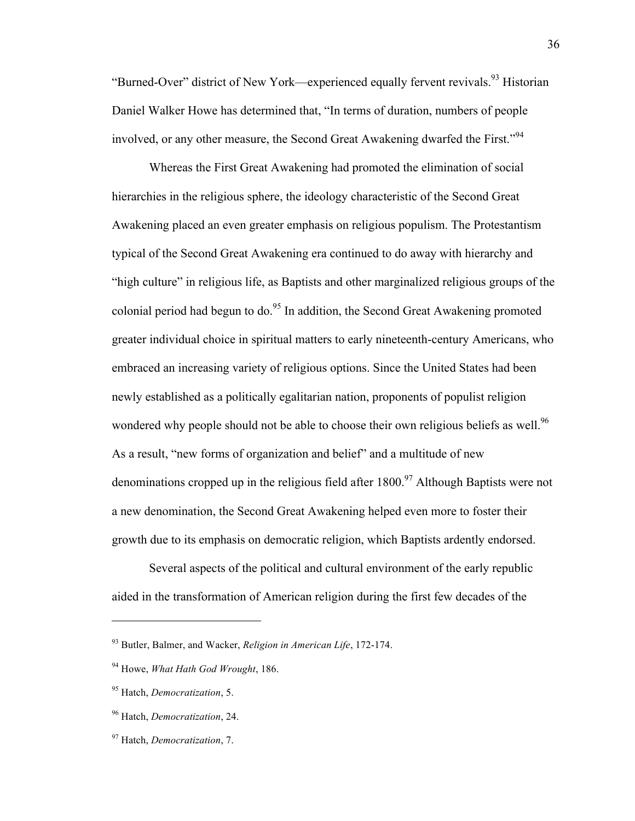"Burned-Over" district of New York—experienced equally fervent revivals.<sup>93</sup> Historian Daniel Walker Howe has determined that, "In terms of duration, numbers of people involved, or any other measure, the Second Great Awakening dwarfed the First."<sup>94</sup>

Whereas the First Great Awakening had promoted the elimination of social hierarchies in the religious sphere, the ideology characteristic of the Second Great Awakening placed an even greater emphasis on religious populism. The Protestantism typical of the Second Great Awakening era continued to do away with hierarchy and "high culture" in religious life, as Baptists and other marginalized religious groups of the colonial period had begun to do.<sup>95</sup> In addition, the Second Great Awakening promoted greater individual choice in spiritual matters to early nineteenth-century Americans, who embraced an increasing variety of religious options. Since the United States had been newly established as a politically egalitarian nation, proponents of populist religion wondered why people should not be able to choose their own religious beliefs as well.<sup>96</sup> As a result, "new forms of organization and belief" and a multitude of new denominations cropped up in the religious field after  $1800$ <sup>97</sup> Although Baptists were not a new denomination, the Second Great Awakening helped even more to foster their growth due to its emphasis on democratic religion, which Baptists ardently endorsed.

Several aspects of the political and cultural environment of the early republic aided in the transformation of American religion during the first few decades of the

<sup>93</sup> Butler, Balmer, and Wacker, *Religion in American Life*, 172-174.

<sup>94</sup> Howe, *What Hath God Wrought*, 186.

<sup>95</sup> Hatch, *Democratization*, 5.

<sup>96</sup> Hatch, *Democratization*, 24.

<sup>97</sup> Hatch, *Democratization*, 7.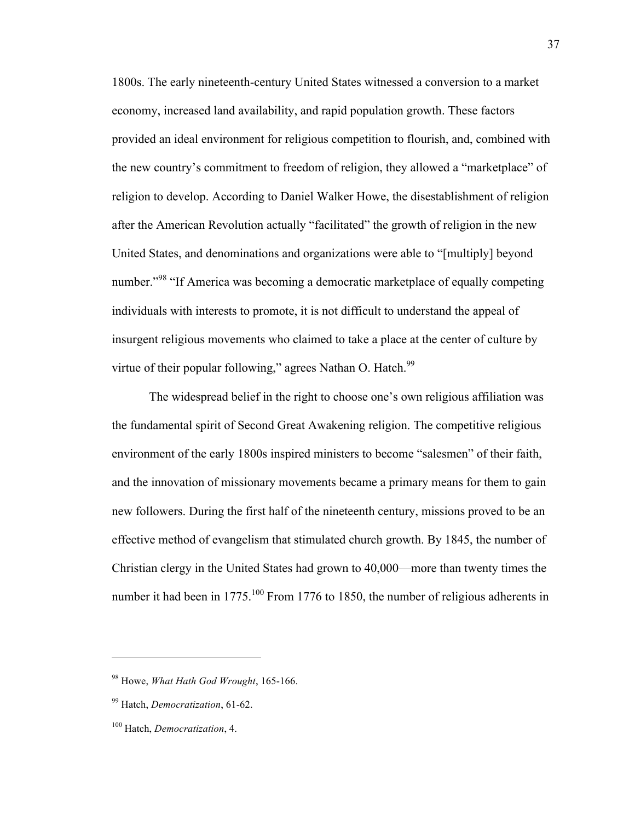1800s. The early nineteenth-century United States witnessed a conversion to a market economy, increased land availability, and rapid population growth. These factors provided an ideal environment for religious competition to flourish, and, combined with the new country's commitment to freedom of religion, they allowed a "marketplace" of religion to develop. According to Daniel Walker Howe, the disestablishment of religion after the American Revolution actually "facilitated" the growth of religion in the new United States, and denominations and organizations were able to "[multiply] beyond number."<sup>98</sup> "If America was becoming a democratic marketplace of equally competing individuals with interests to promote, it is not difficult to understand the appeal of insurgent religious movements who claimed to take a place at the center of culture by virtue of their popular following," agrees Nathan O. Hatch.<sup>99</sup>

The widespread belief in the right to choose one's own religious affiliation was the fundamental spirit of Second Great Awakening religion. The competitive religious environment of the early 1800s inspired ministers to become "salesmen" of their faith, and the innovation of missionary movements became a primary means for them to gain new followers. During the first half of the nineteenth century, missions proved to be an effective method of evangelism that stimulated church growth. By 1845, the number of Christian clergy in the United States had grown to 40,000—more than twenty times the number it had been in  $1775$ .<sup>100</sup> From 1776 to 1850, the number of religious adherents in

<sup>98</sup> Howe, *What Hath God Wrought*, 165-166.

<sup>99</sup> Hatch, *Democratization*, 61-62.

<sup>100</sup> Hatch, *Democratization*, 4.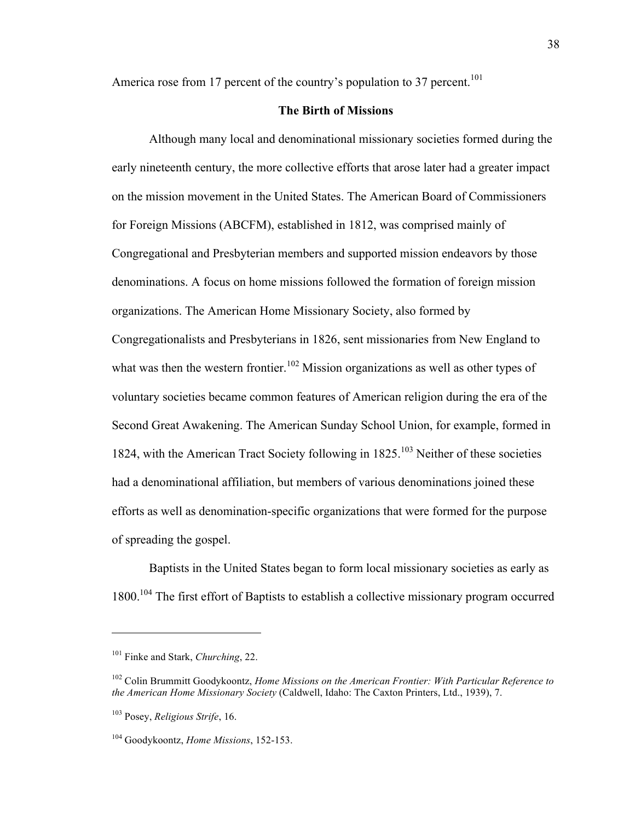America rose from 17 percent of the country's population to 37 percent.<sup>101</sup>

### **The Birth of Missions**

Although many local and denominational missionary societies formed during the early nineteenth century, the more collective efforts that arose later had a greater impact on the mission movement in the United States. The American Board of Commissioners for Foreign Missions (ABCFM), established in 1812, was comprised mainly of Congregational and Presbyterian members and supported mission endeavors by those denominations. A focus on home missions followed the formation of foreign mission organizations. The American Home Missionary Society, also formed by Congregationalists and Presbyterians in 1826, sent missionaries from New England to what was then the western frontier.<sup>102</sup> Mission organizations as well as other types of voluntary societies became common features of American religion during the era of the Second Great Awakening. The American Sunday School Union, for example, formed in 1824, with the American Tract Society following in 1825.<sup>103</sup> Neither of these societies had a denominational affiliation, but members of various denominations joined these efforts as well as denomination-specific organizations that were formed for the purpose of spreading the gospel.

Baptists in the United States began to form local missionary societies as early as 1800.<sup>104</sup> The first effort of Baptists to establish a collective missionary program occurred

<sup>101</sup> Finke and Stark, *Churching*, 22.

<sup>102</sup> Colin Brummitt Goodykoontz, *Home Missions on the American Frontier: With Particular Reference to the American Home Missionary Society* (Caldwell, Idaho: The Caxton Printers, Ltd., 1939), 7.

<sup>103</sup> Posey, *Religious Strife*, 16.

<sup>104</sup> Goodykoontz, *Home Missions*, 152-153.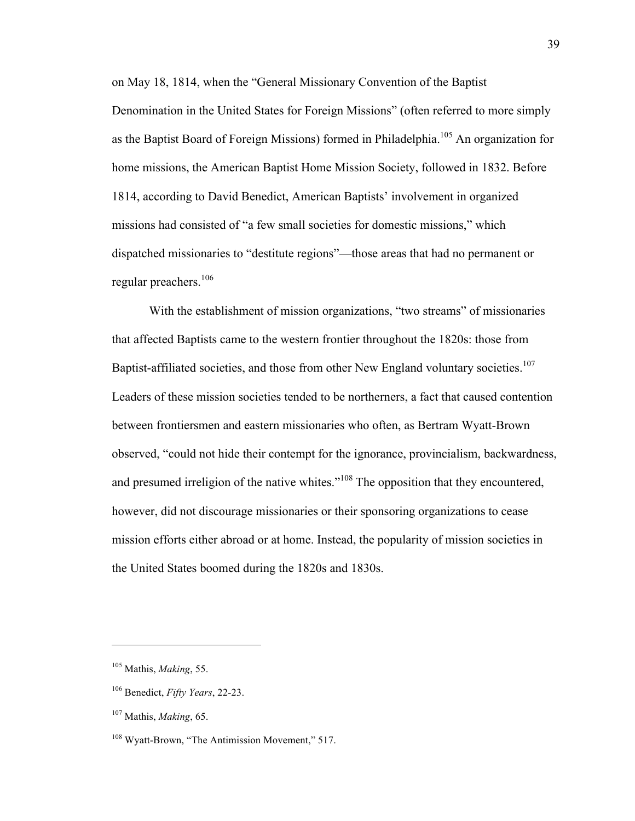on May 18, 1814, when the "General Missionary Convention of the Baptist Denomination in the United States for Foreign Missions" (often referred to more simply as the Baptist Board of Foreign Missions) formed in Philadelphia.<sup>105</sup> An organization for home missions, the American Baptist Home Mission Society, followed in 1832. Before 1814, according to David Benedict, American Baptists' involvement in organized missions had consisted of "a few small societies for domestic missions," which dispatched missionaries to "destitute regions"—those areas that had no permanent or regular preachers.<sup>106</sup>

With the establishment of mission organizations, "two streams" of missionaries that affected Baptists came to the western frontier throughout the 1820s: those from Baptist-affiliated societies, and those from other New England voluntary societies.<sup>107</sup> Leaders of these mission societies tended to be northerners, a fact that caused contention between frontiersmen and eastern missionaries who often, as Bertram Wyatt-Brown observed, "could not hide their contempt for the ignorance, provincialism, backwardness, and presumed irreligion of the native whites."<sup>108</sup> The opposition that they encountered, however, did not discourage missionaries or their sponsoring organizations to cease mission efforts either abroad or at home. Instead, the popularity of mission societies in the United States boomed during the 1820s and 1830s.

<sup>105</sup> Mathis, *Making*, 55.

<sup>106</sup> Benedict, *Fifty Years*, 22-23.

<sup>107</sup> Mathis, *Making*, 65.

<sup>&</sup>lt;sup>108</sup> Wyatt-Brown, "The Antimission Movement," 517.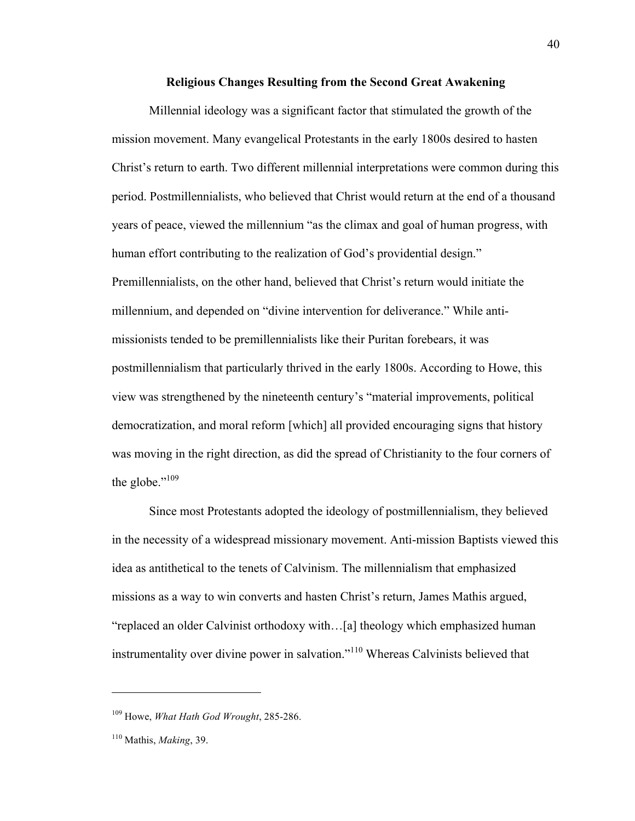### **Religious Changes Resulting from the Second Great Awakening**

Millennial ideology was a significant factor that stimulated the growth of the mission movement. Many evangelical Protestants in the early 1800s desired to hasten Christ's return to earth. Two different millennial interpretations were common during this period. Postmillennialists, who believed that Christ would return at the end of a thousand years of peace, viewed the millennium "as the climax and goal of human progress, with human effort contributing to the realization of God's providential design." Premillennialists, on the other hand, believed that Christ's return would initiate the millennium, and depended on "divine intervention for deliverance." While antimissionists tended to be premillennialists like their Puritan forebears, it was postmillennialism that particularly thrived in the early 1800s. According to Howe, this view was strengthened by the nineteenth century's "material improvements, political democratization, and moral reform [which] all provided encouraging signs that history was moving in the right direction, as did the spread of Christianity to the four corners of the globe."<sup>109</sup>

Since most Protestants adopted the ideology of postmillennialism, they believed in the necessity of a widespread missionary movement. Anti-mission Baptists viewed this idea as antithetical to the tenets of Calvinism. The millennialism that emphasized missions as a way to win converts and hasten Christ's return, James Mathis argued, "replaced an older Calvinist orthodoxy with…[a] theology which emphasized human instrumentality over divine power in salvation."<sup>110</sup> Whereas Calvinists believed that

<sup>109</sup> Howe, *What Hath God Wrought*, 285-286.

<sup>110</sup> Mathis, *Making*, 39.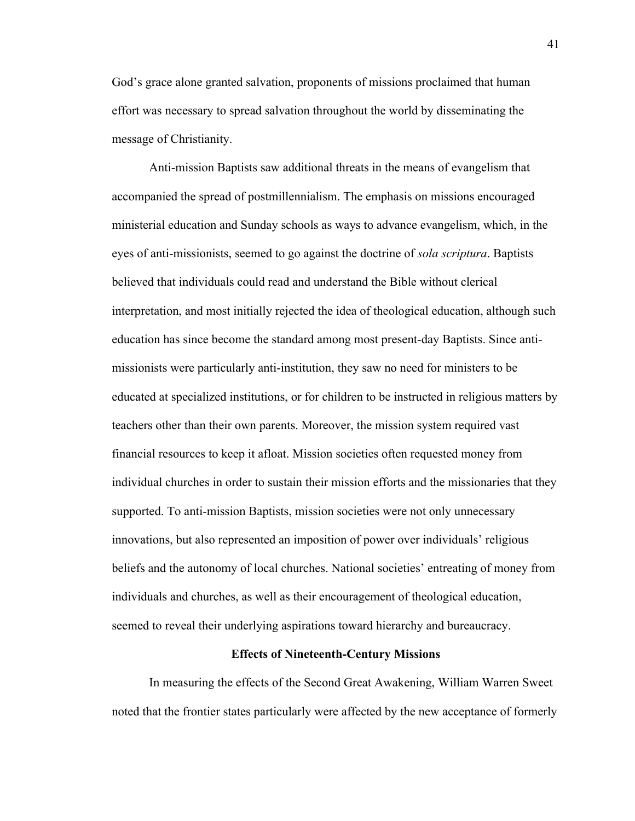God's grace alone granted salvation, proponents of missions proclaimed that human effort was necessary to spread salvation throughout the world by disseminating the message of Christianity.

Anti-mission Baptists saw additional threats in the means of evangelism that accompanied the spread of postmillennialism. The emphasis on missions encouraged ministerial education and Sunday schools as ways to advance evangelism, which, in the eyes of anti-missionists, seemed to go against the doctrine of *sola scriptura*. Baptists believed that individuals could read and understand the Bible without clerical interpretation, and most initially rejected the idea of theological education, although such education has since become the standard among most present-day Baptists. Since antimissionists were particularly anti-institution, they saw no need for ministers to be educated at specialized institutions, or for children to be instructed in religious matters by teachers other than their own parents. Moreover, the mission system required vast financial resources to keep it afloat. Mission societies often requested money from individual churches in order to sustain their mission efforts and the missionaries that they supported. To anti-mission Baptists, mission societies were not only unnecessary innovations, but also represented an imposition of power over individuals' religious beliefs and the autonomy of local churches. National societies' entreating of money from individuals and churches, as well as their encouragement of theological education, seemed to reveal their underlying aspirations toward hierarchy and bureaucracy.

### **Effects of Nineteenth-Century Missions**

In measuring the effects of the Second Great Awakening, William Warren Sweet noted that the frontier states particularly were affected by the new acceptance of formerly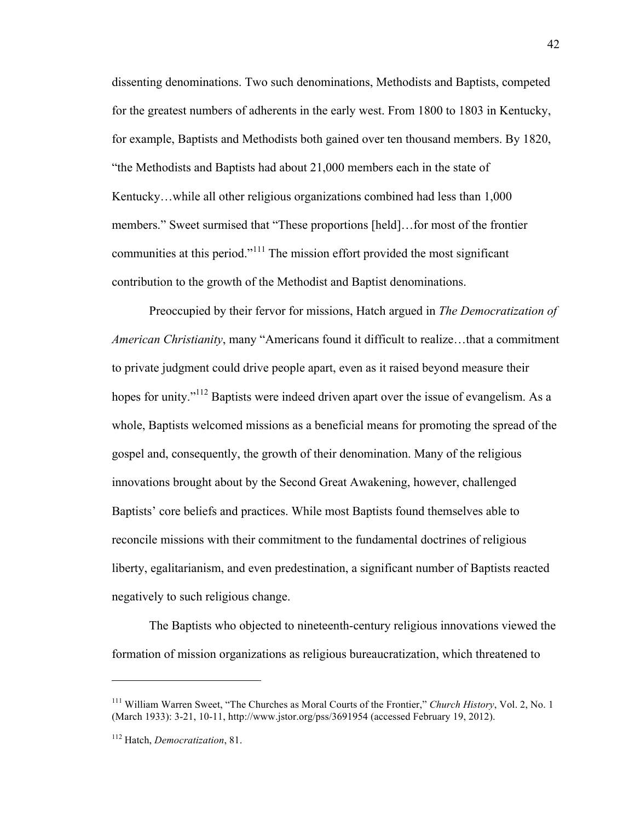dissenting denominations. Two such denominations, Methodists and Baptists, competed for the greatest numbers of adherents in the early west. From 1800 to 1803 in Kentucky, for example, Baptists and Methodists both gained over ten thousand members. By 1820, "the Methodists and Baptists had about 21,000 members each in the state of Kentucky…while all other religious organizations combined had less than 1,000 members." Sweet surmised that "These proportions [held]…for most of the frontier communities at this period."<sup>111</sup> The mission effort provided the most significant contribution to the growth of the Methodist and Baptist denominations.

Preoccupied by their fervor for missions, Hatch argued in *The Democratization of American Christianity*, many "Americans found it difficult to realize…that a commitment to private judgment could drive people apart, even as it raised beyond measure their hopes for unity."<sup>112</sup> Baptists were indeed driven apart over the issue of evangelism. As a whole, Baptists welcomed missions as a beneficial means for promoting the spread of the gospel and, consequently, the growth of their denomination. Many of the religious innovations brought about by the Second Great Awakening, however, challenged Baptists' core beliefs and practices. While most Baptists found themselves able to reconcile missions with their commitment to the fundamental doctrines of religious liberty, egalitarianism, and even predestination, a significant number of Baptists reacted negatively to such religious change.

The Baptists who objected to nineteenth-century religious innovations viewed the formation of mission organizations as religious bureaucratization, which threatened to

<sup>111</sup> William Warren Sweet, "The Churches as Moral Courts of the Frontier," *Church History*, Vol. 2, No. 1 (March 1933): 3-21, 10-11, http://www.jstor.org/pss/3691954 (accessed February 19, 2012).

<sup>112</sup> Hatch, *Democratization*, 81.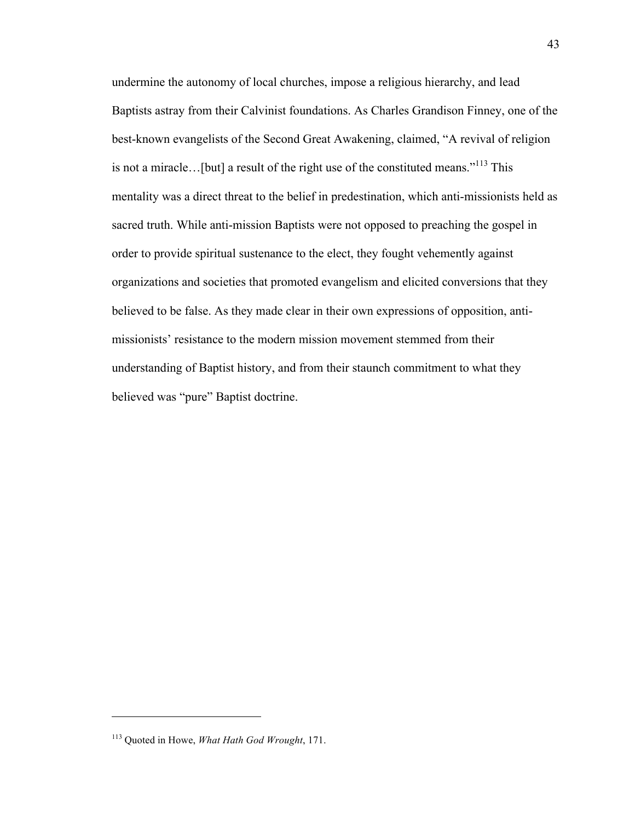undermine the autonomy of local churches, impose a religious hierarchy, and lead Baptists astray from their Calvinist foundations. As Charles Grandison Finney, one of the best-known evangelists of the Second Great Awakening, claimed, "A revival of religion is not a miracle…[but] a result of the right use of the constituted means."<sup>113</sup> This mentality was a direct threat to the belief in predestination, which anti-missionists held as sacred truth. While anti-mission Baptists were not opposed to preaching the gospel in order to provide spiritual sustenance to the elect, they fought vehemently against organizations and societies that promoted evangelism and elicited conversions that they believed to be false. As they made clear in their own expressions of opposition, antimissionists' resistance to the modern mission movement stemmed from their understanding of Baptist history, and from their staunch commitment to what they believed was "pure" Baptist doctrine.

<sup>113</sup> Quoted in Howe, *What Hath God Wrought*, 171.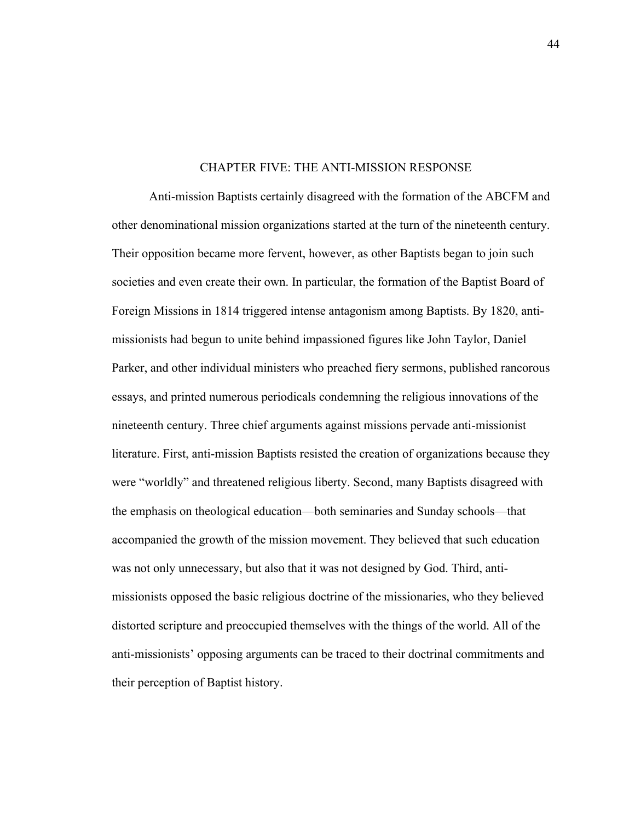#### CHAPTER FIVE: THE ANTI-MISSION RESPONSE

Anti-mission Baptists certainly disagreed with the formation of the ABCFM and other denominational mission organizations started at the turn of the nineteenth century. Their opposition became more fervent, however, as other Baptists began to join such societies and even create their own. In particular, the formation of the Baptist Board of Foreign Missions in 1814 triggered intense antagonism among Baptists. By 1820, antimissionists had begun to unite behind impassioned figures like John Taylor, Daniel Parker, and other individual ministers who preached fiery sermons, published rancorous essays, and printed numerous periodicals condemning the religious innovations of the nineteenth century. Three chief arguments against missions pervade anti-missionist literature. First, anti-mission Baptists resisted the creation of organizations because they were "worldly" and threatened religious liberty. Second, many Baptists disagreed with the emphasis on theological education—both seminaries and Sunday schools—that accompanied the growth of the mission movement. They believed that such education was not only unnecessary, but also that it was not designed by God. Third, antimissionists opposed the basic religious doctrine of the missionaries, who they believed distorted scripture and preoccupied themselves with the things of the world. All of the anti-missionists' opposing arguments can be traced to their doctrinal commitments and their perception of Baptist history.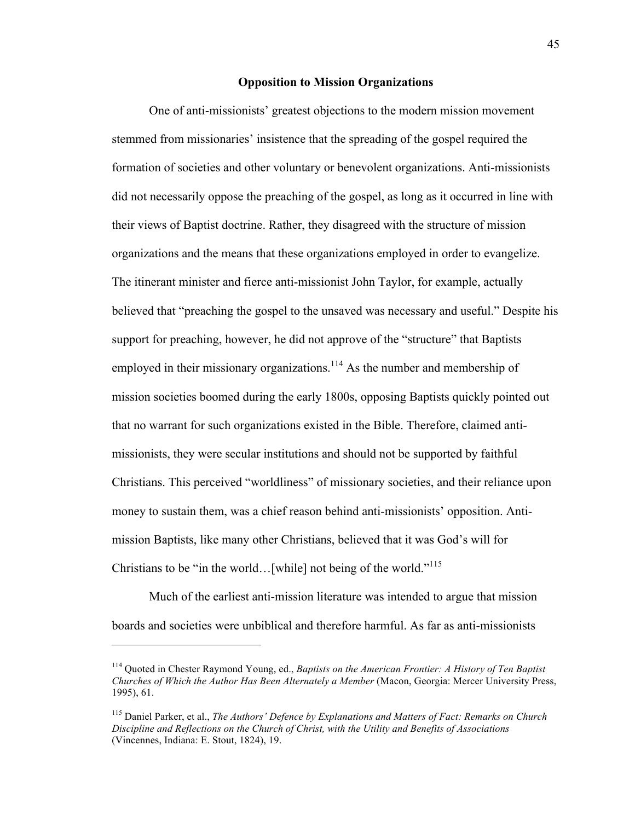# **Opposition to Mission Organizations**

One of anti-missionists' greatest objections to the modern mission movement stemmed from missionaries' insistence that the spreading of the gospel required the formation of societies and other voluntary or benevolent organizations. Anti-missionists did not necessarily oppose the preaching of the gospel, as long as it occurred in line with their views of Baptist doctrine. Rather, they disagreed with the structure of mission organizations and the means that these organizations employed in order to evangelize. The itinerant minister and fierce anti-missionist John Taylor, for example, actually believed that "preaching the gospel to the unsaved was necessary and useful." Despite his support for preaching, however, he did not approve of the "structure" that Baptists employed in their missionary organizations.<sup>114</sup> As the number and membership of mission societies boomed during the early 1800s, opposing Baptists quickly pointed out that no warrant for such organizations existed in the Bible. Therefore, claimed antimissionists, they were secular institutions and should not be supported by faithful Christians. This perceived "worldliness" of missionary societies, and their reliance upon money to sustain them, was a chief reason behind anti-missionists' opposition. Antimission Baptists, like many other Christians, believed that it was God's will for Christians to be "in the world... [while] not being of the world."<sup>115</sup>

Much of the earliest anti-mission literature was intended to argue that mission boards and societies were unbiblical and therefore harmful. As far as anti-missionists

<sup>114</sup> Quoted in Chester Raymond Young, ed., *Baptists on the American Frontier: A History of Ten Baptist Churches of Which the Author Has Been Alternately a Member* (Macon, Georgia: Mercer University Press, 1995), 61.

<sup>115</sup> Daniel Parker, et al., *The Authors' Defence by Explanations and Matters of Fact: Remarks on Church Discipline and Reflections on the Church of Christ, with the Utility and Benefits of Associations* (Vincennes, Indiana: E. Stout, 1824), 19.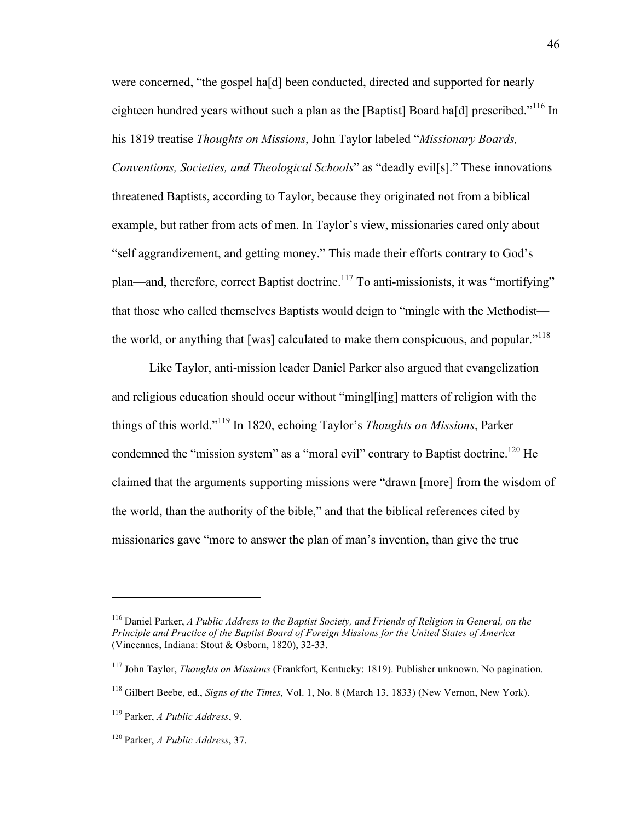were concerned, "the gospel ha[d] been conducted, directed and supported for nearly eighteen hundred years without such a plan as the [Baptist] Board ha[d] prescribed."<sup>116</sup> In his 1819 treatise *Thoughts on Missions*, John Taylor labeled "*Missionary Boards, Conventions, Societies, and Theological Schools*" as "deadly evil[s]." These innovations threatened Baptists, according to Taylor, because they originated not from a biblical example, but rather from acts of men. In Taylor's view, missionaries cared only about "self aggrandizement, and getting money." This made their efforts contrary to God's plan—and, therefore, correct Baptist doctrine.117 To anti-missionists, it was "mortifying" that those who called themselves Baptists would deign to "mingle with the Methodist the world, or anything that [was] calculated to make them conspicuous, and popular."<sup>118</sup>

Like Taylor, anti-mission leader Daniel Parker also argued that evangelization and religious education should occur without "mingl[ing] matters of religion with the things of this world."119 In 1820, echoing Taylor's *Thoughts on Missions*, Parker condemned the "mission system" as a "moral evil" contrary to Baptist doctrine.<sup>120</sup> He claimed that the arguments supporting missions were "drawn [more] from the wisdom of the world, than the authority of the bible," and that the biblical references cited by missionaries gave "more to answer the plan of man's invention, than give the true

<sup>116</sup> Daniel Parker, *A Public Address to the Baptist Society, and Friends of Religion in General, on the Principle and Practice of the Baptist Board of Foreign Missions for the United States of America* (Vincennes, Indiana: Stout & Osborn, 1820), 32-33.

<sup>117</sup> John Taylor, *Thoughts on Missions* (Frankfort, Kentucky: 1819). Publisher unknown. No pagination.

<sup>118</sup> Gilbert Beebe, ed., *Signs of the Times,* Vol. 1, No. 8 (March 13, 1833) (New Vernon, New York).

<sup>119</sup> Parker, *A Public Address*, 9.

<sup>120</sup> Parker, *A Public Address*, 37.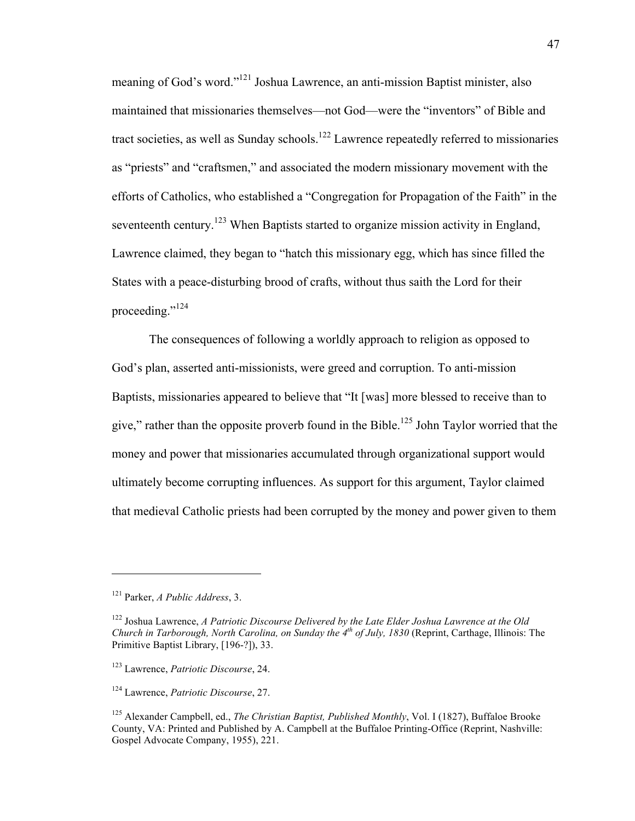meaning of God's word."121 Joshua Lawrence, an anti-mission Baptist minister, also maintained that missionaries themselves—not God—were the "inventors" of Bible and tract societies, as well as Sunday schools.<sup>122</sup> Lawrence repeatedly referred to missionaries as "priests" and "craftsmen," and associated the modern missionary movement with the efforts of Catholics, who established a "Congregation for Propagation of the Faith" in the seventeenth century.<sup>123</sup> When Baptists started to organize mission activity in England, Lawrence claimed, they began to "hatch this missionary egg, which has since filled the States with a peace-disturbing brood of crafts, without thus saith the Lord for their proceeding."<sup>124</sup>

The consequences of following a worldly approach to religion as opposed to God's plan, asserted anti-missionists, were greed and corruption. To anti-mission Baptists, missionaries appeared to believe that "It [was] more blessed to receive than to give," rather than the opposite proverb found in the Bible.<sup>125</sup> John Taylor worried that the money and power that missionaries accumulated through organizational support would ultimately become corrupting influences. As support for this argument, Taylor claimed that medieval Catholic priests had been corrupted by the money and power given to them

<sup>121</sup> Parker, *A Public Address*, 3.

<sup>122</sup> Joshua Lawrence, *A Patriotic Discourse Delivered by the Late Elder Joshua Lawrence at the Old Church in Tarborough, North Carolina, on Sunday the 4th of July, 1830* (Reprint, Carthage, Illinois: The Primitive Baptist Library, [196-?]), 33.

<sup>123</sup> Lawrence, *Patriotic Discourse*, 24.

<sup>124</sup> Lawrence, *Patriotic Discourse*, 27.

<sup>125</sup> Alexander Campbell, ed., *The Christian Baptist, Published Monthly*, Vol. I (1827), Buffaloe Brooke County, VA: Printed and Published by A. Campbell at the Buffaloe Printing-Office (Reprint, Nashville: Gospel Advocate Company, 1955), 221.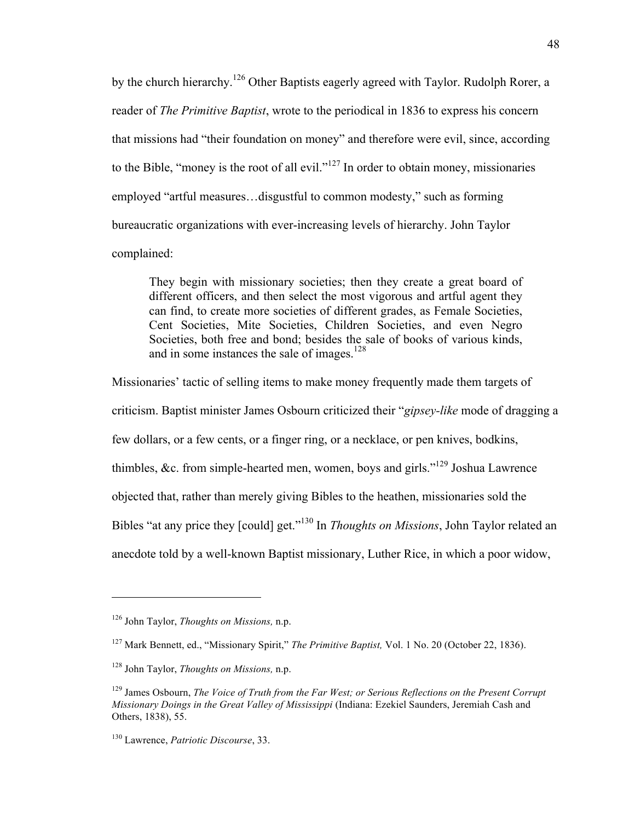by the church hierarchy.<sup>126</sup> Other Baptists eagerly agreed with Taylor. Rudolph Rorer, a reader of *The Primitive Baptist*, wrote to the periodical in 1836 to express his concern that missions had "their foundation on money" and therefore were evil, since, according to the Bible, "money is the root of all evil."<sup>127</sup> In order to obtain money, missionaries employed "artful measures…disgustful to common modesty," such as forming bureaucratic organizations with ever-increasing levels of hierarchy. John Taylor complained:

They begin with missionary societies; then they create a great board of different officers, and then select the most vigorous and artful agent they can find, to create more societies of different grades, as Female Societies, Cent Societies, Mite Societies, Children Societies, and even Negro Societies, both free and bond; besides the sale of books of various kinds, and in some instances the sale of images.<sup>128</sup>

Missionaries' tactic of selling items to make money frequently made them targets of criticism. Baptist minister James Osbourn criticized their "*gipsey-like* mode of dragging a few dollars, or a few cents, or a finger ring, or a necklace, or pen knives, bodkins, thimbles, &c. from simple-hearted men, women, boys and girls."129 Joshua Lawrence objected that, rather than merely giving Bibles to the heathen, missionaries sold the Bibles "at any price they [could] get."130 In *Thoughts on Missions*, John Taylor related an anecdote told by a well-known Baptist missionary, Luther Rice, in which a poor widow,

<sup>126</sup> John Taylor, *Thoughts on Missions,* n.p.

<sup>127</sup> Mark Bennett, ed., "Missionary Spirit," *The Primitive Baptist,* Vol. 1 No. 20 (October 22, 1836).

<sup>128</sup> John Taylor, *Thoughts on Missions,* n.p.

<sup>&</sup>lt;sup>129</sup> James Osbourn, *The Voice of Truth from the Far West; or Serious Reflections on the Present Corrupt Missionary Doings in the Great Valley of Mississippi* (Indiana: Ezekiel Saunders, Jeremiah Cash and Others, 1838), 55.

<sup>130</sup> Lawrence, *Patriotic Discourse*, 33.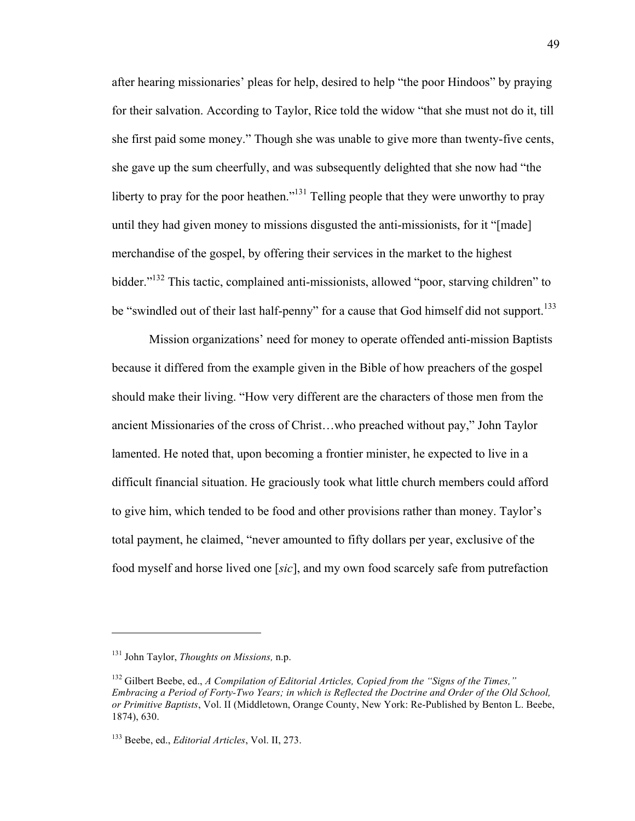after hearing missionaries' pleas for help, desired to help "the poor Hindoos" by praying for their salvation. According to Taylor, Rice told the widow "that she must not do it, till she first paid some money." Though she was unable to give more than twenty-five cents, she gave up the sum cheerfully, and was subsequently delighted that she now had "the liberty to pray for the poor heathen."<sup>131</sup> Telling people that they were unworthy to pray until they had given money to missions disgusted the anti-missionists, for it "[made] merchandise of the gospel, by offering their services in the market to the highest bidder."<sup>132</sup> This tactic, complained anti-missionists, allowed "poor, starving children" to be "swindled out of their last half-penny" for a cause that God himself did not support.<sup>133</sup>

Mission organizations' need for money to operate offended anti-mission Baptists because it differed from the example given in the Bible of how preachers of the gospel should make their living. "How very different are the characters of those men from the ancient Missionaries of the cross of Christ…who preached without pay," John Taylor lamented. He noted that, upon becoming a frontier minister, he expected to live in a difficult financial situation. He graciously took what little church members could afford to give him, which tended to be food and other provisions rather than money. Taylor's total payment, he claimed, "never amounted to fifty dollars per year, exclusive of the food myself and horse lived one [*sic*], and my own food scarcely safe from putrefaction

<sup>131</sup> John Taylor, *Thoughts on Missions,* n.p.

<sup>132</sup> Gilbert Beebe, ed., *A Compilation of Editorial Articles, Copied from the "Signs of the Times," Embracing a Period of Forty-Two Years; in which is Reflected the Doctrine and Order of the Old School, or Primitive Baptists*, Vol. II (Middletown, Orange County, New York: Re-Published by Benton L. Beebe, 1874), 630.

<sup>133</sup> Beebe, ed., *Editorial Articles*, Vol. II, 273.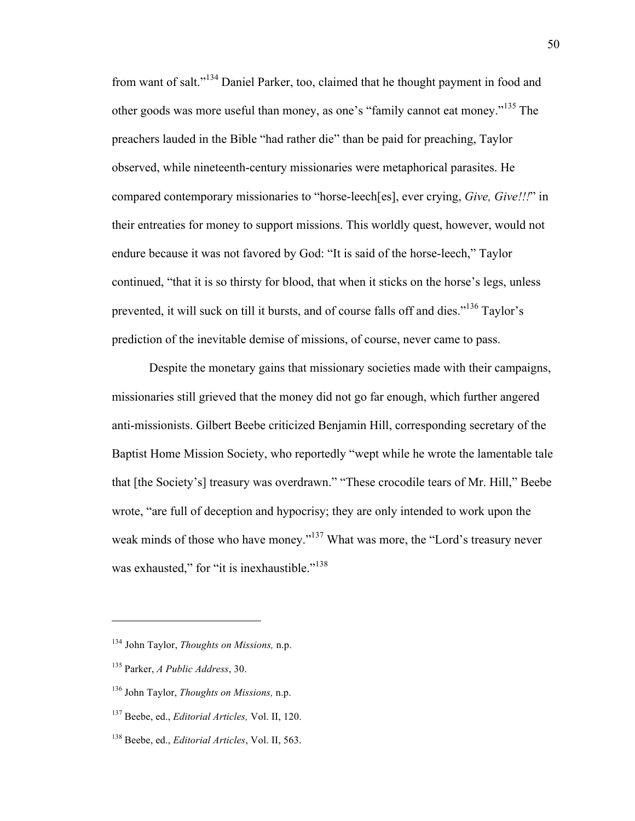from want of salt."<sup>134</sup> Daniel Parker, too, claimed that he thought payment in food and other goods was more useful than money, as one's "family cannot eat money."<sup>135</sup> The preachers lauded in the Bible "had rather die" than be paid for preaching, Taylor observed, while nineteenth-century missionaries were metaphorical parasites. He compared contemporary missionaries to "horse-leech[es], ever crying, *Give, Give!!!*" in their entreaties for money to support missions. This worldly quest, however, would not endure because it was not favored by God: "It is said of the horse-leech," Taylor continued, "that it is so thirsty for blood, that when it sticks on the horse's legs, unless prevented, it will suck on till it bursts, and of course falls off and dies."136 Taylor's prediction of the inevitable demise of missions, of course, never came to pass.

Despite the monetary gains that missionary societies made with their campaigns, missionaries still grieved that the money did not go far enough, which further angered anti-missionists. Gilbert Beebe criticized Benjamin Hill, corresponding secretary of the Baptist Home Mission Society, who reportedly "wept while he wrote the lamentable tale that [the Society's] treasury was overdrawn." "These crocodile tears of Mr. Hill," Beebe wrote, "are full of deception and hypocrisy; they are only intended to work upon the weak minds of those who have money."<sup>137</sup> What was more, the "Lord's treasury never was exhausted," for "it is inexhaustible."<sup>138</sup>

<sup>134</sup> John Taylor, *Thoughts on Missions,* n.p.

<sup>135</sup> Parker, *A Public Address*, 30.

<sup>136</sup> John Taylor, *Thoughts on Missions,* n.p.

<sup>137</sup> Beebe, ed., *Editorial Articles,* Vol. II, 120.

<sup>138</sup> Beebe, ed., *Editorial Articles*, Vol. II, 563.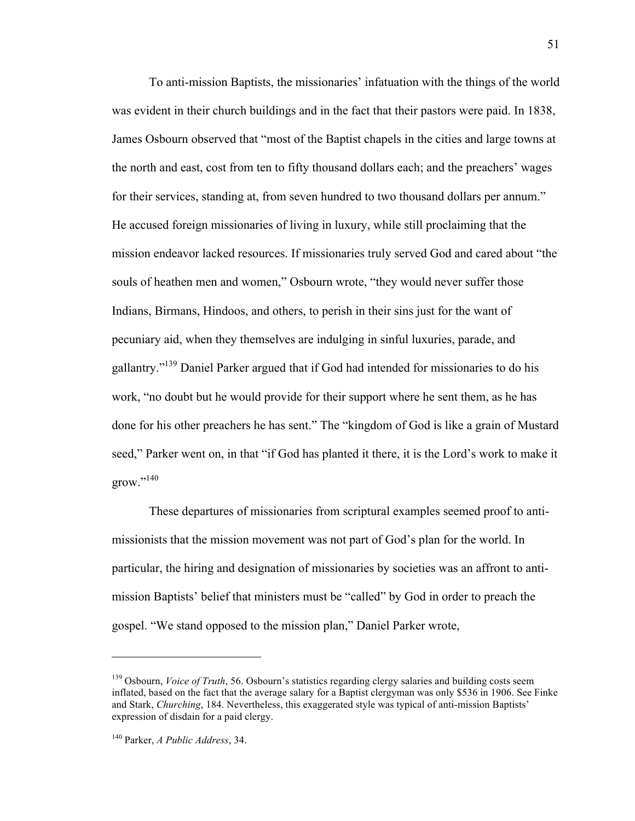To anti-mission Baptists, the missionaries' infatuation with the things of the world was evident in their church buildings and in the fact that their pastors were paid. In 1838, James Osbourn observed that "most of the Baptist chapels in the cities and large towns at the north and east, cost from ten to fifty thousand dollars each; and the preachers' wages for their services, standing at, from seven hundred to two thousand dollars per annum." He accused foreign missionaries of living in luxury, while still proclaiming that the mission endeavor lacked resources. If missionaries truly served God and cared about "the souls of heathen men and women," Osbourn wrote, "they would never suffer those Indians, Birmans, Hindoos, and others, to perish in their sins just for the want of pecuniary aid, when they themselves are indulging in sinful luxuries, parade, and gallantry."139 Daniel Parker argued that if God had intended for missionaries to do his work, "no doubt but he would provide for their support where he sent them, as he has done for his other preachers he has sent." The "kingdom of God is like a grain of Mustard seed," Parker went on, in that "if God has planted it there, it is the Lord's work to make it  $grow.^{,140}$ 

These departures of missionaries from scriptural examples seemed proof to antimissionists that the mission movement was not part of God's plan for the world. In particular, the hiring and designation of missionaries by societies was an affront to antimission Baptists' belief that ministers must be "called" by God in order to preach the gospel. "We stand opposed to the mission plan," Daniel Parker wrote,

<sup>&</sup>lt;sup>139</sup> Osbourn, *Voice of Truth*, 56. Osbourn's statistics regarding clergy salaries and building costs seem inflated, based on the fact that the average salary for a Baptist clergyman was only \$536 in 1906. See Finke and Stark, *Churching*, 184. Nevertheless, this exaggerated style was typical of anti-mission Baptists' expression of disdain for a paid clergy.

<sup>140</sup> Parker, *A Public Address*, 34.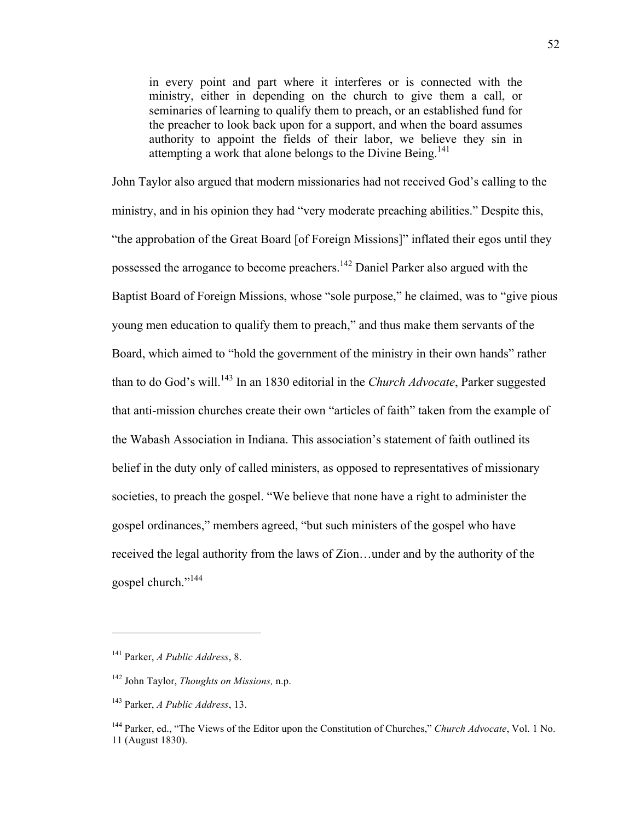in every point and part where it interferes or is connected with the ministry, either in depending on the church to give them a call, or seminaries of learning to qualify them to preach, or an established fund for the preacher to look back upon for a support, and when the board assumes authority to appoint the fields of their labor, we believe they sin in attempting a work that alone belongs to the Divine Being.<sup>141</sup>

John Taylor also argued that modern missionaries had not received God's calling to the ministry, and in his opinion they had "very moderate preaching abilities." Despite this, "the approbation of the Great Board [of Foreign Missions]" inflated their egos until they possessed the arrogance to become preachers.<sup>142</sup> Daniel Parker also argued with the Baptist Board of Foreign Missions, whose "sole purpose," he claimed, was to "give pious young men education to qualify them to preach," and thus make them servants of the Board, which aimed to "hold the government of the ministry in their own hands" rather than to do God's will.<sup>143</sup> In an 1830 editorial in the *Church Advocate*, Parker suggested that anti-mission churches create their own "articles of faith" taken from the example of the Wabash Association in Indiana. This association's statement of faith outlined its belief in the duty only of called ministers, as opposed to representatives of missionary societies, to preach the gospel. "We believe that none have a right to administer the gospel ordinances," members agreed, "but such ministers of the gospel who have received the legal authority from the laws of Zion…under and by the authority of the gospel church."<sup>144</sup>

<sup>141</sup> Parker, *A Public Address*, 8.

<sup>142</sup> John Taylor, *Thoughts on Missions,* n.p.

<sup>143</sup> Parker, *A Public Address*, 13.

<sup>144</sup> Parker, ed., "The Views of the Editor upon the Constitution of Churches," *Church Advocate*, Vol. 1 No. 11 (August 1830).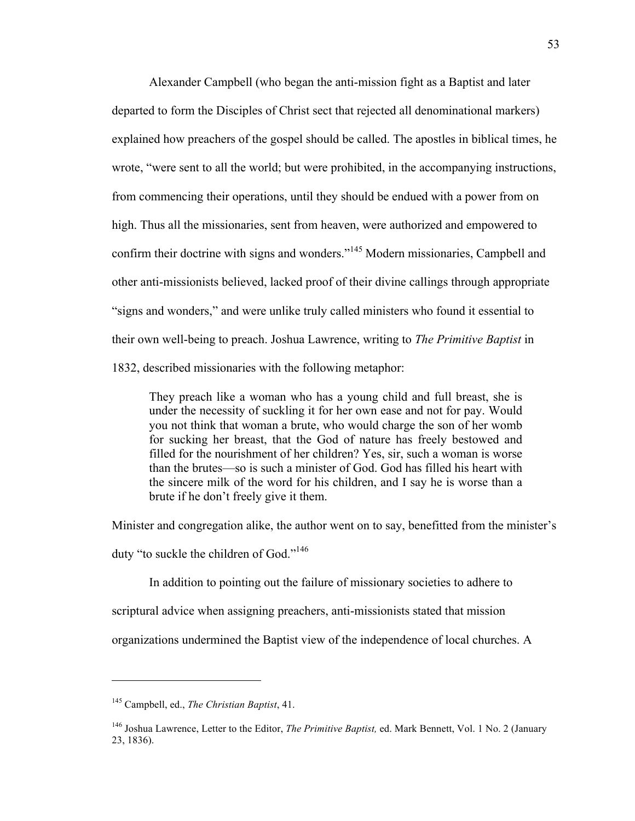Alexander Campbell (who began the anti-mission fight as a Baptist and later departed to form the Disciples of Christ sect that rejected all denominational markers) explained how preachers of the gospel should be called. The apostles in biblical times, he wrote, "were sent to all the world; but were prohibited, in the accompanying instructions, from commencing their operations, until they should be endued with a power from on high. Thus all the missionaries, sent from heaven, were authorized and empowered to confirm their doctrine with signs and wonders."<sup>145</sup> Modern missionaries, Campbell and other anti-missionists believed, lacked proof of their divine callings through appropriate "signs and wonders," and were unlike truly called ministers who found it essential to their own well-being to preach. Joshua Lawrence, writing to *The Primitive Baptist* in 1832, described missionaries with the following metaphor:

They preach like a woman who has a young child and full breast, she is under the necessity of suckling it for her own ease and not for pay. Would you not think that woman a brute, who would charge the son of her womb for sucking her breast, that the God of nature has freely bestowed and filled for the nourishment of her children? Yes, sir, such a woman is worse than the brutes—so is such a minister of God. God has filled his heart with the sincere milk of the word for his children, and I say he is worse than a brute if he don't freely give it them.

Minister and congregation alike, the author went on to say, benefitted from the minister's

duty "to suckle the children of God."146

In addition to pointing out the failure of missionary societies to adhere to

scriptural advice when assigning preachers, anti-missionists stated that mission

organizations undermined the Baptist view of the independence of local churches. A

<sup>145</sup> Campbell, ed., *The Christian Baptist*, 41.

<sup>146</sup> Joshua Lawrence, Letter to the Editor, *The Primitive Baptist,* ed. Mark Bennett, Vol. 1 No. 2 (January 23, 1836).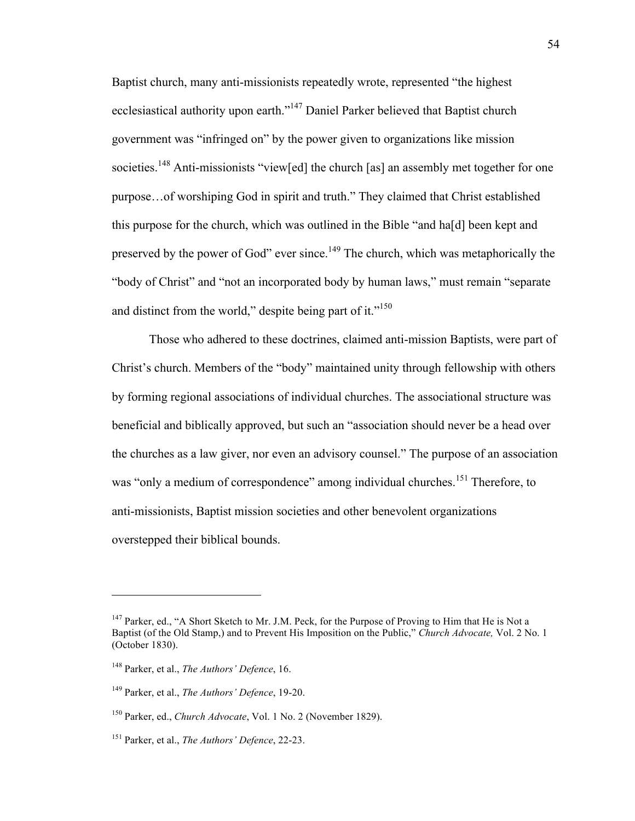Baptist church, many anti-missionists repeatedly wrote, represented "the highest ecclesiastical authority upon earth."<sup>147</sup> Daniel Parker believed that Baptist church government was "infringed on" by the power given to organizations like mission societies.<sup>148</sup> Anti-missionists "view[ed] the church [as] an assembly met together for one purpose…of worshiping God in spirit and truth." They claimed that Christ established this purpose for the church, which was outlined in the Bible "and ha[d] been kept and preserved by the power of God" ever since.<sup>149</sup> The church, which was metaphorically the "body of Christ" and "not an incorporated body by human laws," must remain "separate and distinct from the world," despite being part of it. $"^{150}$ 

Those who adhered to these doctrines, claimed anti-mission Baptists, were part of Christ's church. Members of the "body" maintained unity through fellowship with others by forming regional associations of individual churches. The associational structure was beneficial and biblically approved, but such an "association should never be a head over the churches as a law giver, nor even an advisory counsel." The purpose of an association was "only a medium of correspondence" among individual churches.<sup>151</sup> Therefore, to anti-missionists, Baptist mission societies and other benevolent organizations overstepped their biblical bounds.

<sup>&</sup>lt;sup>147</sup> Parker, ed., "A Short Sketch to Mr. J.M. Peck, for the Purpose of Proving to Him that He is Not a Baptist (of the Old Stamp,) and to Prevent His Imposition on the Public," *Church Advocate,* Vol. 2 No. 1 (October 1830).

<sup>148</sup> Parker, et al., *The Authors' Defence*, 16.

<sup>149</sup> Parker, et al., *The Authors' Defence*, 19-20.

<sup>150</sup> Parker, ed., *Church Advocate*, Vol. 1 No. 2 (November 1829).

<sup>151</sup> Parker, et al., *The Authors' Defence*, 22-23.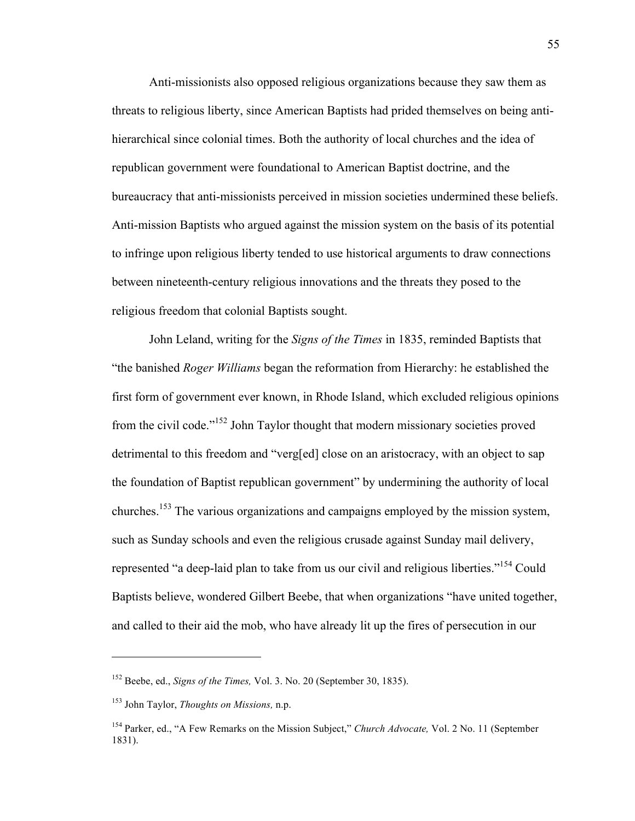Anti-missionists also opposed religious organizations because they saw them as threats to religious liberty, since American Baptists had prided themselves on being antihierarchical since colonial times. Both the authority of local churches and the idea of republican government were foundational to American Baptist doctrine, and the bureaucracy that anti-missionists perceived in mission societies undermined these beliefs. Anti-mission Baptists who argued against the mission system on the basis of its potential to infringe upon religious liberty tended to use historical arguments to draw connections between nineteenth-century religious innovations and the threats they posed to the religious freedom that colonial Baptists sought.

John Leland, writing for the *Signs of the Times* in 1835, reminded Baptists that "the banished *Roger Williams* began the reformation from Hierarchy: he established the first form of government ever known, in Rhode Island, which excluded religious opinions from the civil code."<sup>152</sup> John Taylor thought that modern missionary societies proved detrimental to this freedom and "verg[ed] close on an aristocracy, with an object to sap the foundation of Baptist republican government" by undermining the authority of local churches.153 The various organizations and campaigns employed by the mission system, such as Sunday schools and even the religious crusade against Sunday mail delivery, represented "a deep-laid plan to take from us our civil and religious liberties."154 Could Baptists believe, wondered Gilbert Beebe, that when organizations "have united together, and called to their aid the mob, who have already lit up the fires of persecution in our

<sup>152</sup> Beebe, ed., *Signs of the Times,* Vol. 3. No. 20 (September 30, 1835).

<sup>153</sup> John Taylor, *Thoughts on Missions,* n.p.

<sup>154</sup> Parker, ed., "A Few Remarks on the Mission Subject," *Church Advocate,* Vol. 2 No. 11 (September 1831).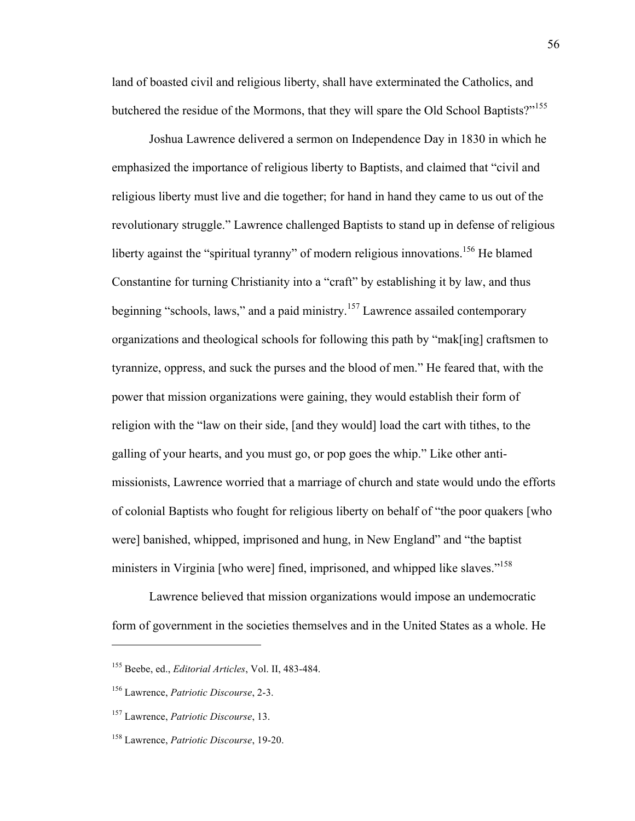land of boasted civil and religious liberty, shall have exterminated the Catholics, and butchered the residue of the Mormons, that they will spare the Old School Baptists?"<sup>155</sup>

Joshua Lawrence delivered a sermon on Independence Day in 1830 in which he emphasized the importance of religious liberty to Baptists, and claimed that "civil and religious liberty must live and die together; for hand in hand they came to us out of the revolutionary struggle." Lawrence challenged Baptists to stand up in defense of religious liberty against the "spiritual tyranny" of modern religious innovations.<sup>156</sup> He blamed Constantine for turning Christianity into a "craft" by establishing it by law, and thus beginning "schools, laws," and a paid ministry.<sup>157</sup> Lawrence assailed contemporary organizations and theological schools for following this path by "mak[ing] craftsmen to tyrannize, oppress, and suck the purses and the blood of men." He feared that, with the power that mission organizations were gaining, they would establish their form of religion with the "law on their side, [and they would] load the cart with tithes, to the galling of your hearts, and you must go, or pop goes the whip." Like other antimissionists, Lawrence worried that a marriage of church and state would undo the efforts of colonial Baptists who fought for religious liberty on behalf of "the poor quakers [who were] banished, whipped, imprisoned and hung, in New England" and "the baptist ministers in Virginia [who were] fined, imprisoned, and whipped like slaves."<sup>158</sup>

Lawrence believed that mission organizations would impose an undemocratic form of government in the societies themselves and in the United States as a whole. He

<sup>155</sup> Beebe, ed., *Editorial Articles*, Vol. II, 483-484.

<sup>156</sup> Lawrence, *Patriotic Discourse*, 2-3.

<sup>157</sup> Lawrence, *Patriotic Discourse*, 13.

<sup>158</sup> Lawrence, *Patriotic Discourse*, 19-20.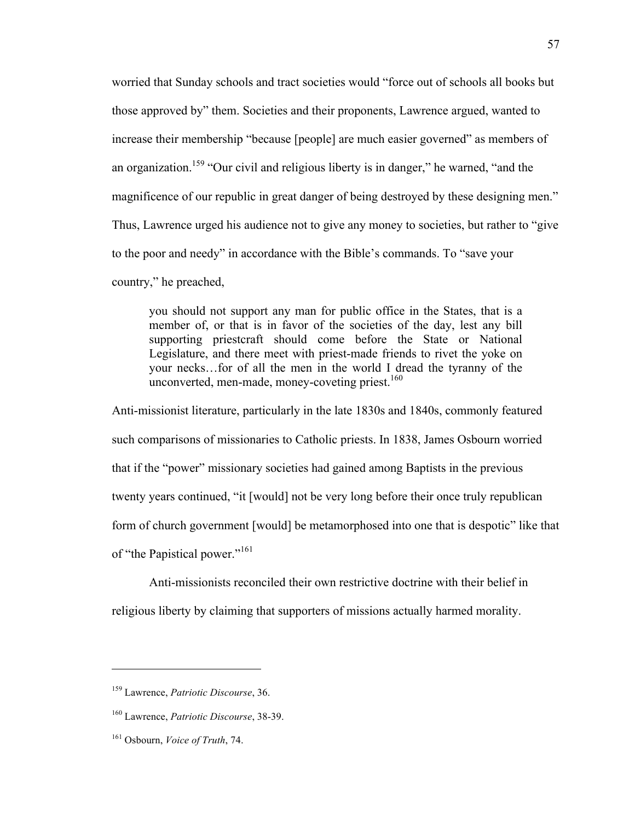worried that Sunday schools and tract societies would "force out of schools all books but those approved by" them. Societies and their proponents, Lawrence argued, wanted to increase their membership "because [people] are much easier governed" as members of an organization.<sup>159</sup> "Our civil and religious liberty is in danger," he warned, "and the magnificence of our republic in great danger of being destroyed by these designing men." Thus, Lawrence urged his audience not to give any money to societies, but rather to "give to the poor and needy" in accordance with the Bible's commands. To "save your country," he preached,

you should not support any man for public office in the States, that is a member of, or that is in favor of the societies of the day, lest any bill supporting priestcraft should come before the State or National Legislature, and there meet with priest-made friends to rivet the yoke on your necks…for of all the men in the world I dread the tyranny of the unconverted, men-made, money-coveting priest.<sup>160</sup>

Anti-missionist literature, particularly in the late 1830s and 1840s, commonly featured such comparisons of missionaries to Catholic priests. In 1838, James Osbourn worried that if the "power" missionary societies had gained among Baptists in the previous twenty years continued, "it [would] not be very long before their once truly republican form of church government [would] be metamorphosed into one that is despotic" like that of "the Papistical power."<sup>161</sup>

Anti-missionists reconciled their own restrictive doctrine with their belief in religious liberty by claiming that supporters of missions actually harmed morality.

<sup>159</sup> Lawrence, *Patriotic Discourse*, 36.

<sup>160</sup> Lawrence, *Patriotic Discourse*, 38-39.

<sup>161</sup> Osbourn, *Voice of Truth*, 74.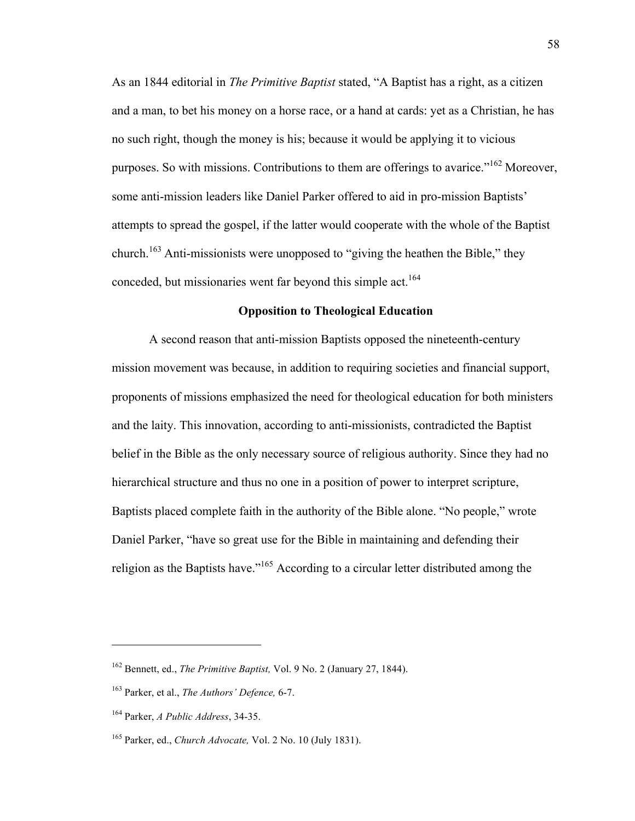As an 1844 editorial in *The Primitive Baptist* stated, "A Baptist has a right, as a citizen and a man, to bet his money on a horse race, or a hand at cards: yet as a Christian, he has no such right, though the money is his; because it would be applying it to vicious purposes. So with missions. Contributions to them are offerings to avarice."<sup>162</sup> Moreover, some anti-mission leaders like Daniel Parker offered to aid in pro-mission Baptists' attempts to spread the gospel, if the latter would cooperate with the whole of the Baptist church.<sup>163</sup> Anti-missionists were unopposed to "giving the heathen the Bible," they conceded, but missionaries went far beyond this simple act.<sup>164</sup>

# **Opposition to Theological Education**

A second reason that anti-mission Baptists opposed the nineteenth-century mission movement was because, in addition to requiring societies and financial support, proponents of missions emphasized the need for theological education for both ministers and the laity. This innovation, according to anti-missionists, contradicted the Baptist belief in the Bible as the only necessary source of religious authority. Since they had no hierarchical structure and thus no one in a position of power to interpret scripture, Baptists placed complete faith in the authority of the Bible alone. "No people," wrote Daniel Parker, "have so great use for the Bible in maintaining and defending their religion as the Baptists have."165 According to a circular letter distributed among the

<sup>162</sup> Bennett, ed., *The Primitive Baptist,* Vol. 9 No. 2 (January 27, 1844).

<sup>163</sup> Parker, et al., *The Authors' Defence,* 6-7.

<sup>164</sup> Parker, *A Public Address*, 34-35.

<sup>165</sup> Parker, ed., *Church Advocate,* Vol. 2 No. 10 (July 1831).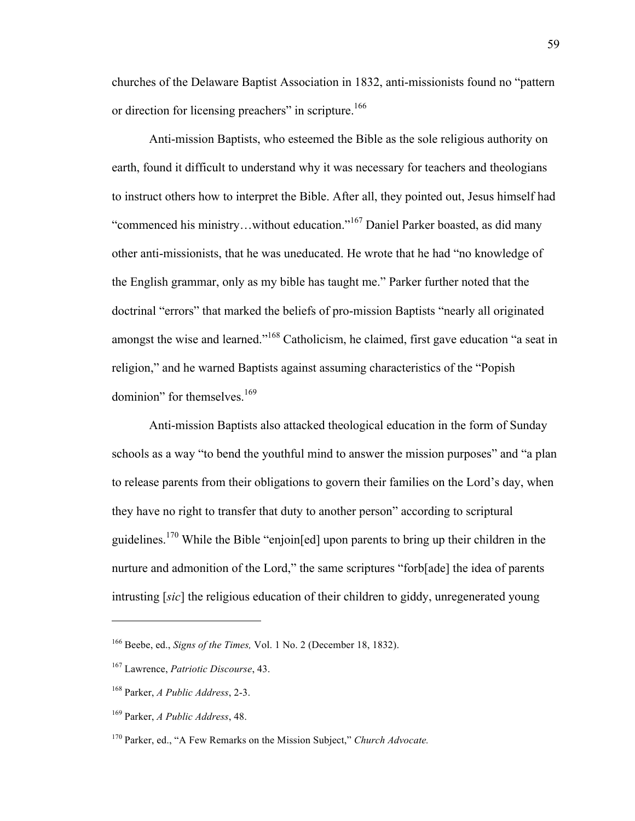churches of the Delaware Baptist Association in 1832, anti-missionists found no "pattern or direction for licensing preachers" in scripture.<sup>166</sup>

Anti-mission Baptists, who esteemed the Bible as the sole religious authority on earth, found it difficult to understand why it was necessary for teachers and theologians to instruct others how to interpret the Bible. After all, they pointed out, Jesus himself had "commenced his ministry…without education."167 Daniel Parker boasted, as did many other anti-missionists, that he was uneducated. He wrote that he had "no knowledge of the English grammar, only as my bible has taught me." Parker further noted that the doctrinal "errors" that marked the beliefs of pro-mission Baptists "nearly all originated amongst the wise and learned."<sup>168</sup> Catholicism, he claimed, first gave education "a seat in religion," and he warned Baptists against assuming characteristics of the "Popish dominion" for themselves.<sup>169</sup>

Anti-mission Baptists also attacked theological education in the form of Sunday schools as a way "to bend the youthful mind to answer the mission purposes" and "a plan to release parents from their obligations to govern their families on the Lord's day, when they have no right to transfer that duty to another person" according to scriptural guidelines.170 While the Bible "enjoin[ed] upon parents to bring up their children in the nurture and admonition of the Lord," the same scriptures "forb[ade] the idea of parents intrusting [*sic*] the religious education of their children to giddy, unregenerated young

<sup>166</sup> Beebe, ed., *Signs of the Times,* Vol. 1 No. 2 (December 18, 1832).

<sup>167</sup> Lawrence, *Patriotic Discourse*, 43.

<sup>168</sup> Parker, *A Public Address*, 2-3.

<sup>169</sup> Parker, *A Public Address*, 48.

<sup>170</sup> Parker, ed., "A Few Remarks on the Mission Subject," *Church Advocate.*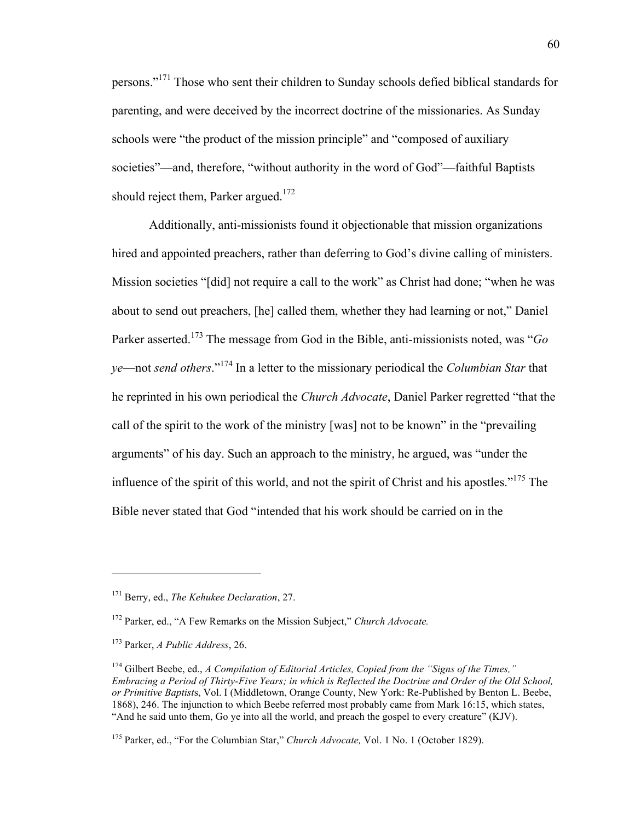persons."171 Those who sent their children to Sunday schools defied biblical standards for parenting, and were deceived by the incorrect doctrine of the missionaries. As Sunday schools were "the product of the mission principle" and "composed of auxiliary societies"—and, therefore, "without authority in the word of God"—faithful Baptists should reject them, Parker argued.<sup>172</sup>

Additionally, anti-missionists found it objectionable that mission organizations hired and appointed preachers, rather than deferring to God's divine calling of ministers. Mission societies "[did] not require a call to the work" as Christ had done; "when he was about to send out preachers, [he] called them, whether they had learning or not," Daniel Parker asserted.<sup>173</sup> The message from God in the Bible, anti-missionists noted, was "*Go ye*—not *send others*."<sup>174</sup> In a letter to the missionary periodical the *Columbian Star* that he reprinted in his own periodical the *Church Advocate*, Daniel Parker regretted "that the call of the spirit to the work of the ministry [was] not to be known" in the "prevailing arguments" of his day. Such an approach to the ministry, he argued, was "under the influence of the spirit of this world, and not the spirit of Christ and his apostles."175 The Bible never stated that God "intended that his work should be carried on in the

<sup>171</sup> Berry, ed., *The Kehukee Declaration*, 27.

<sup>172</sup> Parker, ed., "A Few Remarks on the Mission Subject," *Church Advocate.*

<sup>173</sup> Parker, *A Public Address*, 26.

<sup>174</sup> Gilbert Beebe, ed., *A Compilation of Editorial Articles, Copied from the "Signs of the Times," Embracing a Period of Thirty-Five Years; in which is Reflected the Doctrine and Order of the Old School, or Primitive Baptist*s, Vol. I (Middletown, Orange County, New York: Re-Published by Benton L. Beebe, 1868), 246. The injunction to which Beebe referred most probably came from Mark 16:15, which states, "And he said unto them, Go ye into all the world, and preach the gospel to every creature" (KJV).

<sup>175</sup> Parker, ed., "For the Columbian Star," *Church Advocate,* Vol. 1 No. 1 (October 1829).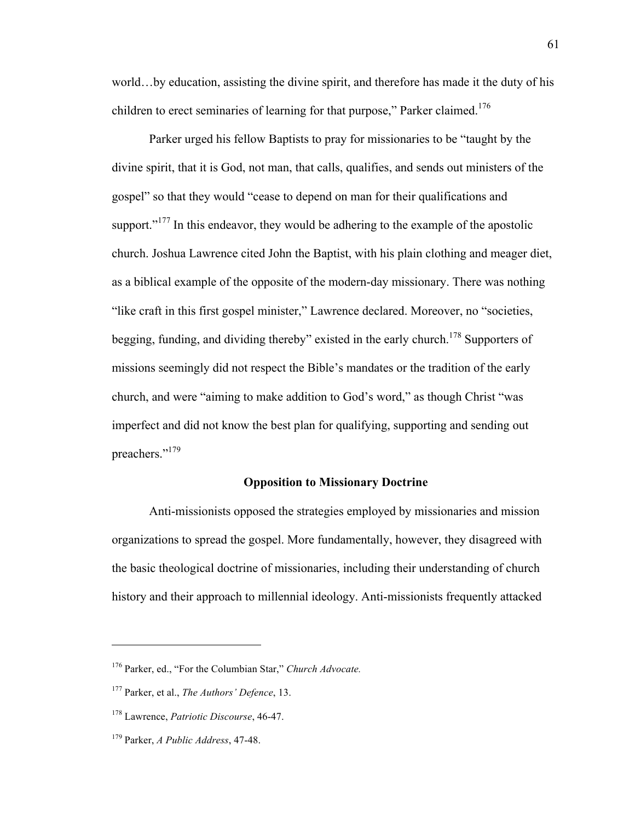world…by education, assisting the divine spirit, and therefore has made it the duty of his children to erect seminaries of learning for that purpose," Parker claimed.<sup>176</sup>

Parker urged his fellow Baptists to pray for missionaries to be "taught by the divine spirit, that it is God, not man, that calls, qualifies, and sends out ministers of the gospel" so that they would "cease to depend on man for their qualifications and support."<sup>177</sup> In this endeavor, they would be adhering to the example of the apostolic church. Joshua Lawrence cited John the Baptist, with his plain clothing and meager diet, as a biblical example of the opposite of the modern-day missionary. There was nothing "like craft in this first gospel minister," Lawrence declared. Moreover, no "societies, begging, funding, and dividing thereby" existed in the early church.<sup>178</sup> Supporters of missions seemingly did not respect the Bible's mandates or the tradition of the early church, and were "aiming to make addition to God's word," as though Christ "was imperfect and did not know the best plan for qualifying, supporting and sending out preachers."179

## **Opposition to Missionary Doctrine**

Anti-missionists opposed the strategies employed by missionaries and mission organizations to spread the gospel. More fundamentally, however, they disagreed with the basic theological doctrine of missionaries, including their understanding of church history and their approach to millennial ideology. Anti-missionists frequently attacked

<sup>176</sup> Parker, ed., "For the Columbian Star," *Church Advocate.*

<sup>177</sup> Parker, et al., *The Authors' Defence*, 13.

<sup>178</sup> Lawrence, *Patriotic Discourse*, 46-47.

<sup>179</sup> Parker, *A Public Address*, 47-48.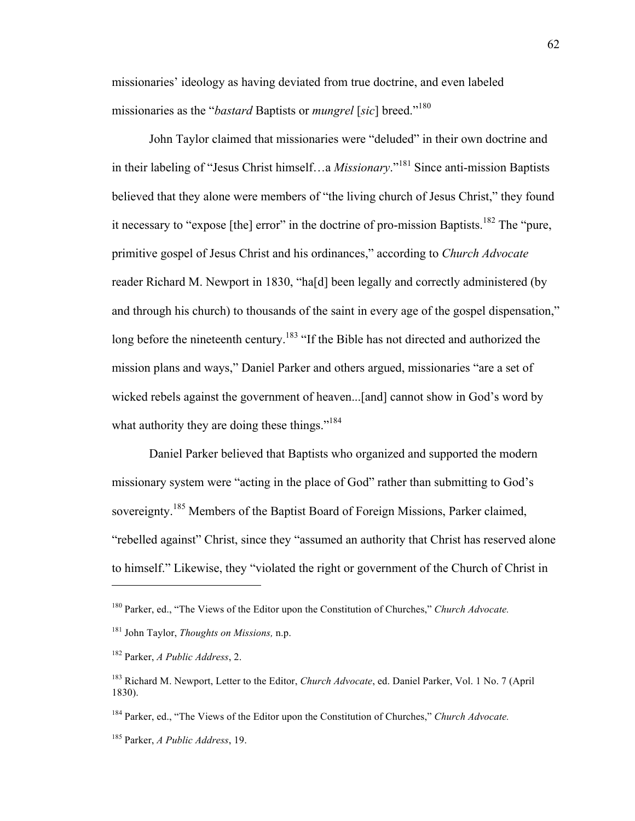missionaries' ideology as having deviated from true doctrine, and even labeled missionaries as the "*bastard* Baptists or *mungrel* [*sic*] breed."<sup>180</sup>

John Taylor claimed that missionaries were "deluded" in their own doctrine and in their labeling of "Jesus Christ himself…a *Missionary*."<sup>181</sup> Since anti-mission Baptists believed that they alone were members of "the living church of Jesus Christ," they found it necessary to "expose [the] error" in the doctrine of pro-mission Baptists.<sup>182</sup> The "pure, primitive gospel of Jesus Christ and his ordinances," according to *Church Advocate* reader Richard M. Newport in 1830, "ha[d] been legally and correctly administered (by and through his church) to thousands of the saint in every age of the gospel dispensation," long before the nineteenth century.<sup>183</sup> "If the Bible has not directed and authorized the mission plans and ways," Daniel Parker and others argued, missionaries "are a set of wicked rebels against the government of heaven...[and] cannot show in God's word by what authority they are doing these things."<sup>184</sup>

Daniel Parker believed that Baptists who organized and supported the modern missionary system were "acting in the place of God" rather than submitting to God's sovereignty.<sup>185</sup> Members of the Baptist Board of Foreign Missions, Parker claimed, "rebelled against" Christ, since they "assumed an authority that Christ has reserved alone to himself." Likewise, they "violated the right or government of the Church of Christ in

 $\overline{a}$ 

<sup>184</sup> Parker, ed., "The Views of the Editor upon the Constitution of Churches," *Church Advocate.*

<sup>180</sup> Parker, ed., "The Views of the Editor upon the Constitution of Churches," *Church Advocate.*

<sup>181</sup> John Taylor, *Thoughts on Missions,* n.p.

<sup>182</sup> Parker, *A Public Address*, 2.

<sup>183</sup> Richard M. Newport, Letter to the Editor, *Church Advocate*, ed. Daniel Parker, Vol. 1 No. 7 (April 1830).

<sup>185</sup> Parker, *A Public Address*, 19.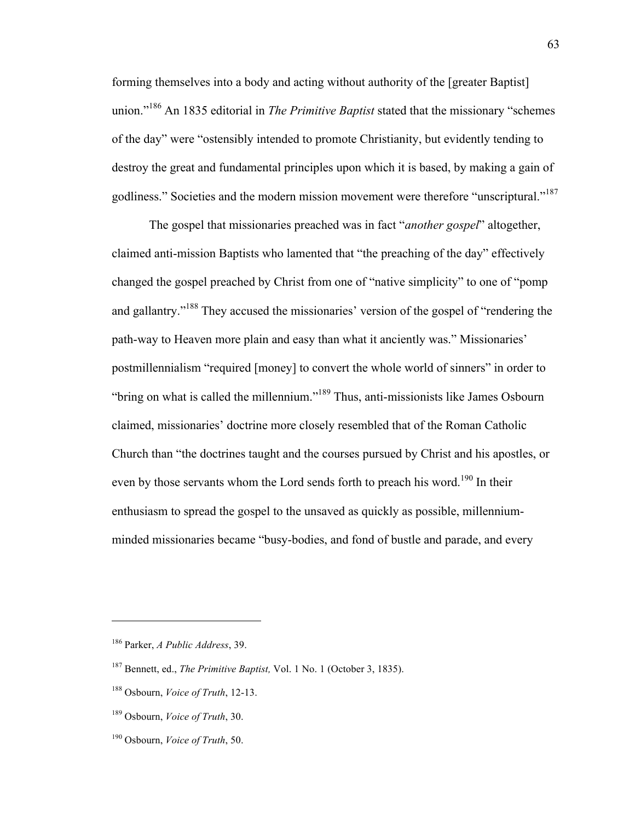forming themselves into a body and acting without authority of the [greater Baptist] union."<sup>186</sup> An 1835 editorial in *The Primitive Baptist* stated that the missionary "schemes of the day" were "ostensibly intended to promote Christianity, but evidently tending to destroy the great and fundamental principles upon which it is based, by making a gain of godliness." Societies and the modern mission movement were therefore "unscriptural."<sup>187</sup>

The gospel that missionaries preached was in fact "*another gospel*" altogether, claimed anti-mission Baptists who lamented that "the preaching of the day" effectively changed the gospel preached by Christ from one of "native simplicity" to one of "pomp and gallantry."<sup>188</sup> They accused the missionaries' version of the gospel of "rendering the path-way to Heaven more plain and easy than what it anciently was." Missionaries' postmillennialism "required [money] to convert the whole world of sinners" in order to "bring on what is called the millennium."<sup>189</sup> Thus, anti-missionists like James Osbourn claimed, missionaries' doctrine more closely resembled that of the Roman Catholic Church than "the doctrines taught and the courses pursued by Christ and his apostles, or even by those servants whom the Lord sends forth to preach his word.<sup>190</sup> In their enthusiasm to spread the gospel to the unsaved as quickly as possible, millenniumminded missionaries became "busy-bodies, and fond of bustle and parade, and every

<sup>186</sup> Parker, *A Public Address*, 39.

<sup>187</sup> Bennett, ed., *The Primitive Baptist,* Vol. 1 No. 1 (October 3, 1835).

<sup>188</sup> Osbourn, *Voice of Truth*, 12-13.

<sup>189</sup> Osbourn, *Voice of Truth*, 30.

<sup>190</sup> Osbourn, *Voice of Truth*, 50.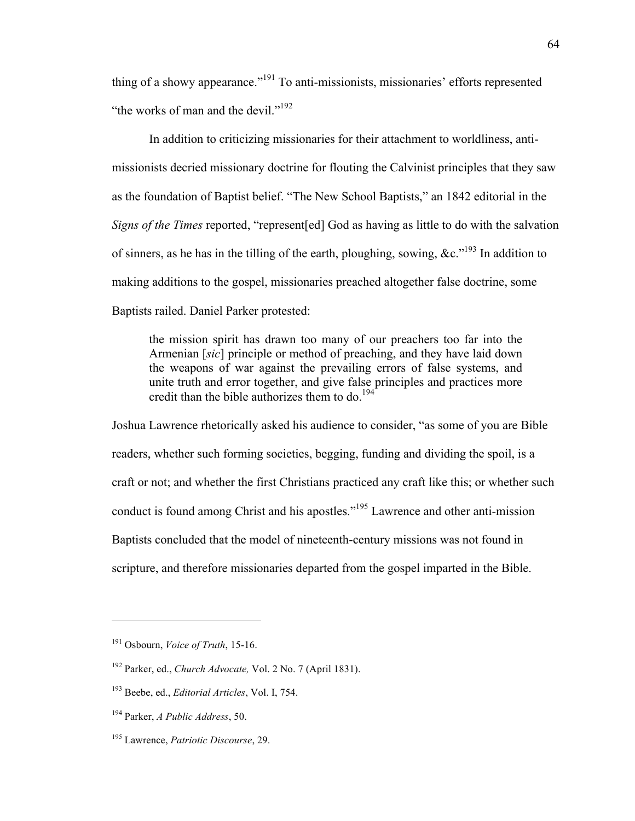thing of a showy appearance."<sup>191</sup> To anti-missionists, missionaries' efforts represented "the works of man and the devil."<sup>192</sup>

In addition to criticizing missionaries for their attachment to worldliness, antimissionists decried missionary doctrine for flouting the Calvinist principles that they saw as the foundation of Baptist belief. "The New School Baptists," an 1842 editorial in the *Signs of the Times* reported, "represent [ed] God as having as little to do with the salvation of sinners, as he has in the tilling of the earth, ploughing, sowing, &c."<sup>193</sup> In addition to making additions to the gospel, missionaries preached altogether false doctrine, some Baptists railed. Daniel Parker protested:

the mission spirit has drawn too many of our preachers too far into the Armenian [*sic*] principle or method of preaching, and they have laid down the weapons of war against the prevailing errors of false systems, and unite truth and error together, and give false principles and practices more credit than the bible authorizes them to do.<sup>194</sup>

Joshua Lawrence rhetorically asked his audience to consider, "as some of you are Bible readers, whether such forming societies, begging, funding and dividing the spoil, is a craft or not; and whether the first Christians practiced any craft like this; or whether such conduct is found among Christ and his apostles."195 Lawrence and other anti-mission Baptists concluded that the model of nineteenth-century missions was not found in scripture, and therefore missionaries departed from the gospel imparted in the Bible.

<sup>191</sup> Osbourn, *Voice of Truth*, 15-16.

<sup>192</sup> Parker, ed., *Church Advocate,* Vol. 2 No. 7 (April 1831).

<sup>193</sup> Beebe, ed., *Editorial Articles*, Vol. I, 754.

<sup>194</sup> Parker, *A Public Address*, 50.

<sup>195</sup> Lawrence, *Patriotic Discourse*, 29.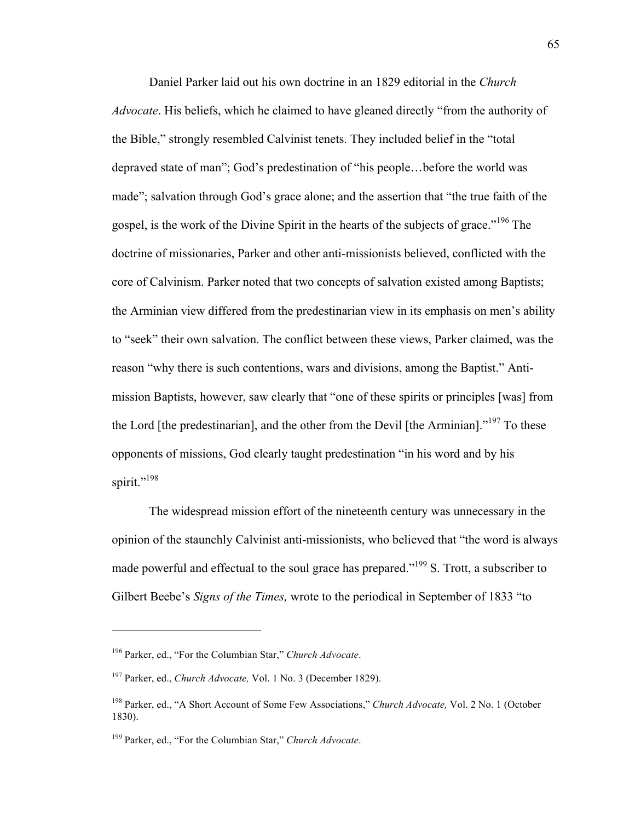Daniel Parker laid out his own doctrine in an 1829 editorial in the *Church Advocate*. His beliefs, which he claimed to have gleaned directly "from the authority of the Bible," strongly resembled Calvinist tenets. They included belief in the "total depraved state of man"; God's predestination of "his people…before the world was made"; salvation through God's grace alone; and the assertion that "the true faith of the gospel, is the work of the Divine Spirit in the hearts of the subjects of grace."<sup>196</sup> The doctrine of missionaries, Parker and other anti-missionists believed, conflicted with the core of Calvinism. Parker noted that two concepts of salvation existed among Baptists; the Arminian view differed from the predestinarian view in its emphasis on men's ability to "seek" their own salvation. The conflict between these views, Parker claimed, was the reason "why there is such contentions, wars and divisions, among the Baptist." Antimission Baptists, however, saw clearly that "one of these spirits or principles [was] from the Lord [the predestinarian], and the other from the Devil [the Arminian]."<sup>197</sup> To these opponents of missions, God clearly taught predestination "in his word and by his spirit."<sup>198</sup>

The widespread mission effort of the nineteenth century was unnecessary in the opinion of the staunchly Calvinist anti-missionists, who believed that "the word is always made powerful and effectual to the soul grace has prepared."<sup>199</sup> S. Trott, a subscriber to Gilbert Beebe's *Signs of the Times,* wrote to the periodical in September of 1833 "to

<sup>196</sup> Parker, ed., "For the Columbian Star," *Church Advocate*.

<sup>197</sup> Parker, ed., *Church Advocate,* Vol. 1 No. 3 (December 1829).

<sup>198</sup> Parker, ed., "A Short Account of Some Few Associations," *Church Advocate,* Vol. 2 No. 1 (October 1830).

<sup>199</sup> Parker, ed., "For the Columbian Star," *Church Advocate*.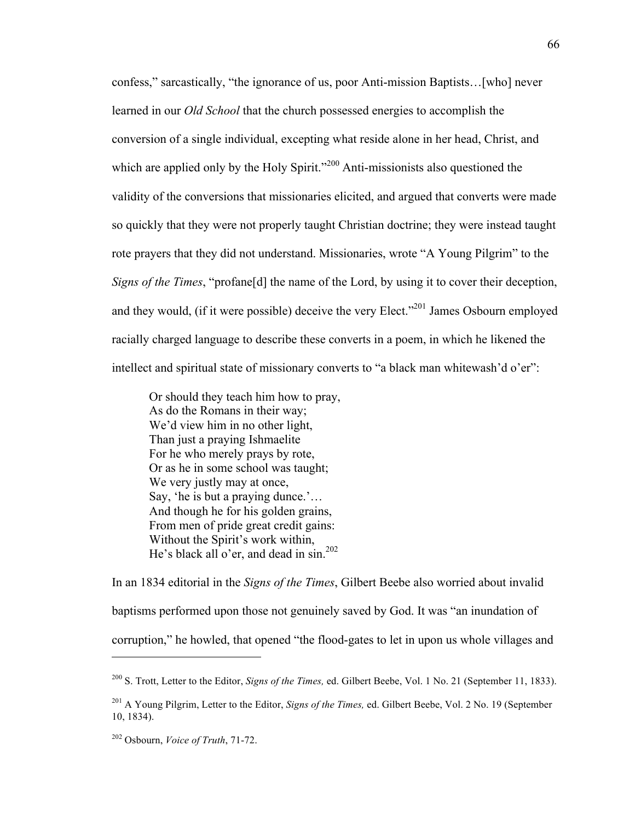confess," sarcastically, "the ignorance of us, poor Anti-mission Baptists…[who] never learned in our *Old School* that the church possessed energies to accomplish the conversion of a single individual, excepting what reside alone in her head, Christ, and which are applied only by the Holy Spirit."<sup>200</sup> Anti-missionists also questioned the validity of the conversions that missionaries elicited, and argued that converts were made so quickly that they were not properly taught Christian doctrine; they were instead taught rote prayers that they did not understand. Missionaries, wrote "A Young Pilgrim" to the *Signs of the Times*, "profane[d] the name of the Lord, by using it to cover their deception, and they would, (if it were possible) deceive the very Elect.<sup> $201$ </sup> James Osbourn employed racially charged language to describe these converts in a poem, in which he likened the intellect and spiritual state of missionary converts to "a black man whitewash'd o'er":

Or should they teach him how to pray, As do the Romans in their way; We'd view him in no other light, Than just a praying Ishmaelite For he who merely prays by rote, Or as he in some school was taught; We very justly may at once, Say, 'he is but a praying dunce.'… And though he for his golden grains, From men of pride great credit gains: Without the Spirit's work within, He's black all o'er, and dead in sin.<sup>202</sup>

In an 1834 editorial in the *Signs of the Times*, Gilbert Beebe also worried about invalid baptisms performed upon those not genuinely saved by God. It was "an inundation of corruption," he howled, that opened "the flood-gates to let in upon us whole villages and

<sup>200</sup> S. Trott, Letter to the Editor, *Signs of the Times,* ed. Gilbert Beebe, Vol. 1 No. 21 (September 11, 1833).

<sup>201</sup> A Young Pilgrim, Letter to the Editor, *Signs of the Times,* ed. Gilbert Beebe, Vol. 2 No. 19 (September 10, 1834).

<sup>202</sup> Osbourn, *Voice of Truth*, 71-72.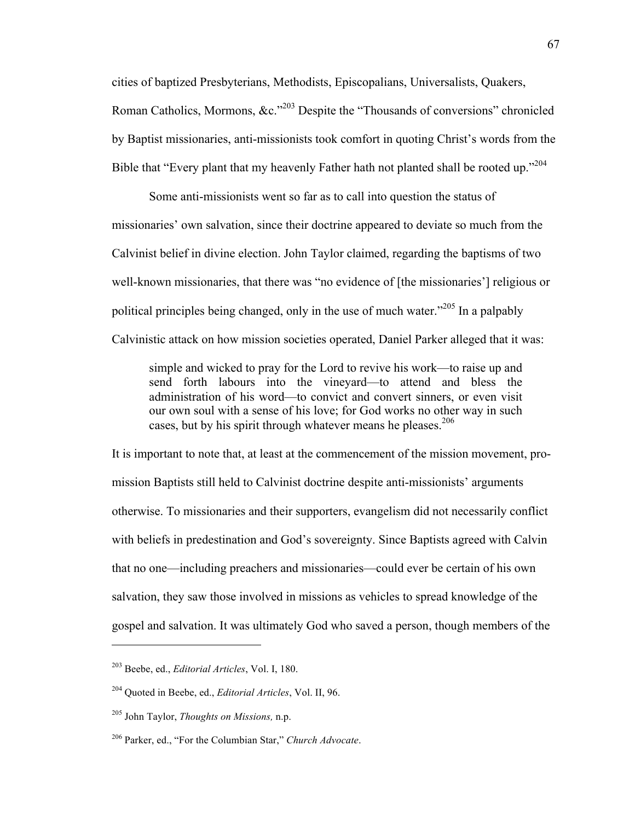cities of baptized Presbyterians, Methodists, Episcopalians, Universalists, Quakers, Roman Catholics, Mormons,  $\&c$ .<sup>203</sup> Despite the "Thousands of conversions" chronicled by Baptist missionaries, anti-missionists took comfort in quoting Christ's words from the Bible that "Every plant that my heavenly Father hath not planted shall be rooted up."<sup>204</sup>

Some anti-missionists went so far as to call into question the status of missionaries' own salvation, since their doctrine appeared to deviate so much from the Calvinist belief in divine election. John Taylor claimed, regarding the baptisms of two well-known missionaries, that there was "no evidence of [the missionaries'] religious or political principles being changed, only in the use of much water."205 In a palpably Calvinistic attack on how mission societies operated, Daniel Parker alleged that it was:

simple and wicked to pray for the Lord to revive his work—to raise up and send forth labours into the vineyard—to attend and bless the administration of his word—to convict and convert sinners, or even visit our own soul with a sense of his love; for God works no other way in such cases, but by his spirit through whatever means he pleases.<sup>206</sup>

It is important to note that, at least at the commencement of the mission movement, promission Baptists still held to Calvinist doctrine despite anti-missionists' arguments otherwise. To missionaries and their supporters, evangelism did not necessarily conflict with beliefs in predestination and God's sovereignty. Since Baptists agreed with Calvin that no one—including preachers and missionaries—could ever be certain of his own salvation, they saw those involved in missions as vehicles to spread knowledge of the gospel and salvation. It was ultimately God who saved a person, though members of the

<sup>203</sup> Beebe, ed., *Editorial Articles*, Vol. I, 180.

<sup>204</sup> Quoted in Beebe, ed., *Editorial Articles*, Vol. II, 96.

<sup>205</sup> John Taylor, *Thoughts on Missions,* n.p.

<sup>206</sup> Parker, ed., "For the Columbian Star," *Church Advocate*.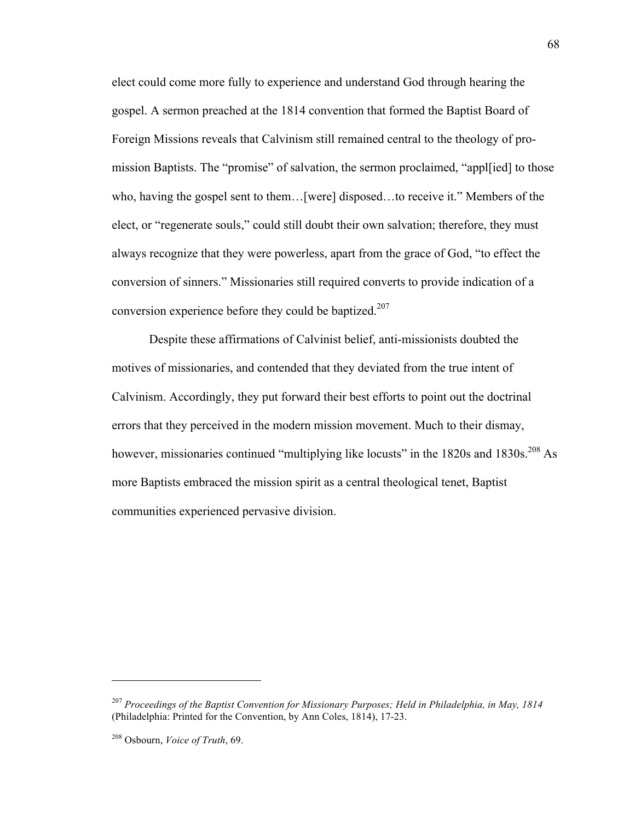elect could come more fully to experience and understand God through hearing the gospel. A sermon preached at the 1814 convention that formed the Baptist Board of Foreign Missions reveals that Calvinism still remained central to the theology of promission Baptists. The "promise" of salvation, the sermon proclaimed, "appl[ied] to those who, having the gospel sent to them…[were] disposed…to receive it." Members of the elect, or "regenerate souls," could still doubt their own salvation; therefore, they must always recognize that they were powerless, apart from the grace of God, "to effect the conversion of sinners." Missionaries still required converts to provide indication of a conversion experience before they could be baptized.<sup>207</sup>

Despite these affirmations of Calvinist belief, anti-missionists doubted the motives of missionaries, and contended that they deviated from the true intent of Calvinism. Accordingly, they put forward their best efforts to point out the doctrinal errors that they perceived in the modern mission movement. Much to their dismay, however, missionaries continued "multiplying like locusts" in the 1820s and 1830s.<sup>208</sup> As more Baptists embraced the mission spirit as a central theological tenet, Baptist communities experienced pervasive division.

<sup>207</sup> *Proceedings of the Baptist Convention for Missionary Purposes; Held in Philadelphia, in May, 1814* (Philadelphia: Printed for the Convention, by Ann Coles, 1814), 17-23.

<sup>208</sup> Osbourn, *Voice of Truth*, 69.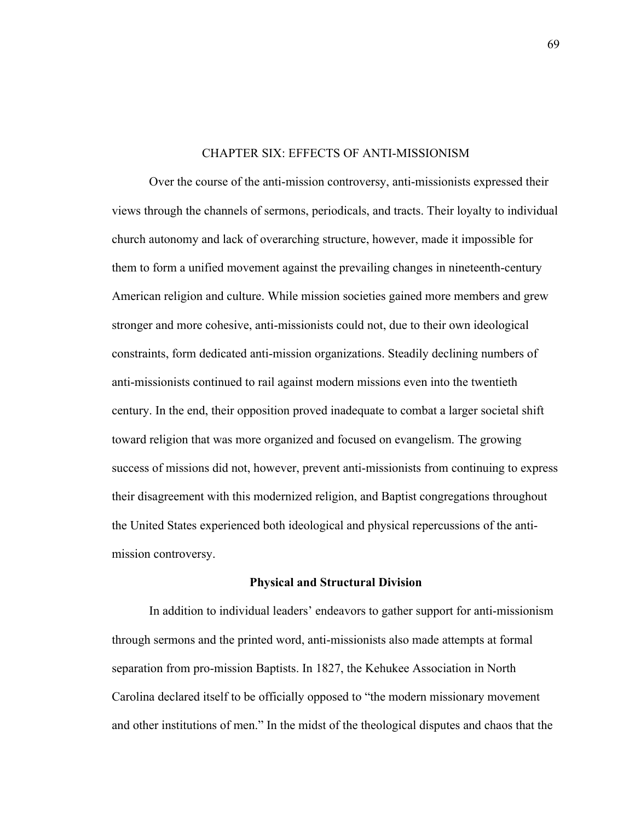# CHAPTER SIX: EFFECTS OF ANTI-MISSIONISM

Over the course of the anti-mission controversy, anti-missionists expressed their views through the channels of sermons, periodicals, and tracts. Their loyalty to individual church autonomy and lack of overarching structure, however, made it impossible for them to form a unified movement against the prevailing changes in nineteenth-century American religion and culture. While mission societies gained more members and grew stronger and more cohesive, anti-missionists could not, due to their own ideological constraints, form dedicated anti-mission organizations. Steadily declining numbers of anti-missionists continued to rail against modern missions even into the twentieth century. In the end, their opposition proved inadequate to combat a larger societal shift toward religion that was more organized and focused on evangelism. The growing success of missions did not, however, prevent anti-missionists from continuing to express their disagreement with this modernized religion, and Baptist congregations throughout the United States experienced both ideological and physical repercussions of the antimission controversy.

# **Physical and Structural Division**

In addition to individual leaders' endeavors to gather support for anti-missionism through sermons and the printed word, anti-missionists also made attempts at formal separation from pro-mission Baptists. In 1827, the Kehukee Association in North Carolina declared itself to be officially opposed to "the modern missionary movement and other institutions of men." In the midst of the theological disputes and chaos that the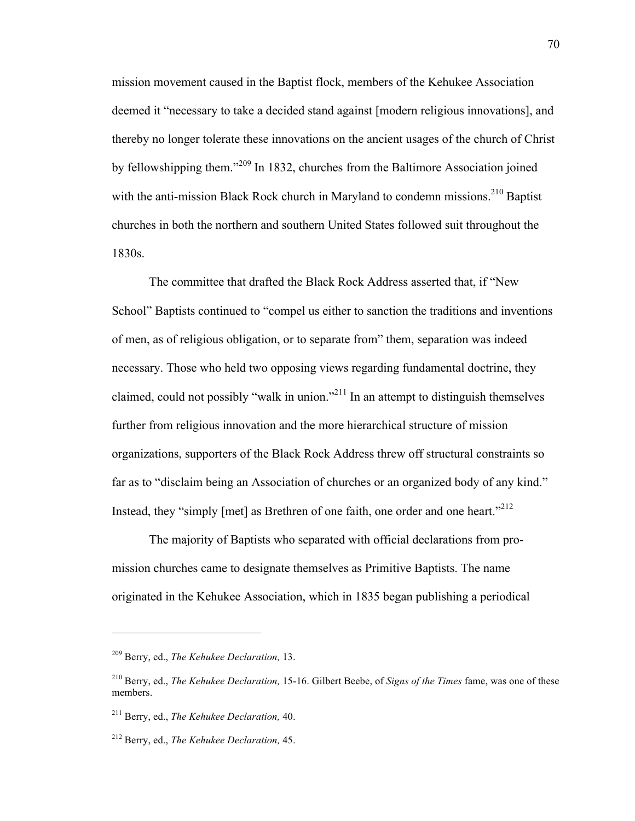mission movement caused in the Baptist flock, members of the Kehukee Association deemed it "necessary to take a decided stand against [modern religious innovations], and thereby no longer tolerate these innovations on the ancient usages of the church of Christ by fellowshipping them."<sup>209</sup> In 1832, churches from the Baltimore Association joined with the anti-mission Black Rock church in Maryland to condemn missions.<sup>210</sup> Baptist churches in both the northern and southern United States followed suit throughout the 1830s.

The committee that drafted the Black Rock Address asserted that, if "New School" Baptists continued to "compel us either to sanction the traditions and inventions of men, as of religious obligation, or to separate from" them, separation was indeed necessary. Those who held two opposing views regarding fundamental doctrine, they claimed, could not possibly "walk in union."<sup>211</sup> In an attempt to distinguish themselves further from religious innovation and the more hierarchical structure of mission organizations, supporters of the Black Rock Address threw off structural constraints so far as to "disclaim being an Association of churches or an organized body of any kind." Instead, they "simply [met] as Brethren of one faith, one order and one heart."<sup>212</sup>

The majority of Baptists who separated with official declarations from promission churches came to designate themselves as Primitive Baptists. The name originated in the Kehukee Association, which in 1835 began publishing a periodical

<sup>209</sup> Berry, ed., *The Kehukee Declaration,* 13.

<sup>210</sup> Berry, ed., *The Kehukee Declaration,* 15-16. Gilbert Beebe, of *Signs of the Times* fame, was one of these members.

<sup>211</sup> Berry, ed., *The Kehukee Declaration,* 40.

<sup>212</sup> Berry, ed., *The Kehukee Declaration,* 45.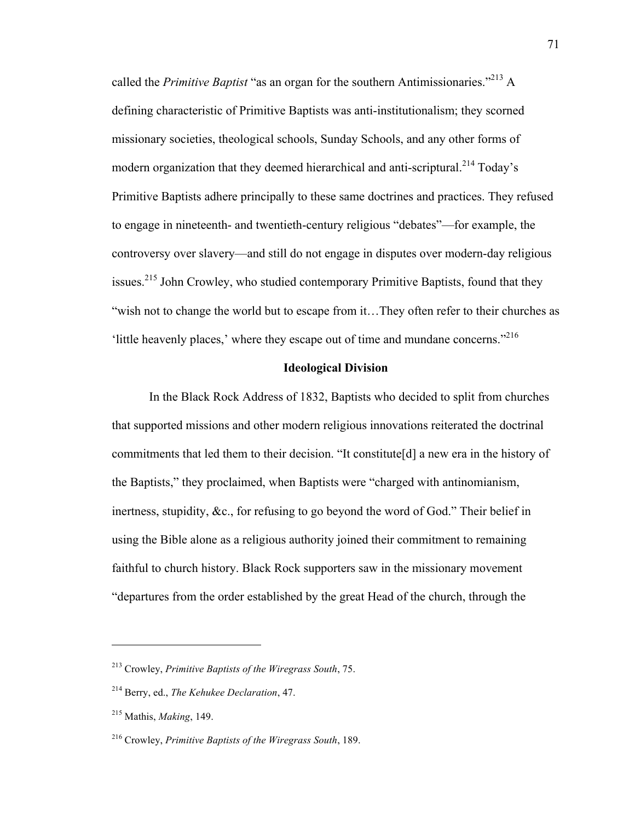called the *Primitive Baptist* "as an organ for the southern Antimissionaries."213 A defining characteristic of Primitive Baptists was anti-institutionalism; they scorned missionary societies, theological schools, Sunday Schools, and any other forms of modern organization that they deemed hierarchical and anti-scriptural.<sup>214</sup> Today's Primitive Baptists adhere principally to these same doctrines and practices. They refused to engage in nineteenth- and twentieth-century religious "debates"—for example, the controversy over slavery—and still do not engage in disputes over modern-day religious issues.<sup>215</sup> John Crowley, who studied contemporary Primitive Baptists, found that they "wish not to change the world but to escape from it…They often refer to their churches as 'little heavenly places,' where they escape out of time and mundane concerns." 216

## **Ideological Division**

In the Black Rock Address of 1832, Baptists who decided to split from churches that supported missions and other modern religious innovations reiterated the doctrinal commitments that led them to their decision. "It constitute[d] a new era in the history of the Baptists," they proclaimed, when Baptists were "charged with antinomianism, inertness, stupidity, &c., for refusing to go beyond the word of God." Their belief in using the Bible alone as a religious authority joined their commitment to remaining faithful to church history. Black Rock supporters saw in the missionary movement "departures from the order established by the great Head of the church, through the

<sup>213</sup> Crowley, *Primitive Baptists of the Wiregrass South*, 75.

<sup>214</sup> Berry, ed., *The Kehukee Declaration*, 47.

<sup>215</sup> Mathis, *Making*, 149.

<sup>216</sup> Crowley, *Primitive Baptists of the Wiregrass South*, 189.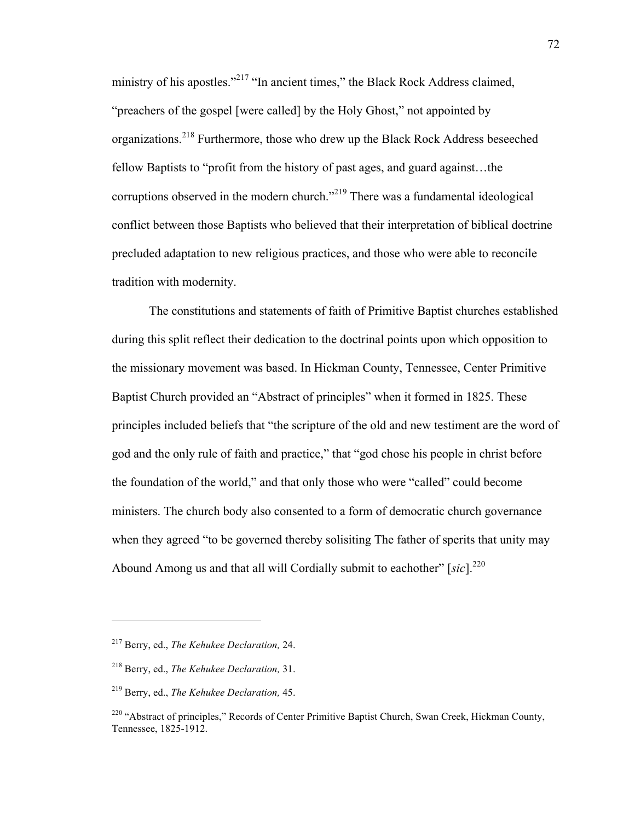ministry of his apostles."<sup>217</sup> "In ancient times," the Black Rock Address claimed, "preachers of the gospel [were called] by the Holy Ghost," not appointed by organizations.<sup>218</sup> Furthermore, those who drew up the Black Rock Address beseeched fellow Baptists to "profit from the history of past ages, and guard against…the corruptions observed in the modern church."<sup>219</sup> There was a fundamental ideological conflict between those Baptists who believed that their interpretation of biblical doctrine precluded adaptation to new religious practices, and those who were able to reconcile tradition with modernity.

The constitutions and statements of faith of Primitive Baptist churches established during this split reflect their dedication to the doctrinal points upon which opposition to the missionary movement was based. In Hickman County, Tennessee, Center Primitive Baptist Church provided an "Abstract of principles" when it formed in 1825. These principles included beliefs that "the scripture of the old and new testiment are the word of god and the only rule of faith and practice," that "god chose his people in christ before the foundation of the world," and that only those who were "called" could become ministers. The church body also consented to a form of democratic church governance when they agreed "to be governed thereby solisiting The father of sperits that unity may Abound Among us and that all will Cordially submit to eachother"  $[sic]$ <sup>220</sup>

<sup>217</sup> Berry, ed., *The Kehukee Declaration,* 24.

<sup>218</sup> Berry, ed., *The Kehukee Declaration,* 31.

<sup>219</sup> Berry, ed., *The Kehukee Declaration,* 45.

<sup>&</sup>lt;sup>220</sup> "Abstract of principles," Records of Center Primitive Baptist Church, Swan Creek, Hickman County, Tennessee, 1825-1912.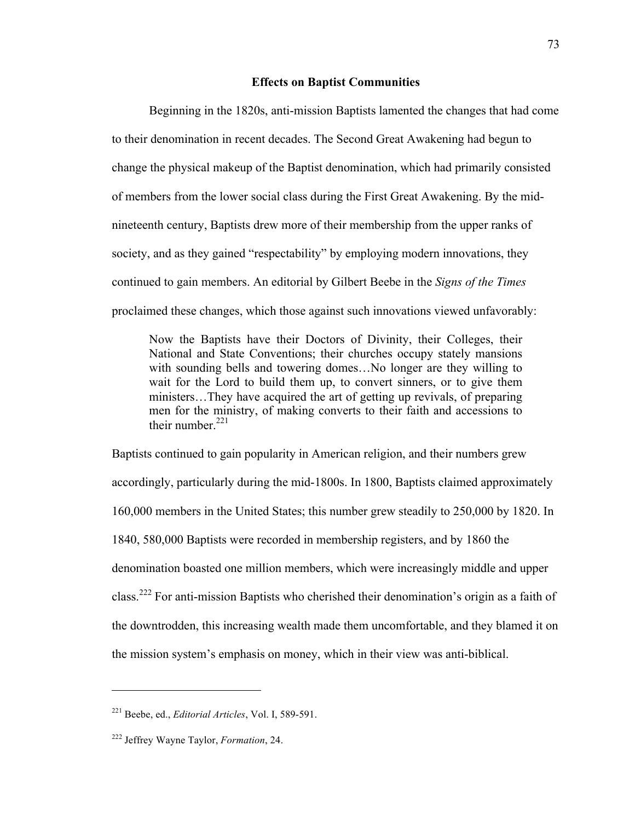# **Effects on Baptist Communities**

Beginning in the 1820s, anti-mission Baptists lamented the changes that had come to their denomination in recent decades. The Second Great Awakening had begun to change the physical makeup of the Baptist denomination, which had primarily consisted of members from the lower social class during the First Great Awakening. By the midnineteenth century, Baptists drew more of their membership from the upper ranks of society, and as they gained "respectability" by employing modern innovations, they continued to gain members. An editorial by Gilbert Beebe in the *Signs of the Times* proclaimed these changes, which those against such innovations viewed unfavorably:

Now the Baptists have their Doctors of Divinity, their Colleges, their National and State Conventions; their churches occupy stately mansions with sounding bells and towering domes…No longer are they willing to wait for the Lord to build them up, to convert sinners, or to give them ministers…They have acquired the art of getting up revivals, of preparing men for the ministry, of making converts to their faith and accessions to their number  $221$ 

Baptists continued to gain popularity in American religion, and their numbers grew accordingly, particularly during the mid-1800s. In 1800, Baptists claimed approximately 160,000 members in the United States; this number grew steadily to 250,000 by 1820. In 1840, 580,000 Baptists were recorded in membership registers, and by 1860 the denomination boasted one million members, which were increasingly middle and upper class.<sup>222</sup> For anti-mission Baptists who cherished their denomination's origin as a faith of the downtrodden, this increasing wealth made them uncomfortable, and they blamed it on the mission system's emphasis on money, which in their view was anti-biblical.

<sup>221</sup> Beebe, ed., *Editorial Articles*, Vol. I, 589-591.

<sup>222</sup> Jeffrey Wayne Taylor, *Formation*, 24.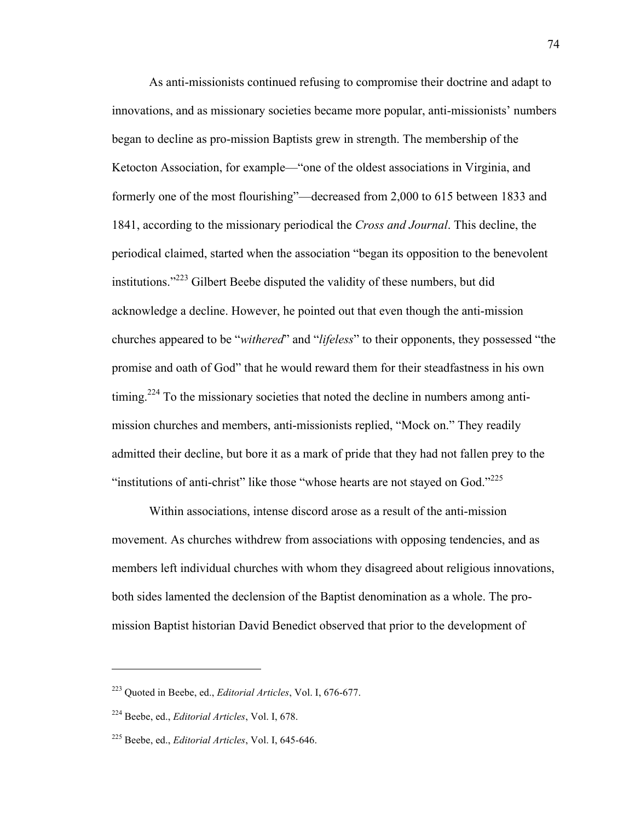As anti-missionists continued refusing to compromise their doctrine and adapt to innovations, and as missionary societies became more popular, anti-missionists' numbers began to decline as pro-mission Baptists grew in strength. The membership of the Ketocton Association, for example—"one of the oldest associations in Virginia, and formerly one of the most flourishing"—decreased from 2,000 to 615 between 1833 and 1841, according to the missionary periodical the *Cross and Journal*. This decline, the periodical claimed, started when the association "began its opposition to the benevolent institutions."<sup>223</sup> Gilbert Beebe disputed the validity of these numbers, but did acknowledge a decline. However, he pointed out that even though the anti-mission churches appeared to be "*withered*" and "*lifeless*" to their opponents, they possessed "the promise and oath of God" that he would reward them for their steadfastness in his own timing.<sup>224</sup> To the missionary societies that noted the decline in numbers among antimission churches and members, anti-missionists replied, "Mock on." They readily admitted their decline, but bore it as a mark of pride that they had not fallen prey to the "institutions of anti-christ" like those "whose hearts are not stayed on God."<sup>225</sup>

Within associations, intense discord arose as a result of the anti-mission movement. As churches withdrew from associations with opposing tendencies, and as members left individual churches with whom they disagreed about religious innovations, both sides lamented the declension of the Baptist denomination as a whole. The promission Baptist historian David Benedict observed that prior to the development of

<sup>223</sup> Quoted in Beebe, ed., *Editorial Articles*, Vol. I, 676-677.

<sup>224</sup> Beebe, ed., *Editorial Articles*, Vol. I, 678.

<sup>225</sup> Beebe, ed., *Editorial Articles*, Vol. I, 645-646.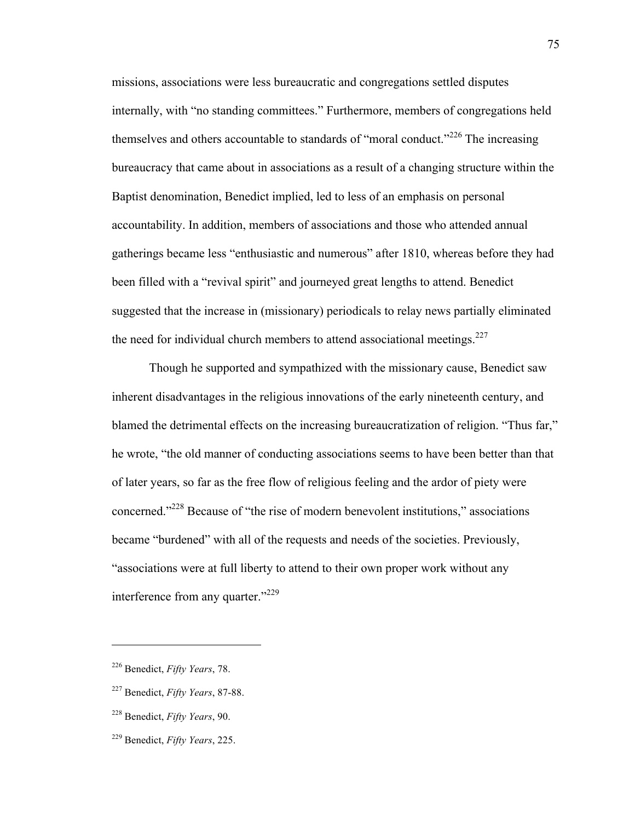missions, associations were less bureaucratic and congregations settled disputes internally, with "no standing committees." Furthermore, members of congregations held themselves and others accountable to standards of "moral conduct."<sup>226</sup> The increasing bureaucracy that came about in associations as a result of a changing structure within the Baptist denomination, Benedict implied, led to less of an emphasis on personal accountability. In addition, members of associations and those who attended annual gatherings became less "enthusiastic and numerous" after 1810, whereas before they had been filled with a "revival spirit" and journeyed great lengths to attend. Benedict suggested that the increase in (missionary) periodicals to relay news partially eliminated the need for individual church members to attend associational meetings. $227$ 

Though he supported and sympathized with the missionary cause, Benedict saw inherent disadvantages in the religious innovations of the early nineteenth century, and blamed the detrimental effects on the increasing bureaucratization of religion. "Thus far," he wrote, "the old manner of conducting associations seems to have been better than that of later years, so far as the free flow of religious feeling and the ardor of piety were concerned."228 Because of "the rise of modern benevolent institutions," associations became "burdened" with all of the requests and needs of the societies. Previously, "associations were at full liberty to attend to their own proper work without any interference from any quarter."<sup>229</sup>

<sup>226</sup> Benedict, *Fifty Years*, 78.

<sup>227</sup> Benedict, *Fifty Years*, 87-88.

<sup>228</sup> Benedict, *Fifty Years*, 90.

<sup>229</sup> Benedict, *Fifty Years*, 225.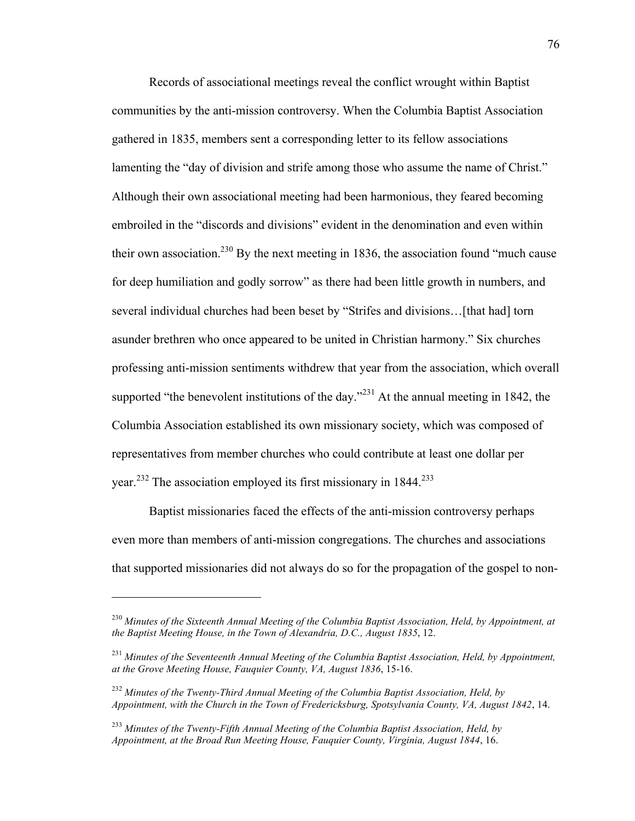Records of associational meetings reveal the conflict wrought within Baptist communities by the anti-mission controversy. When the Columbia Baptist Association gathered in 1835, members sent a corresponding letter to its fellow associations lamenting the "day of division and strife among those who assume the name of Christ." Although their own associational meeting had been harmonious, they feared becoming embroiled in the "discords and divisions" evident in the denomination and even within their own association.<sup>230</sup> By the next meeting in 1836, the association found "much cause" for deep humiliation and godly sorrow" as there had been little growth in numbers, and several individual churches had been beset by "Strifes and divisions…[that had] torn asunder brethren who once appeared to be united in Christian harmony." Six churches professing anti-mission sentiments withdrew that year from the association, which overall supported "the benevolent institutions of the day."<sup>231</sup> At the annual meeting in 1842, the Columbia Association established its own missionary society, which was composed of representatives from member churches who could contribute at least one dollar per year.<sup>232</sup> The association employed its first missionary in 1844.<sup>233</sup>

Baptist missionaries faced the effects of the anti-mission controversy perhaps even more than members of anti-mission congregations. The churches and associations that supported missionaries did not always do so for the propagation of the gospel to non-

<sup>230</sup> *Minutes of the Sixteenth Annual Meeting of the Columbia Baptist Association, Held, by Appointment, at the Baptist Meeting House, in the Town of Alexandria, D.C., August 1835*, 12.

<sup>231</sup> *Minutes of the Seventeenth Annual Meeting of the Columbia Baptist Association, Held, by Appointment, at the Grove Meeting House, Fauquier County, VA, August 1836*, 15-16.

<sup>232</sup> *Minutes of the Twenty-Third Annual Meeting of the Columbia Baptist Association, Held, by Appointment, with the Church in the Town of Fredericksburg, Spotsylvania County, VA, August 1842*, 14.

<sup>233</sup> *Minutes of the Twenty-Fifth Annual Meeting of the Columbia Baptist Association, Held, by Appointment, at the Broad Run Meeting House, Fauquier County, Virginia, August 1844*, 16.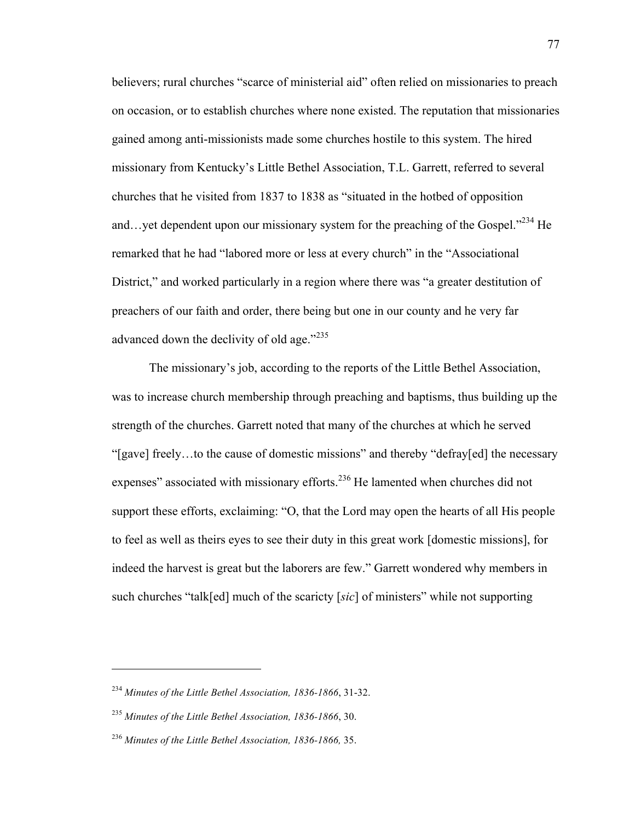believers; rural churches "scarce of ministerial aid" often relied on missionaries to preach on occasion, or to establish churches where none existed. The reputation that missionaries gained among anti-missionists made some churches hostile to this system. The hired missionary from Kentucky's Little Bethel Association, T.L. Garrett, referred to several churches that he visited from 1837 to 1838 as "situated in the hotbed of opposition and…yet dependent upon our missionary system for the preaching of the Gospel."<sup>234</sup> He remarked that he had "labored more or less at every church" in the "Associational District," and worked particularly in a region where there was "a greater destitution of preachers of our faith and order, there being but one in our county and he very far advanced down the declivity of old age."<sup>235</sup>

The missionary's job, according to the reports of the Little Bethel Association, was to increase church membership through preaching and baptisms, thus building up the strength of the churches. Garrett noted that many of the churches at which he served "[gave] freely…to the cause of domestic missions" and thereby "defray[ed] the necessary expenses" associated with missionary efforts.<sup>236</sup> He lamented when churches did not support these efforts, exclaiming: "O, that the Lord may open the hearts of all His people to feel as well as theirs eyes to see their duty in this great work [domestic missions], for indeed the harvest is great but the laborers are few." Garrett wondered why members in such churches "talk[ed] much of the scaricty [*sic*] of ministers" while not supporting

<sup>234</sup> *Minutes of the Little Bethel Association, 1836-1866*, 31-32.

<sup>235</sup> *Minutes of the Little Bethel Association, 1836-1866*, 30.

<sup>236</sup> *Minutes of the Little Bethel Association, 1836-1866,* 35.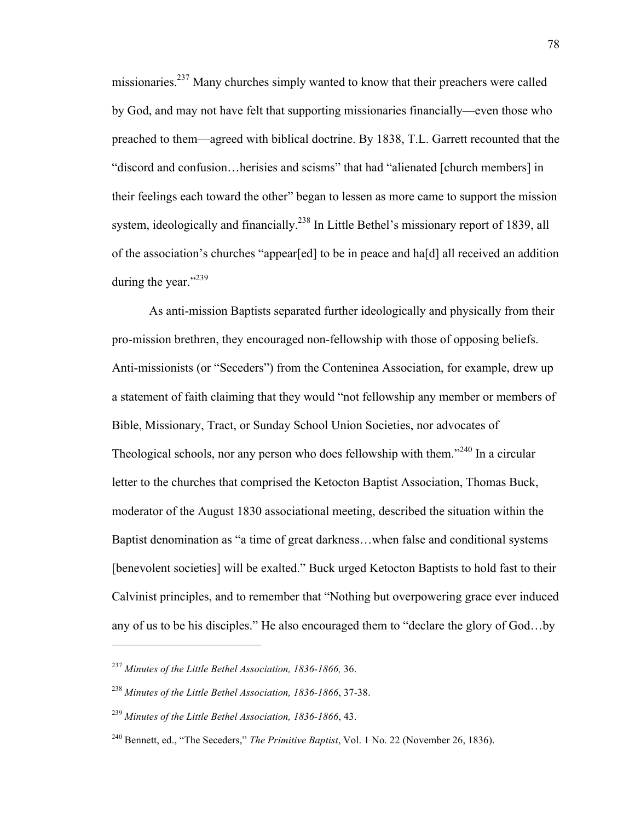missionaries.<sup>237</sup> Many churches simply wanted to know that their preachers were called by God, and may not have felt that supporting missionaries financially—even those who preached to them—agreed with biblical doctrine. By 1838, T.L. Garrett recounted that the "discord and confusion…herisies and scisms" that had "alienated [church members] in their feelings each toward the other" began to lessen as more came to support the mission system, ideologically and financially.<sup>238</sup> In Little Bethel's missionary report of 1839, all of the association's churches "appear[ed] to be in peace and ha[d] all received an addition during the year." $^{239}$ 

As anti-mission Baptists separated further ideologically and physically from their pro-mission brethren, they encouraged non-fellowship with those of opposing beliefs. Anti-missionists (or "Seceders") from the Conteninea Association, for example, drew up a statement of faith claiming that they would "not fellowship any member or members of Bible, Missionary, Tract, or Sunday School Union Societies, nor advocates of Theological schools, nor any person who does fellowship with them.<sup> $240$ </sup> In a circular letter to the churches that comprised the Ketocton Baptist Association, Thomas Buck, moderator of the August 1830 associational meeting, described the situation within the Baptist denomination as "a time of great darkness…when false and conditional systems [benevolent societies] will be exalted." Buck urged Ketocton Baptists to hold fast to their Calvinist principles, and to remember that "Nothing but overpowering grace ever induced any of us to be his disciples." He also encouraged them to "declare the glory of God…by

<sup>237</sup> *Minutes of the Little Bethel Association, 1836-1866,* 36.

<sup>238</sup> *Minutes of the Little Bethel Association, 1836-1866*, 37-38.

<sup>239</sup> *Minutes of the Little Bethel Association, 1836-1866*, 43.

<sup>240</sup> Bennett, ed., "The Seceders," *The Primitive Baptist*, Vol. 1 No. 22 (November 26, 1836).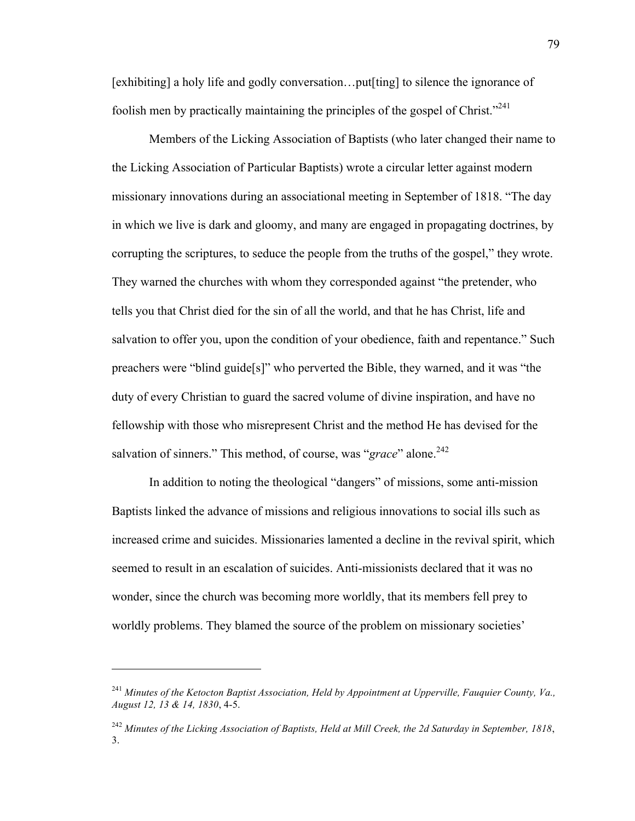[exhibiting] a holy life and godly conversation…put[ting] to silence the ignorance of foolish men by practically maintaining the principles of the gospel of Christ.<sup> $241$ </sup>

Members of the Licking Association of Baptists (who later changed their name to the Licking Association of Particular Baptists) wrote a circular letter against modern missionary innovations during an associational meeting in September of 1818. "The day in which we live is dark and gloomy, and many are engaged in propagating doctrines, by corrupting the scriptures, to seduce the people from the truths of the gospel," they wrote. They warned the churches with whom they corresponded against "the pretender, who tells you that Christ died for the sin of all the world, and that he has Christ, life and salvation to offer you, upon the condition of your obedience, faith and repentance." Such preachers were "blind guide[s]" who perverted the Bible, they warned, and it was "the duty of every Christian to guard the sacred volume of divine inspiration, and have no fellowship with those who misrepresent Christ and the method He has devised for the salvation of sinners." This method, of course, was "*grace*" alone.<sup>242</sup>

In addition to noting the theological "dangers" of missions, some anti-mission Baptists linked the advance of missions and religious innovations to social ills such as increased crime and suicides. Missionaries lamented a decline in the revival spirit, which seemed to result in an escalation of suicides. Anti-missionists declared that it was no wonder, since the church was becoming more worldly, that its members fell prey to worldly problems. They blamed the source of the problem on missionary societies'

<sup>241</sup> *Minutes of the Ketocton Baptist Association, Held by Appointment at Upperville, Fauquier County, Va., August 12, 13 & 14, 1830*, 4-5.

<sup>242</sup> *Minutes of the Licking Association of Baptists, Held at Mill Creek, the 2d Saturday in September, 1818*, 3.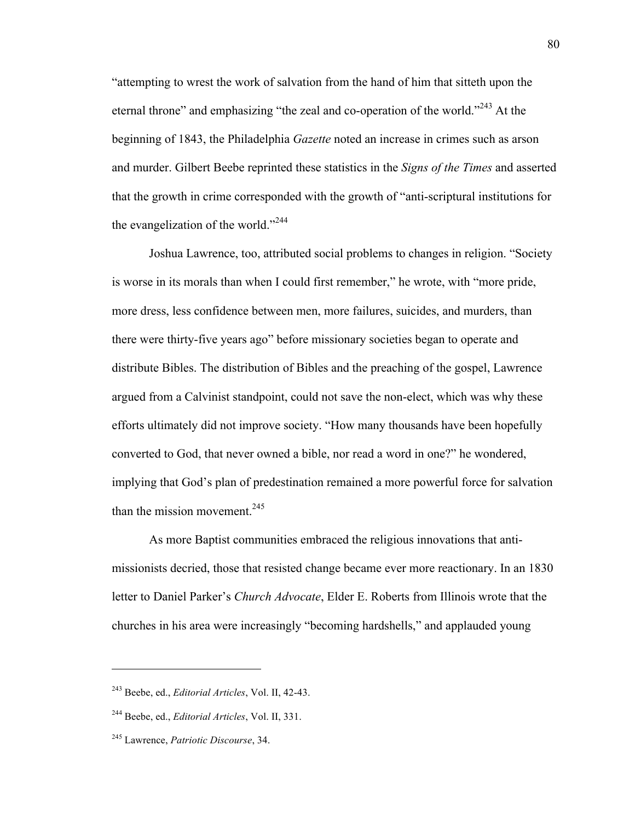"attempting to wrest the work of salvation from the hand of him that sitteth upon the eternal throne" and emphasizing "the zeal and co-operation of the world."<sup>243</sup> At the beginning of 1843, the Philadelphia *Gazette* noted an increase in crimes such as arson and murder. Gilbert Beebe reprinted these statistics in the *Signs of the Times* and asserted that the growth in crime corresponded with the growth of "anti-scriptural institutions for the evangelization of the world."<sup>244</sup>

Joshua Lawrence, too, attributed social problems to changes in religion. "Society is worse in its morals than when I could first remember," he wrote, with "more pride, more dress, less confidence between men, more failures, suicides, and murders, than there were thirty-five years ago" before missionary societies began to operate and distribute Bibles. The distribution of Bibles and the preaching of the gospel, Lawrence argued from a Calvinist standpoint, could not save the non-elect, which was why these efforts ultimately did not improve society. "How many thousands have been hopefully converted to God, that never owned a bible, nor read a word in one?" he wondered, implying that God's plan of predestination remained a more powerful force for salvation than the mission movement. $245$ 

As more Baptist communities embraced the religious innovations that antimissionists decried, those that resisted change became ever more reactionary. In an 1830 letter to Daniel Parker's *Church Advocate*, Elder E. Roberts from Illinois wrote that the churches in his area were increasingly "becoming hardshells," and applauded young

<sup>243</sup> Beebe, ed., *Editorial Articles*, Vol. II, 42-43.

<sup>244</sup> Beebe, ed., *Editorial Articles*, Vol. II, 331.

<sup>245</sup> Lawrence, *Patriotic Discourse*, 34.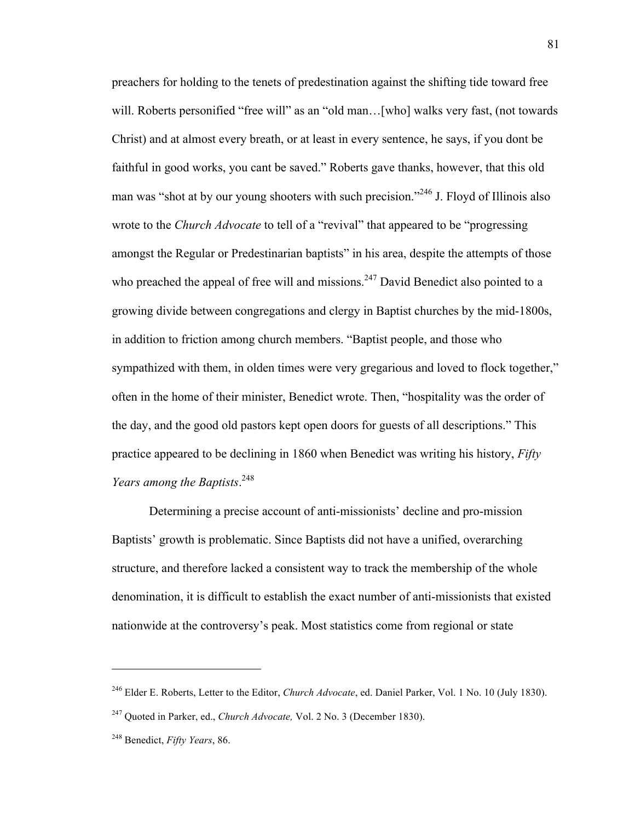preachers for holding to the tenets of predestination against the shifting tide toward free will. Roberts personified "free will" as an "old man...[who] walks very fast, (not towards Christ) and at almost every breath, or at least in every sentence, he says, if you dont be faithful in good works, you cant be saved." Roberts gave thanks, however, that this old man was "shot at by our young shooters with such precision."<sup>246</sup> J. Floyd of Illinois also wrote to the *Church Advocate* to tell of a "revival" that appeared to be "progressing amongst the Regular or Predestinarian baptists" in his area, despite the attempts of those who preached the appeal of free will and missions.<sup>247</sup> David Benedict also pointed to a growing divide between congregations and clergy in Baptist churches by the mid-1800s, in addition to friction among church members. "Baptist people, and those who sympathized with them, in olden times were very gregarious and loved to flock together," often in the home of their minister, Benedict wrote. Then, "hospitality was the order of the day, and the good old pastors kept open doors for guests of all descriptions." This practice appeared to be declining in 1860 when Benedict was writing his history, *Fifty Years among the Baptists*. 248

Determining a precise account of anti-missionists' decline and pro-mission Baptists' growth is problematic. Since Baptists did not have a unified, overarching structure, and therefore lacked a consistent way to track the membership of the whole denomination, it is difficult to establish the exact number of anti-missionists that existed nationwide at the controversy's peak. Most statistics come from regional or state

<sup>246</sup> Elder E. Roberts, Letter to the Editor, *Church Advocate*, ed. Daniel Parker, Vol. 1 No. 10 (July 1830).

<sup>247</sup> Quoted in Parker, ed., *Church Advocate,* Vol. 2 No. 3 (December 1830).

<sup>248</sup> Benedict, *Fifty Years*, 86.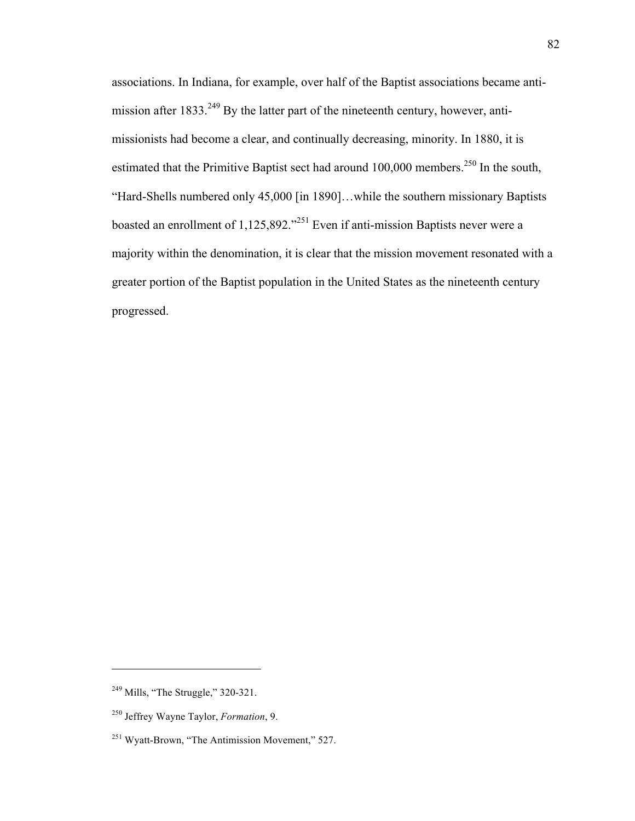associations. In Indiana, for example, over half of the Baptist associations became antimission after 1833.<sup>249</sup> By the latter part of the nineteenth century, however, antimissionists had become a clear, and continually decreasing, minority. In 1880, it is estimated that the Primitive Baptist sect had around  $100,000$  members.<sup>250</sup> In the south, "Hard-Shells numbered only 45,000 [in 1890]…while the southern missionary Baptists boasted an enrollment of  $1,125,892.^{0251}$  Even if anti-mission Baptists never were a majority within the denomination, it is clear that the mission movement resonated with a greater portion of the Baptist population in the United States as the nineteenth century progressed.

<sup>&</sup>lt;sup>249</sup> Mills, "The Struggle," 320-321.

<sup>250</sup> Jeffrey Wayne Taylor, *Formation*, 9.

<sup>251</sup> Wyatt-Brown, "The Antimission Movement," 527.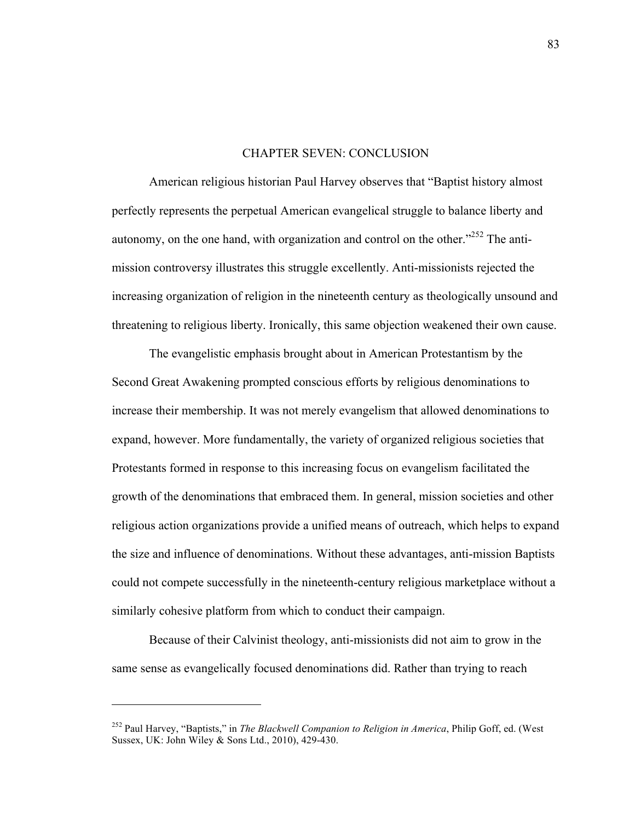# CHAPTER SEVEN: CONCLUSION

American religious historian Paul Harvey observes that "Baptist history almost perfectly represents the perpetual American evangelical struggle to balance liberty and autonomy, on the one hand, with organization and control on the other."252 The antimission controversy illustrates this struggle excellently. Anti-missionists rejected the increasing organization of religion in the nineteenth century as theologically unsound and threatening to religious liberty. Ironically, this same objection weakened their own cause.

The evangelistic emphasis brought about in American Protestantism by the Second Great Awakening prompted conscious efforts by religious denominations to increase their membership. It was not merely evangelism that allowed denominations to expand, however. More fundamentally, the variety of organized religious societies that Protestants formed in response to this increasing focus on evangelism facilitated the growth of the denominations that embraced them. In general, mission societies and other religious action organizations provide a unified means of outreach, which helps to expand the size and influence of denominations. Without these advantages, anti-mission Baptists could not compete successfully in the nineteenth-century religious marketplace without a similarly cohesive platform from which to conduct their campaign.

Because of their Calvinist theology, anti-missionists did not aim to grow in the same sense as evangelically focused denominations did. Rather than trying to reach

<sup>252</sup> Paul Harvey, "Baptists," in *The Blackwell Companion to Religion in America*, Philip Goff, ed. (West Sussex, UK: John Wiley & Sons Ltd., 2010), 429-430.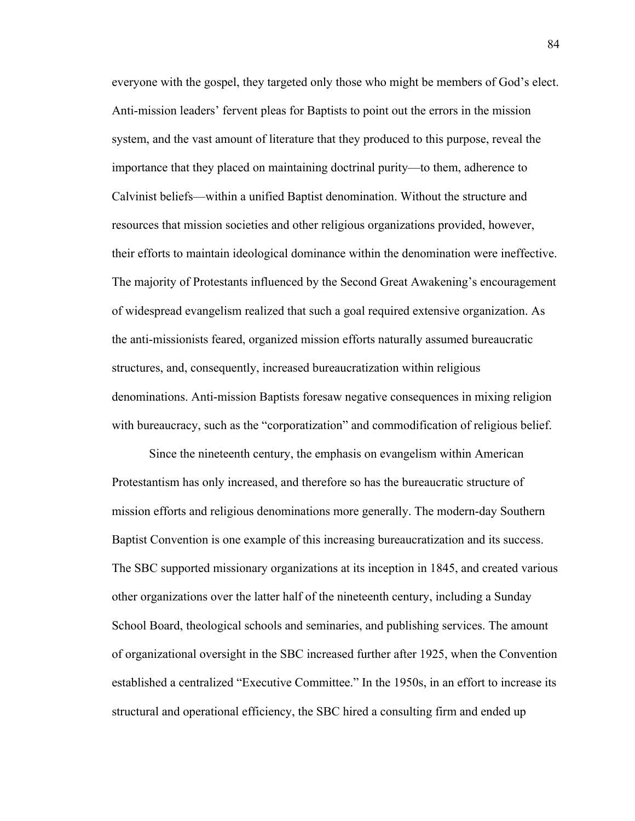everyone with the gospel, they targeted only those who might be members of God's elect. Anti-mission leaders' fervent pleas for Baptists to point out the errors in the mission system, and the vast amount of literature that they produced to this purpose, reveal the importance that they placed on maintaining doctrinal purity—to them, adherence to Calvinist beliefs—within a unified Baptist denomination. Without the structure and resources that mission societies and other religious organizations provided, however, their efforts to maintain ideological dominance within the denomination were ineffective. The majority of Protestants influenced by the Second Great Awakening's encouragement of widespread evangelism realized that such a goal required extensive organization. As the anti-missionists feared, organized mission efforts naturally assumed bureaucratic structures, and, consequently, increased bureaucratization within religious denominations. Anti-mission Baptists foresaw negative consequences in mixing religion with bureaucracy, such as the "corporatization" and commodification of religious belief.

Since the nineteenth century, the emphasis on evangelism within American Protestantism has only increased, and therefore so has the bureaucratic structure of mission efforts and religious denominations more generally. The modern-day Southern Baptist Convention is one example of this increasing bureaucratization and its success. The SBC supported missionary organizations at its inception in 1845, and created various other organizations over the latter half of the nineteenth century, including a Sunday School Board, theological schools and seminaries, and publishing services. The amount of organizational oversight in the SBC increased further after 1925, when the Convention established a centralized "Executive Committee." In the 1950s, in an effort to increase its structural and operational efficiency, the SBC hired a consulting firm and ended up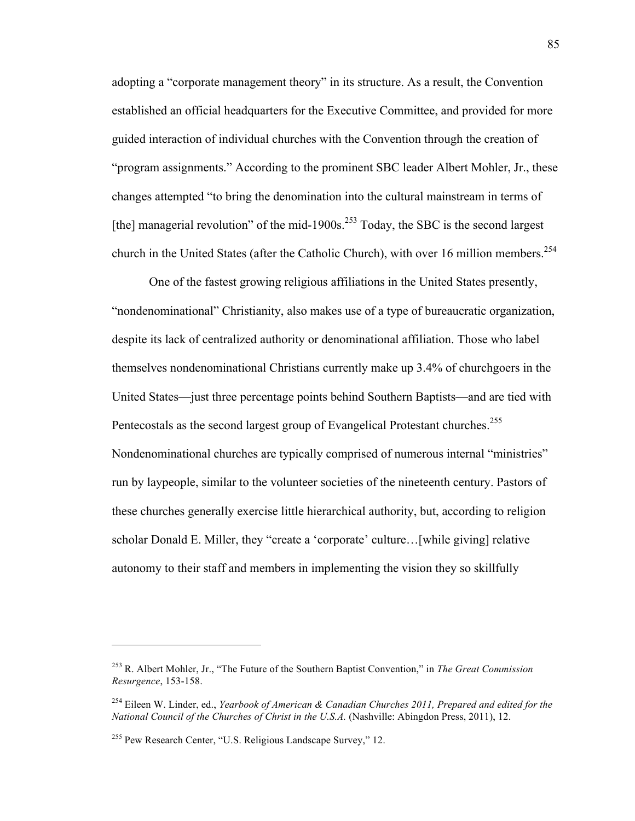adopting a "corporate management theory" in its structure. As a result, the Convention established an official headquarters for the Executive Committee, and provided for more guided interaction of individual churches with the Convention through the creation of "program assignments." According to the prominent SBC leader Albert Mohler, Jr., these changes attempted "to bring the denomination into the cultural mainstream in terms of [the] managerial revolution" of the mid-1900s.<sup>253</sup> Today, the SBC is the second largest church in the United States (after the Catholic Church), with over 16 million members.<sup>254</sup>

One of the fastest growing religious affiliations in the United States presently, "nondenominational" Christianity, also makes use of a type of bureaucratic organization, despite its lack of centralized authority or denominational affiliation. Those who label themselves nondenominational Christians currently make up 3.4% of churchgoers in the United States—just three percentage points behind Southern Baptists—and are tied with Pentecostals as the second largest group of Evangelical Protestant churches.<sup>255</sup> Nondenominational churches are typically comprised of numerous internal "ministries" run by laypeople, similar to the volunteer societies of the nineteenth century. Pastors of these churches generally exercise little hierarchical authority, but, according to religion scholar Donald E. Miller, they "create a 'corporate' culture…[while giving] relative autonomy to their staff and members in implementing the vision they so skillfully

<sup>253</sup> R. Albert Mohler, Jr., "The Future of the Southern Baptist Convention," in *The Great Commission Resurgence*, 153-158.

<sup>254</sup> Eileen W. Linder, ed., *Yearbook of American & Canadian Churches 2011, Prepared and edited for the National Council of the Churches of Christ in the U.S.A.* (Nashville: Abingdon Press, 2011), 12.

<sup>255</sup> Pew Research Center, "U.S. Religious Landscape Survey," 12.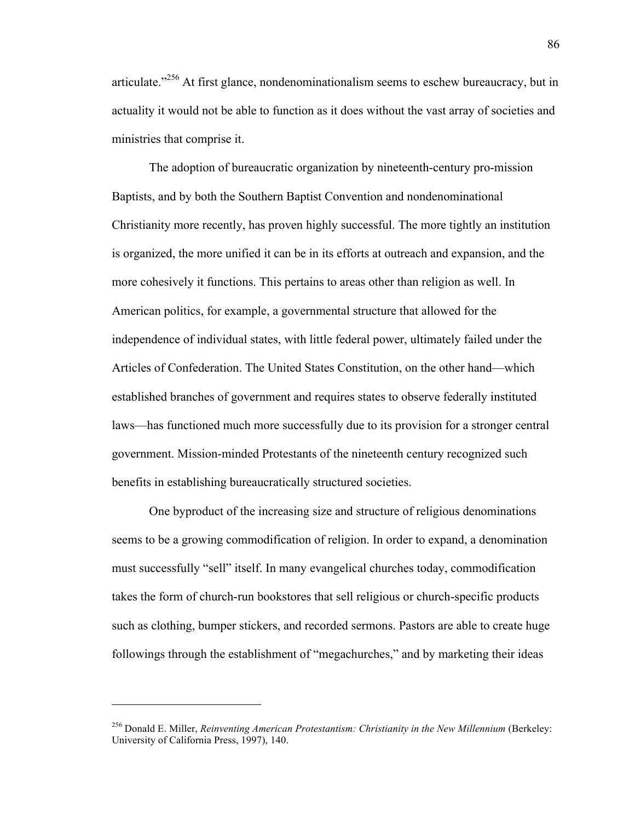articulate."<sup> $256$ </sup> At first glance, nondenominationalism seems to eschew bureaucracy, but in actuality it would not be able to function as it does without the vast array of societies and ministries that comprise it.

The adoption of bureaucratic organization by nineteenth-century pro-mission Baptists, and by both the Southern Baptist Convention and nondenominational Christianity more recently, has proven highly successful. The more tightly an institution is organized, the more unified it can be in its efforts at outreach and expansion, and the more cohesively it functions. This pertains to areas other than religion as well. In American politics, for example, a governmental structure that allowed for the independence of individual states, with little federal power, ultimately failed under the Articles of Confederation. The United States Constitution, on the other hand—which established branches of government and requires states to observe federally instituted laws—has functioned much more successfully due to its provision for a stronger central government. Mission-minded Protestants of the nineteenth century recognized such benefits in establishing bureaucratically structured societies.

One byproduct of the increasing size and structure of religious denominations seems to be a growing commodification of religion. In order to expand, a denomination must successfully "sell" itself. In many evangelical churches today, commodification takes the form of church-run bookstores that sell religious or church-specific products such as clothing, bumper stickers, and recorded sermons. Pastors are able to create huge followings through the establishment of "megachurches," and by marketing their ideas

<sup>256</sup> Donald E. Miller, *Reinventing American Protestantism: Christianity in the New Millennium* (Berkeley: University of California Press, 1997), 140.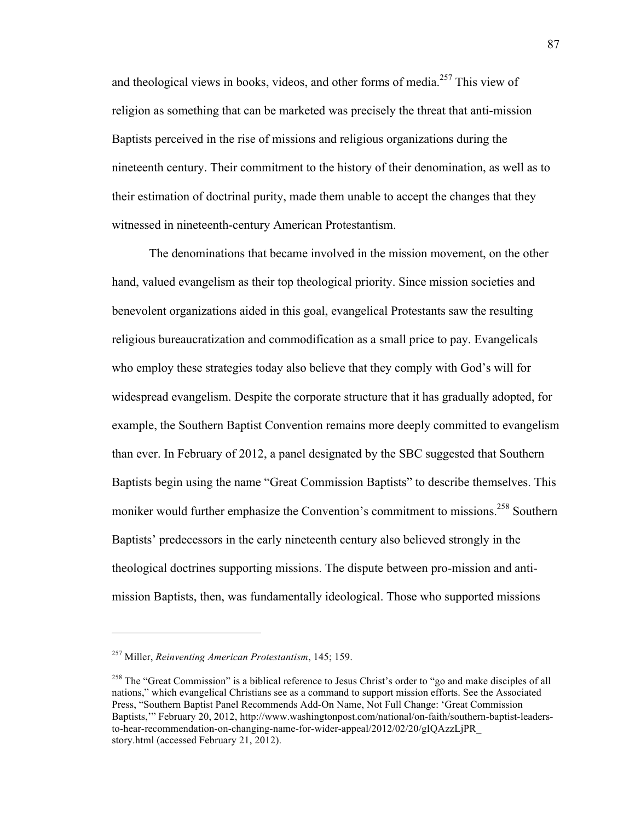and theological views in books, videos, and other forms of media.<sup>257</sup> This view of religion as something that can be marketed was precisely the threat that anti-mission Baptists perceived in the rise of missions and religious organizations during the nineteenth century. Their commitment to the history of their denomination, as well as to their estimation of doctrinal purity, made them unable to accept the changes that they witnessed in nineteenth-century American Protestantism.

The denominations that became involved in the mission movement, on the other hand, valued evangelism as their top theological priority. Since mission societies and benevolent organizations aided in this goal, evangelical Protestants saw the resulting religious bureaucratization and commodification as a small price to pay. Evangelicals who employ these strategies today also believe that they comply with God's will for widespread evangelism. Despite the corporate structure that it has gradually adopted, for example, the Southern Baptist Convention remains more deeply committed to evangelism than ever. In February of 2012, a panel designated by the SBC suggested that Southern Baptists begin using the name "Great Commission Baptists" to describe themselves. This moniker would further emphasize the Convention's commitment to missions.<sup>258</sup> Southern Baptists' predecessors in the early nineteenth century also believed strongly in the theological doctrines supporting missions. The dispute between pro-mission and antimission Baptists, then, was fundamentally ideological. Those who supported missions

<sup>257</sup> Miller, *Reinventing American Protestantism*, 145; 159.

<sup>&</sup>lt;sup>258</sup> The "Great Commission" is a biblical reference to Jesus Christ's order to "go and make disciples of all nations," which evangelical Christians see as a command to support mission efforts. See the Associated Press, "Southern Baptist Panel Recommends Add-On Name, Not Full Change: 'Great Commission Baptists,'" February 20, 2012, http://www.washingtonpost.com/national/on-faith/southern-baptist-leadersto-hear-recommendation-on-changing-name-for-wider-appeal/2012/02/20/gIQAzzLjPR\_ story.html (accessed February 21, 2012).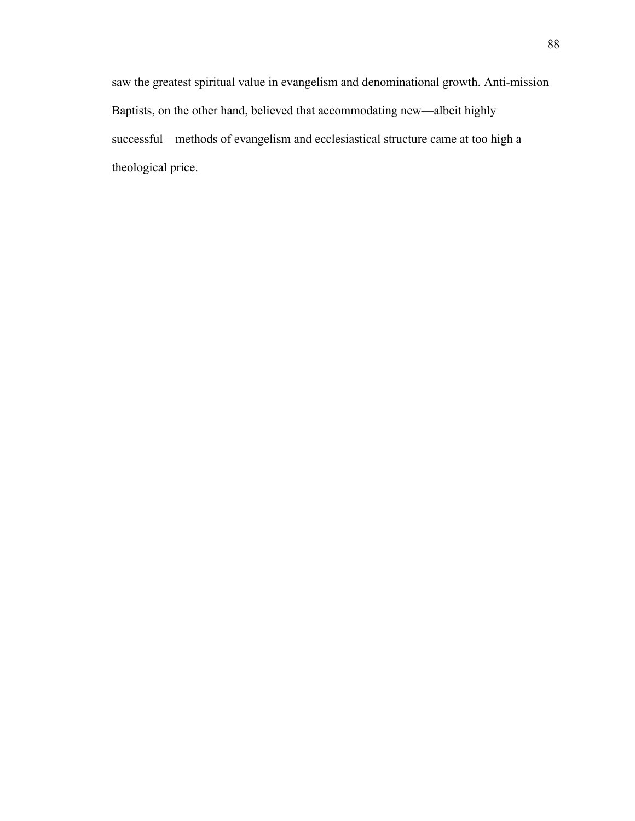saw the greatest spiritual value in evangelism and denominational growth. Anti-mission Baptists, on the other hand, believed that accommodating new—albeit highly successful—methods of evangelism and ecclesiastical structure came at too high a theological price.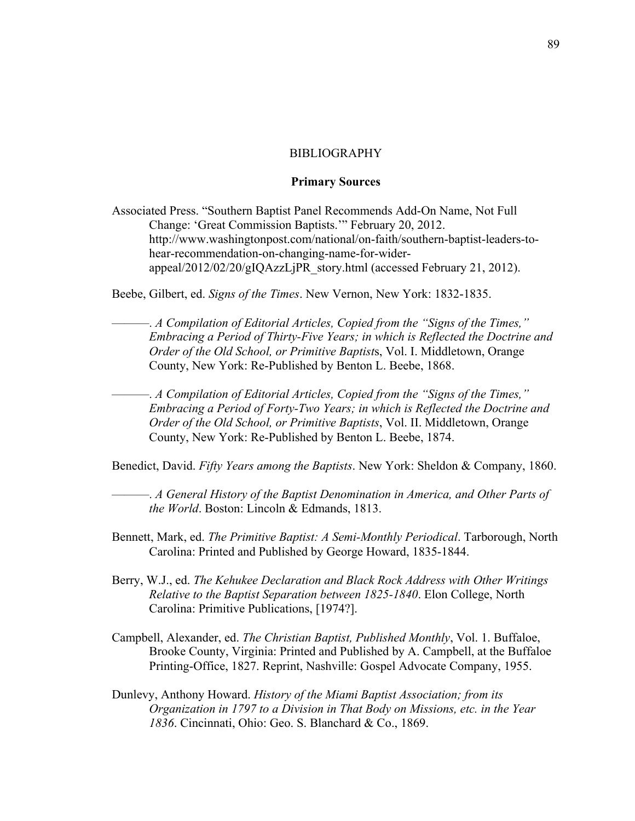# **BIBLIOGRAPHY**

# **Primary Sources**

Associated Press. "Southern Baptist Panel Recommends Add-On Name, Not Full Change: 'Great Commission Baptists.'" February 20, 2012. http://www.washingtonpost.com/national/on-faith/southern-baptist-leaders-tohear-recommendation-on-changing-name-for-widerappeal/2012/02/20/gIQAzzLjPR\_story.html (accessed February 21, 2012).

Beebe, Gilbert, ed. *Signs of the Times*. New Vernon, New York: 1832-1835.

———. *A Compilation of Editorial Articles, Copied from the "Signs of the Times," Embracing a Period of Thirty-Five Years; in which is Reflected the Doctrine and Order of the Old School, or Primitive Baptist*s, Vol. I. Middletown, Orange County, New York: Re-Published by Benton L. Beebe, 1868.

———. *A Compilation of Editorial Articles, Copied from the "Signs of the Times," Embracing a Period of Forty-Two Years; in which is Reflected the Doctrine and Order of the Old School, or Primitive Baptists*, Vol. II. Middletown, Orange County, New York: Re-Published by Benton L. Beebe, 1874.

Benedict, David. *Fifty Years among the Baptists*. New York: Sheldon & Company, 1860.

———. *A General History of the Baptist Denomination in America, and Other Parts of the World*. Boston: Lincoln & Edmands, 1813.

- Bennett, Mark, ed. *The Primitive Baptist: A Semi-Monthly Periodical*. Tarborough, North Carolina: Printed and Published by George Howard, 1835-1844.
- Berry, W.J., ed. *The Kehukee Declaration and Black Rock Address with Other Writings Relative to the Baptist Separation between 1825-1840*. Elon College, North Carolina: Primitive Publications, [1974?].
- Campbell, Alexander, ed. *The Christian Baptist, Published Monthly*, Vol. 1. Buffaloe, Brooke County, Virginia: Printed and Published by A. Campbell, at the Buffaloe Printing-Office, 1827. Reprint, Nashville: Gospel Advocate Company, 1955.
- Dunlevy, Anthony Howard. *History of the Miami Baptist Association; from its Organization in 1797 to a Division in That Body on Missions, etc. in the Year 1836*. Cincinnati, Ohio: Geo. S. Blanchard & Co., 1869.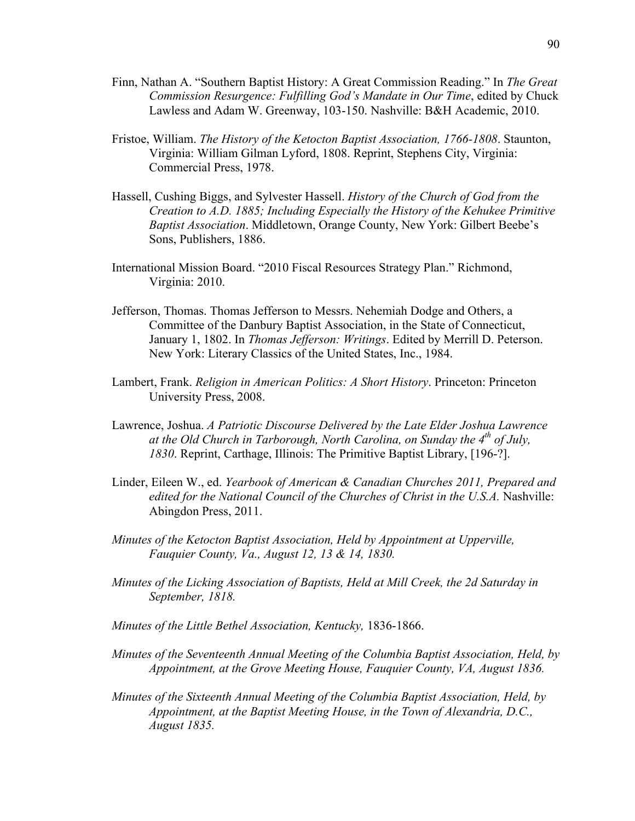- Finn, Nathan A. "Southern Baptist History: A Great Commission Reading." In *The Great Commission Resurgence: Fulfilling God's Mandate in Our Time*, edited by Chuck Lawless and Adam W. Greenway, 103-150. Nashville: B&H Academic, 2010.
- Fristoe, William. *The History of the Ketocton Baptist Association, 1766-1808*. Staunton, Virginia: William Gilman Lyford, 1808. Reprint, Stephens City, Virginia: Commercial Press, 1978.
- Hassell, Cushing Biggs, and Sylvester Hassell. *History of the Church of God from the Creation to A.D. 1885; Including Especially the History of the Kehukee Primitive Baptist Association*. Middletown, Orange County, New York: Gilbert Beebe's Sons, Publishers, 1886.
- International Mission Board. "2010 Fiscal Resources Strategy Plan." Richmond, Virginia: 2010.
- Jefferson, Thomas. Thomas Jefferson to Messrs. Nehemiah Dodge and Others, a Committee of the Danbury Baptist Association, in the State of Connecticut, January 1, 1802. In *Thomas Jefferson: Writings*. Edited by Merrill D. Peterson. New York: Literary Classics of the United States, Inc., 1984.
- Lambert, Frank. *Religion in American Politics: A Short History*. Princeton: Princeton University Press, 2008.
- Lawrence, Joshua. *A Patriotic Discourse Delivered by the Late Elder Joshua Lawrence at the Old Church in Tarborough, North Carolina, on Sunday the 4th of July, 1830*. Reprint, Carthage, Illinois: The Primitive Baptist Library, [196-?].
- Linder, Eileen W., ed. *Yearbook of American & Canadian Churches 2011, Prepared and edited for the National Council of the Churches of Christ in the U.S.A.* Nashville: Abingdon Press, 2011.
- *Minutes of the Ketocton Baptist Association, Held by Appointment at Upperville, Fauquier County, Va., August 12, 13 & 14, 1830.*
- *Minutes of the Licking Association of Baptists, Held at Mill Creek, the 2d Saturday in September, 1818.*
- *Minutes of the Little Bethel Association, Kentucky,* 1836-1866.
- *Minutes of the Seventeenth Annual Meeting of the Columbia Baptist Association, Held, by Appointment, at the Grove Meeting House, Fauquier County, VA, August 1836.*
- *Minutes of the Sixteenth Annual Meeting of the Columbia Baptist Association, Held, by Appointment, at the Baptist Meeting House, in the Town of Alexandria, D.C., August 1835.*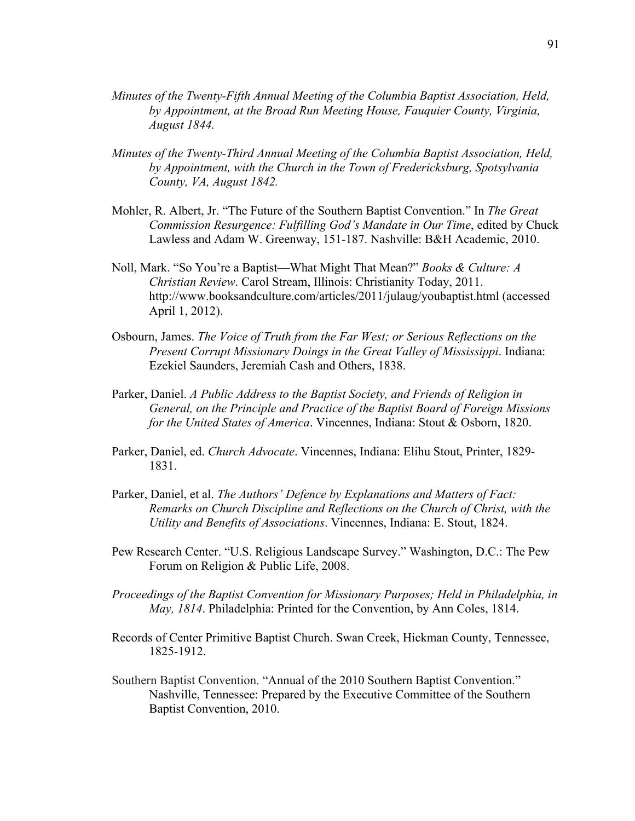- *Minutes of the Twenty-Fifth Annual Meeting of the Columbia Baptist Association, Held, by Appointment, at the Broad Run Meeting House, Fauquier County, Virginia, August 1844.*
- *Minutes of the Twenty-Third Annual Meeting of the Columbia Baptist Association, Held, by Appointment, with the Church in the Town of Fredericksburg, Spotsylvania County, VA, August 1842.*
- Mohler, R. Albert, Jr. "The Future of the Southern Baptist Convention." In *The Great Commission Resurgence: Fulfilling God's Mandate in Our Time*, edited by Chuck Lawless and Adam W. Greenway, 151-187. Nashville: B&H Academic, 2010.
- Noll, Mark. "So You're a Baptist—What Might That Mean?" *Books & Culture: A Christian Review*. Carol Stream, Illinois: Christianity Today, 2011. http://www.booksandculture.com/articles/2011/julaug/youbaptist.html (accessed April 1, 2012).
- Osbourn, James. *The Voice of Truth from the Far West; or Serious Reflections on the Present Corrupt Missionary Doings in the Great Valley of Mississippi*. Indiana: Ezekiel Saunders, Jeremiah Cash and Others, 1838.
- Parker, Daniel. *A Public Address to the Baptist Society, and Friends of Religion in General, on the Principle and Practice of the Baptist Board of Foreign Missions for the United States of America*. Vincennes, Indiana: Stout & Osborn, 1820.
- Parker, Daniel, ed. *Church Advocate*. Vincennes, Indiana: Elihu Stout, Printer, 1829- 1831.
- Parker, Daniel, et al. *The Authors' Defence by Explanations and Matters of Fact: Remarks on Church Discipline and Reflections on the Church of Christ, with the Utility and Benefits of Associations*. Vincennes, Indiana: E. Stout, 1824.
- Pew Research Center. "U.S. Religious Landscape Survey." Washington, D.C.: The Pew Forum on Religion & Public Life, 2008.
- *Proceedings of the Baptist Convention for Missionary Purposes; Held in Philadelphia, in May, 1814*. Philadelphia: Printed for the Convention, by Ann Coles, 1814.
- Records of Center Primitive Baptist Church. Swan Creek, Hickman County, Tennessee, 1825-1912.
- Southern Baptist Convention. "Annual of the 2010 Southern Baptist Convention." Nashville, Tennessee: Prepared by the Executive Committee of the Southern Baptist Convention, 2010.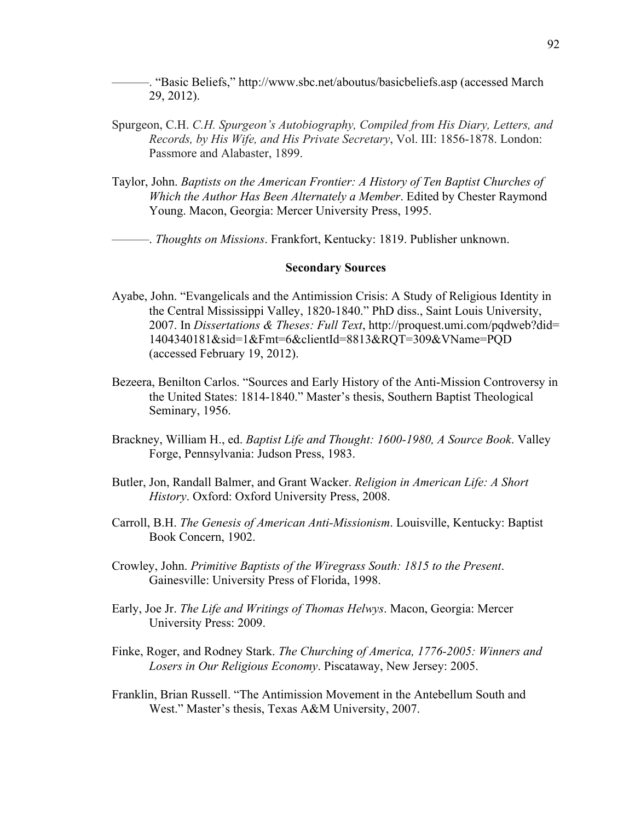———. "Basic Beliefs," http://www.sbc.net/aboutus/basicbeliefs.asp (accessed March 29, 2012).

- Spurgeon, C.H. *C.H. Spurgeon's Autobiography, Compiled from His Diary, Letters, and Records, by His Wife, and His Private Secretary*, Vol. III: 1856-1878. London: Passmore and Alabaster, 1899.
- Taylor, John. *Baptists on the American Frontier: A History of Ten Baptist Churches of Which the Author Has Been Alternately a Member*. Edited by Chester Raymond Young. Macon, Georgia: Mercer University Press, 1995.

———. *Thoughts on Missions*. Frankfort, Kentucky: 1819. Publisher unknown.

# **Secondary Sources**

- Ayabe, John. "Evangelicals and the Antimission Crisis: A Study of Religious Identity in the Central Mississippi Valley, 1820-1840." PhD diss., Saint Louis University, 2007. In *Dissertations & Theses: Full Text*, http://proquest.umi.com/pqdweb?did= 1404340181&sid=1&Fmt=6&clientId=8813&RQT=309&VName=PQD (accessed February 19, 2012).
- Bezeera, Benilton Carlos. "Sources and Early History of the Anti-Mission Controversy in the United States: 1814-1840." Master's thesis, Southern Baptist Theological Seminary, 1956.
- Brackney, William H., ed. *Baptist Life and Thought: 1600-1980, A Source Book*. Valley Forge, Pennsylvania: Judson Press, 1983.
- Butler, Jon, Randall Balmer, and Grant Wacker. *Religion in American Life: A Short History*. Oxford: Oxford University Press, 2008.
- Carroll, B.H. *The Genesis of American Anti-Missionism*. Louisville, Kentucky: Baptist Book Concern, 1902.
- Crowley, John. *Primitive Baptists of the Wiregrass South: 1815 to the Present*. Gainesville: University Press of Florida, 1998.
- Early, Joe Jr. *The Life and Writings of Thomas Helwys*. Macon, Georgia: Mercer University Press: 2009.
- Finke, Roger, and Rodney Stark. *The Churching of America, 1776-2005: Winners and Losers in Our Religious Economy*. Piscataway, New Jersey: 2005.
- Franklin, Brian Russell. "The Antimission Movement in the Antebellum South and West." Master's thesis, Texas A&M University, 2007.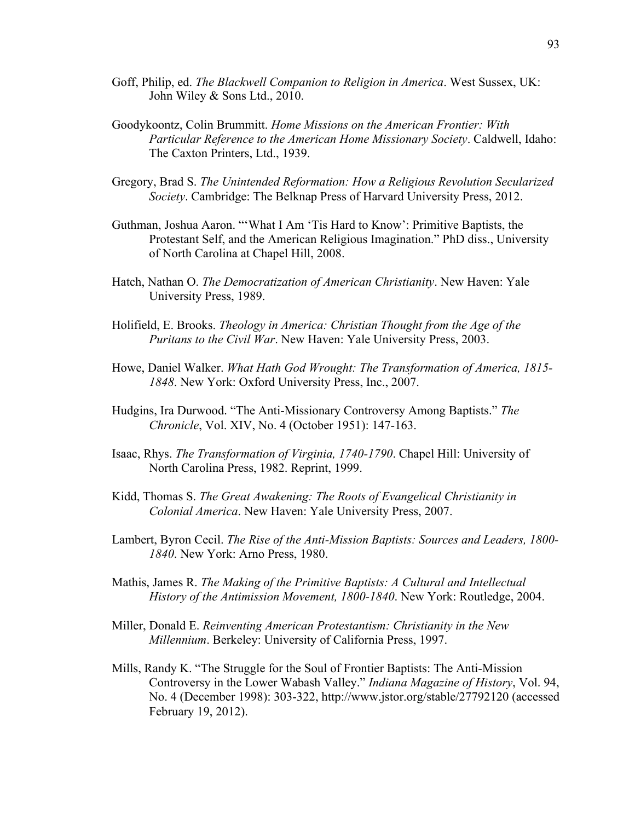- Goff, Philip, ed. *The Blackwell Companion to Religion in America*. West Sussex, UK: John Wiley & Sons Ltd., 2010.
- Goodykoontz, Colin Brummitt. *Home Missions on the American Frontier: With Particular Reference to the American Home Missionary Society*. Caldwell, Idaho: The Caxton Printers, Ltd., 1939.
- Gregory, Brad S. *The Unintended Reformation: How a Religious Revolution Secularized Society*. Cambridge: The Belknap Press of Harvard University Press, 2012.
- Guthman, Joshua Aaron. "'What I Am 'Tis Hard to Know': Primitive Baptists, the Protestant Self, and the American Religious Imagination." PhD diss., University of North Carolina at Chapel Hill, 2008.
- Hatch, Nathan O. *The Democratization of American Christianity*. New Haven: Yale University Press, 1989.
- Holifield, E. Brooks. *Theology in America: Christian Thought from the Age of the Puritans to the Civil War*. New Haven: Yale University Press, 2003.
- Howe, Daniel Walker. *What Hath God Wrought: The Transformation of America, 1815- 1848*. New York: Oxford University Press, Inc., 2007.
- Hudgins, Ira Durwood. "The Anti-Missionary Controversy Among Baptists." *The Chronicle*, Vol. XIV, No. 4 (October 1951): 147-163.
- Isaac, Rhys. *The Transformation of Virginia, 1740-1790*. Chapel Hill: University of North Carolina Press, 1982. Reprint, 1999.
- Kidd, Thomas S. *The Great Awakening: The Roots of Evangelical Christianity in Colonial America*. New Haven: Yale University Press, 2007.
- Lambert, Byron Cecil. *The Rise of the Anti-Mission Baptists: Sources and Leaders, 1800- 1840*. New York: Arno Press, 1980.
- Mathis, James R. *The Making of the Primitive Baptists: A Cultural and Intellectual History of the Antimission Movement, 1800-1840*. New York: Routledge, 2004.
- Miller, Donald E. *Reinventing American Protestantism: Christianity in the New Millennium*. Berkeley: University of California Press, 1997.
- Mills, Randy K. "The Struggle for the Soul of Frontier Baptists: The Anti-Mission Controversy in the Lower Wabash Valley." *Indiana Magazine of History*, Vol. 94, No. 4 (December 1998): 303-322, http://www.jstor.org/stable/27792120 (accessed February 19, 2012).